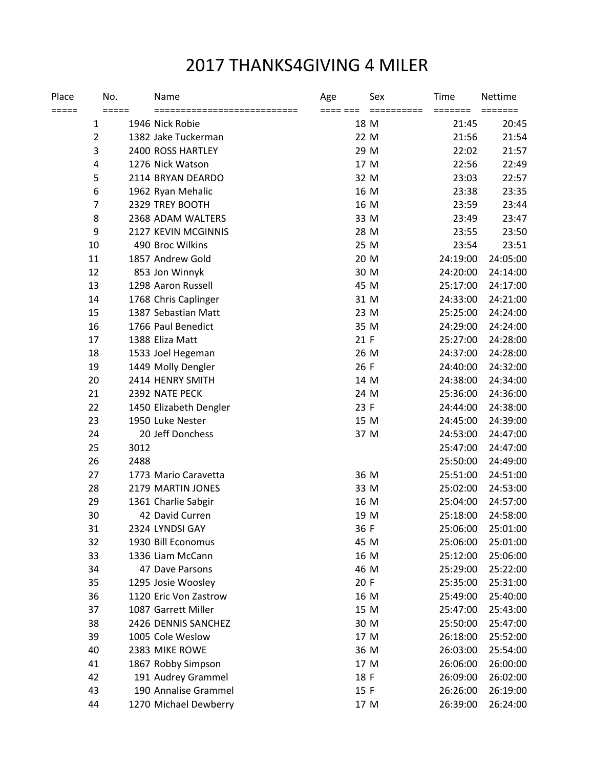## 2017 THANKS4GIVING 4 MILER

| Place | No.<br>$=====$ |      | Name                                            | Age      | Sex<br>========== | <b>Time</b>                      | Nettime<br>======= |
|-------|----------------|------|-------------------------------------------------|----------|-------------------|----------------------------------|--------------------|
| ===== | 1              |      | ============================<br>1946 Nick Robie | ==== === | 18 M              | $=$ $=$ $=$ $=$ $=$ $=$<br>21:45 | 20:45              |
|       | $\overline{2}$ |      | 1382 Jake Tuckerman                             |          | 22 M              | 21:56                            | 21:54              |
|       | 3              |      | 2400 ROSS HARTLEY                               |          | 29 M              | 22:02                            | 21:57              |
|       | 4              |      | 1276 Nick Watson                                |          | 17 M              | 22:56                            | 22:49              |
|       | 5              |      | 2114 BRYAN DEARDO                               |          | 32 M              | 23:03                            | 22:57              |
|       | 6              |      | 1962 Ryan Mehalic                               |          | 16 M              | 23:38                            | 23:35              |
|       | 7              |      | 2329 TREY BOOTH                                 |          | 16 M              | 23:59                            | 23:44              |
|       | 8              |      | 2368 ADAM WALTERS                               |          | 33 M              | 23:49                            | 23:47              |
|       | 9              |      | 2127 KEVIN MCGINNIS                             |          | 28 M              | 23:55                            | 23:50              |
|       | 10             |      | 490 Broc Wilkins                                |          | 25 M              | 23:54                            | 23:51              |
|       | 11             |      | 1857 Andrew Gold                                |          | 20 M              | 24:19:00                         | 24:05:00           |
|       | 12             |      | 853 Jon Winnyk                                  |          | 30 M              | 24:20:00                         | 24:14:00           |
|       | 13             |      | 1298 Aaron Russell                              |          | 45 M              | 25:17:00                         | 24:17:00           |
|       | 14             |      | 1768 Chris Caplinger                            |          | 31 M              | 24:33:00                         | 24:21:00           |
|       | 15             |      | 1387 Sebastian Matt                             |          | 23 M              | 25:25:00                         | 24:24:00           |
|       | 16             |      | 1766 Paul Benedict                              |          | 35 M              | 24:29:00                         | 24:24:00           |
|       | 17             |      | 1388 Eliza Matt                                 | 21 F     |                   | 25:27:00                         | 24:28:00           |
|       | 18             |      | 1533 Joel Hegeman                               |          | 26 M              | 24:37:00                         | 24:28:00           |
|       | 19             |      | 1449 Molly Dengler                              | 26 F     |                   | 24:40:00                         | 24:32:00           |
|       | 20             |      | 2414 HENRY SMITH                                |          | 14 M              | 24:38:00                         | 24:34:00           |
|       | 21             |      | 2392 NATE PECK                                  |          | 24 M              | 25:36:00                         | 24:36:00           |
|       | 22             |      | 1450 Elizabeth Dengler                          | 23 F     |                   | 24:44:00                         | 24:38:00           |
|       | 23             |      | 1950 Luke Nester                                |          | 15 M              | 24:45:00                         | 24:39:00           |
|       | 24             |      | 20 Jeff Donchess                                |          | 37 M              | 24:53:00                         | 24:47:00           |
|       | 25             | 3012 |                                                 |          |                   | 25:47:00                         | 24:47:00           |
|       | 26             | 2488 |                                                 |          |                   | 25:50:00                         | 24:49:00           |
|       | 27             |      | 1773 Mario Caravetta                            |          | 36 M              | 25:51:00                         | 24:51:00           |
|       | 28             |      | 2179 MARTIN JONES                               |          | 33 M              | 25:02:00                         | 24:53:00           |
|       | 29             |      | 1361 Charlie Sabgir                             |          | 16 M              | 25:04:00                         | 24:57:00           |
|       | 30             |      | 42 David Curren                                 |          | 19 M              | 25:18:00                         | 24:58:00           |
|       | 31             |      | 2324 LYNDSI GAY                                 | 36 F     |                   | 25:06:00                         | 25:01:00           |
|       | 32             |      | 1930 Bill Economus                              |          | 45 M              | 25:06:00                         | 25:01:00           |
|       | 33             |      | 1336 Liam McCann                                |          | 16 M              | 25:12:00                         | 25:06:00           |
|       | 34             |      | 47 Dave Parsons                                 |          | 46 M              | 25:29:00                         | 25:22:00           |
|       | 35             |      | 1295 Josie Woosley                              | 20 F     |                   | 25:35:00                         | 25:31:00           |
|       | 36             |      | 1120 Eric Von Zastrow                           |          | 16 M              | 25:49:00                         | 25:40:00           |
|       | 37             |      | 1087 Garrett Miller                             |          | 15 M              | 25:47:00                         | 25:43:00           |
|       | 38             |      | 2426 DENNIS SANCHEZ                             |          | 30 M              | 25:50:00                         | 25:47:00           |
|       | 39             |      | 1005 Cole Weslow                                |          | 17 M              | 26:18:00                         | 25:52:00           |
|       | 40             |      | 2383 MIKE ROWE                                  |          | 36 M              | 26:03:00                         | 25:54:00           |
|       | 41             |      | 1867 Robby Simpson                              |          | 17 M              | 26:06:00                         | 26:00:00           |
|       | 42             |      | 191 Audrey Grammel                              | 18 F     |                   | 26:09:00                         | 26:02:00           |
|       | 43             |      | 190 Annalise Grammel                            | 15 F     |                   | 26:26:00                         | 26:19:00           |
|       | 44             |      | 1270 Michael Dewberry                           |          | 17 M              | 26:39:00                         | 26:24:00           |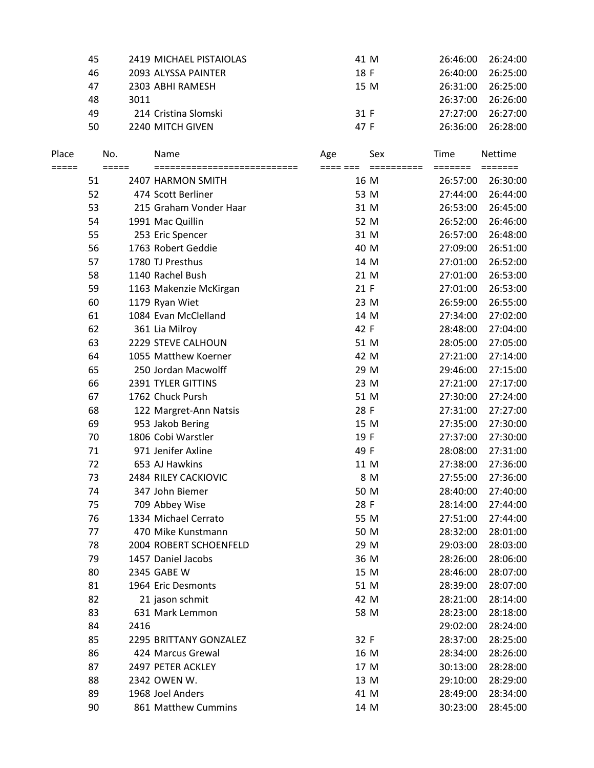| 45 | 2419 MICHAEL PISTAIOLAS | 41 M | 26:46:00 | 26:24:00 |
|----|-------------------------|------|----------|----------|
| 46 | 2093 ALYSSA PAINTER     | 18 F | 26:40:00 | 26:25:00 |
| 47 | 2303 ABHI RAMESH        | 15 M | 26:31:00 | 26:25:00 |
| 48 | 3011                    |      | 26:37:00 | 26:26:00 |
| 49 | 214 Cristina Slomski    | 31 F | 27:27:00 | 26:27:00 |
| 50 | 2240 MITCH GIVEN        | 47 F | 26:36:00 | 26:28:00 |

| Place<br>===== | No.<br>$=====$ |      | Name<br>============================ | Age<br>==== === | Sex<br>========== | Time<br>$=$ $=$ $=$ $=$ $=$ $=$ $=$ | Nettime<br>======= |
|----------------|----------------|------|--------------------------------------|-----------------|-------------------|-------------------------------------|--------------------|
|                | 51             |      | 2407 HARMON SMITH                    |                 | 16 M              | 26:57:00                            | 26:30:00           |
|                | 52             |      | 474 Scott Berliner                   |                 | 53 M              | 27:44:00                            | 26:44:00           |
|                | 53             |      | 215 Graham Vonder Haar               | 31 M            |                   | 26:53:00                            | 26:45:00           |
|                | 54             |      | 1991 Mac Quillin                     | 52 M            |                   | 26:52:00                            | 26:46:00           |
|                | 55             |      | 253 Eric Spencer                     |                 | 31 M              | 26:57:00                            | 26:48:00           |
|                | 56             |      | 1763 Robert Geddie                   | 40 M            |                   | 27:09:00                            | 26:51:00           |
|                | 57             |      | 1780 TJ Presthus                     |                 | 14 M              | 27:01:00                            | 26:52:00           |
|                | 58             |      | 1140 Rachel Bush                     |                 | 21 M              | 27:01:00                            | 26:53:00           |
|                | 59             |      | 1163 Makenzie McKirgan               | 21 F            |                   | 27:01:00                            | 26:53:00           |
|                | 60             |      | 1179 Ryan Wiet                       | 23 M            |                   | 26:59:00                            | 26:55:00           |
|                | 61             |      | 1084 Evan McClelland                 |                 | 14 M              | 27:34:00                            | 27:02:00           |
|                | 62             |      | 361 Lia Milroy                       | 42 F            |                   | 28:48:00                            | 27:04:00           |
|                | 63             |      | 2229 STEVE CALHOUN                   | 51 M            |                   | 28:05:00                            | 27:05:00           |
|                | 64             |      | 1055 Matthew Koerner                 | 42 M            |                   | 27:21:00                            | 27:14:00           |
|                | 65             |      | 250 Jordan Macwolff                  | 29 M            |                   | 29:46:00                            | 27:15:00           |
|                | 66             |      | 2391 TYLER GITTINS                   | 23 M            |                   | 27:21:00                            | 27:17:00           |
|                | 67             |      | 1762 Chuck Pursh                     | 51 M            |                   | 27:30:00                            | 27:24:00           |
|                | 68             |      | 122 Margret-Ann Natsis               | 28 F            |                   | 27:31:00                            | 27:27:00           |
|                | 69             |      | 953 Jakob Bering                     |                 | 15 M              | 27:35:00                            | 27:30:00           |
|                | 70             |      | 1806 Cobi Warstler                   | 19 F            |                   | 27:37:00                            | 27:30:00           |
|                | 71             |      | 971 Jenifer Axline                   | 49 F            |                   | 28:08:00                            | 27:31:00           |
|                | 72             |      | 653 AJ Hawkins                       | 11 M            |                   | 27:38:00                            | 27:36:00           |
|                | 73             |      | 2484 RILEY CACKIOVIC                 |                 | 8 M               | 27:55:00                            | 27:36:00           |
|                | 74             |      | 347 John Biemer                      | 50 M            |                   | 28:40:00                            | 27:40:00           |
|                | 75             |      | 709 Abbey Wise                       | 28 F            |                   | 28:14:00                            | 27:44:00           |
|                | 76             |      | 1334 Michael Cerrato                 | 55 M            |                   | 27:51:00                            | 27:44:00           |
|                | 77             |      | 470 Mike Kunstmann                   | 50 M            |                   | 28:32:00                            | 28:01:00           |
|                | 78             |      | 2004 ROBERT SCHOENFELD               | 29 M            |                   | 29:03:00                            | 28:03:00           |
|                | 79             |      | 1457 Daniel Jacobs                   | 36 M            |                   | 28:26:00                            | 28:06:00           |
|                | 80             |      | 2345 GABE W                          |                 | 15 M              | 28:46:00                            | 28:07:00           |
|                | 81             |      | 1964 Eric Desmonts                   | 51 M            |                   | 28:39:00                            | 28:07:00           |
|                | 82             |      | 21 jason schmit                      | 42 M            |                   | 28:21:00                            | 28:14:00           |
|                | 83             |      | 631 Mark Lemmon                      |                 | 58 M              | 28:23:00                            | 28:18:00           |
|                | 84             | 2416 |                                      |                 |                   | 29:02:00                            | 28:24:00           |
|                | 85             |      | 2295 BRITTANY GONZALEZ               | 32 F            |                   | 28:37:00                            | 28:25:00           |
|                | 86             |      | 424 Marcus Grewal                    |                 | 16 M              | 28:34:00                            | 28:26:00           |
|                | 87             |      | 2497 PETER ACKLEY                    |                 | 17 M              | 30:13:00                            | 28:28:00           |
|                | 88             |      | 2342 OWEN W.                         | 13 M            |                   | 29:10:00                            | 28:29:00           |
|                | 89             |      | 1968 Joel Anders                     | 41 M            |                   | 28:49:00                            | 28:34:00           |
|                | 90             |      | 861 Matthew Cummins                  |                 | 14 M              | 30:23:00                            | 28:45:00           |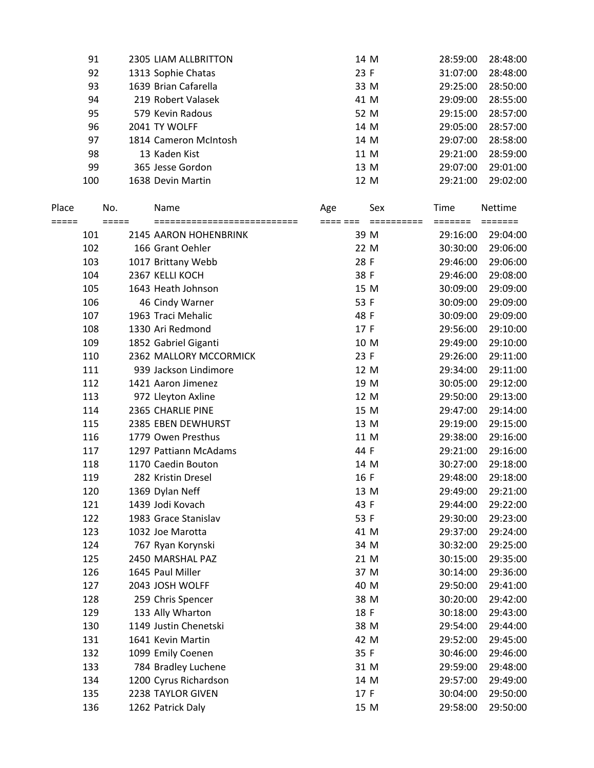| 91  | 2305 LIAM ALLBRITTON  | 14 M | 28:59:00 | 28:48:00 |
|-----|-----------------------|------|----------|----------|
| 92  | 1313 Sophie Chatas    | 23 F | 31:07:00 | 28:48:00 |
| 93  | 1639 Brian Cafarella  | 33 M | 29:25:00 | 28:50:00 |
| 94  | 219 Robert Valasek    | 41 M | 29:09:00 | 28:55:00 |
| 95  | 579 Kevin Radous      | 52 M | 29:15:00 | 28:57:00 |
| 96  | 2041 TY WOLFF         | 14 M | 29:05:00 | 28:57:00 |
| 97  | 1814 Cameron McIntosh | 14 M | 29:07:00 | 28:58:00 |
| 98  | 13 Kaden Kist         | 11 M | 29:21:00 | 28:59:00 |
| 99  | 365 Jesse Gordon      | 13 M | 29:07:00 | 29:01:00 |
| 100 | 1638 Devin Martin     | 12 M | 29:21:00 | 29:02:00 |
|     |                       |      |          |          |

| Place<br>===== |     | No.<br>$=====$ | Name                   | Age<br>==== === | Sex<br>======== | Time<br>======= | Nettime<br>======= |
|----------------|-----|----------------|------------------------|-----------------|-----------------|-----------------|--------------------|
|                | 101 |                | 2145 AARON HOHENBRINK  | 39 M            |                 | 29:16:00        | 29:04:00           |
|                | 102 |                | 166 Grant Oehler       | 22 M            |                 | 30:30:00        | 29:06:00           |
|                | 103 |                | 1017 Brittany Webb     | 28 F            |                 | 29:46:00        | 29:06:00           |
|                | 104 |                | 2367 KELLI KOCH        | 38 F            |                 | 29:46:00        | 29:08:00           |
|                | 105 |                | 1643 Heath Johnson     | 15 M            |                 | 30:09:00        | 29:09:00           |
|                | 106 |                | 46 Cindy Warner        | 53 F            |                 | 30:09:00        | 29:09:00           |
|                | 107 |                | 1963 Traci Mehalic     | 48 F            |                 | 30:09:00        | 29:09:00           |
|                | 108 |                | 1330 Ari Redmond       | 17 F            |                 | 29:56:00        | 29:10:00           |
|                | 109 |                | 1852 Gabriel Giganti   | 10 M            |                 | 29:49:00        | 29:10:00           |
|                | 110 |                | 2362 MALLORY MCCORMICK | 23 F            |                 | 29:26:00        | 29:11:00           |
|                | 111 |                | 939 Jackson Lindimore  | 12 M            |                 | 29:34:00        | 29:11:00           |
|                | 112 |                | 1421 Aaron Jimenez     |                 | 19 M            | 30:05:00        | 29:12:00           |
|                | 113 |                | 972 Lleyton Axline     |                 | 12 M            | 29:50:00        | 29:13:00           |
|                | 114 |                | 2365 CHARLIE PINE      |                 | 15 M            | 29:47:00        | 29:14:00           |
|                | 115 |                | 2385 EBEN DEWHURST     |                 | 13 M            | 29:19:00        | 29:15:00           |
|                | 116 |                | 1779 Owen Presthus     | 11 M            |                 | 29:38:00        | 29:16:00           |
|                | 117 |                | 1297 Pattiann McAdams  | 44 F            |                 | 29:21:00        | 29:16:00           |
|                | 118 |                | 1170 Caedin Bouton     | 14 M            |                 | 30:27:00        | 29:18:00           |
|                | 119 |                | 282 Kristin Dresel     | 16 F            |                 | 29:48:00        | 29:18:00           |
|                | 120 |                | 1369 Dylan Neff        | 13 M            |                 | 29:49:00        | 29:21:00           |
|                | 121 |                | 1439 Jodi Kovach       | 43 F            |                 | 29:44:00        | 29:22:00           |
|                | 122 |                | 1983 Grace Stanislav   | 53 F            |                 | 29:30:00        | 29:23:00           |
|                | 123 |                | 1032 Joe Marotta       | 41 M            |                 | 29:37:00        | 29:24:00           |
|                | 124 |                | 767 Ryan Korynski      |                 | 34 M            | 30:32:00        | 29:25:00           |
|                | 125 |                | 2450 MARSHAL PAZ       | 21 M            |                 | 30:15:00        | 29:35:00           |
|                | 126 |                | 1645 Paul Miller       | 37 M            |                 | 30:14:00        | 29:36:00           |
|                | 127 |                | 2043 JOSH WOLFF        | 40 M            |                 | 29:50:00        | 29:41:00           |
|                | 128 |                | 259 Chris Spencer      | 38 M            |                 | 30:20:00        | 29:42:00           |
|                | 129 |                | 133 Ally Wharton       | 18 F            |                 | 30:18:00        | 29:43:00           |
|                | 130 |                | 1149 Justin Chenetski  | 38 M            |                 | 29:54:00        | 29:44:00           |
|                | 131 |                | 1641 Kevin Martin      | 42 M            |                 | 29:52:00        | 29:45:00           |
|                | 132 |                | 1099 Emily Coenen      | 35 F            |                 | 30:46:00        | 29:46:00           |
|                | 133 |                | 784 Bradley Luchene    |                 | 31 M            | 29:59:00        | 29:48:00           |
|                | 134 |                | 1200 Cyrus Richardson  | 14 M            |                 | 29:57:00        | 29:49:00           |
|                | 135 |                | 2238 TAYLOR GIVEN      | 17 F            |                 | 30:04:00        | 29:50:00           |
|                | 136 |                | 1262 Patrick Daly      |                 | 15 M            | 29:58:00        | 29:50:00           |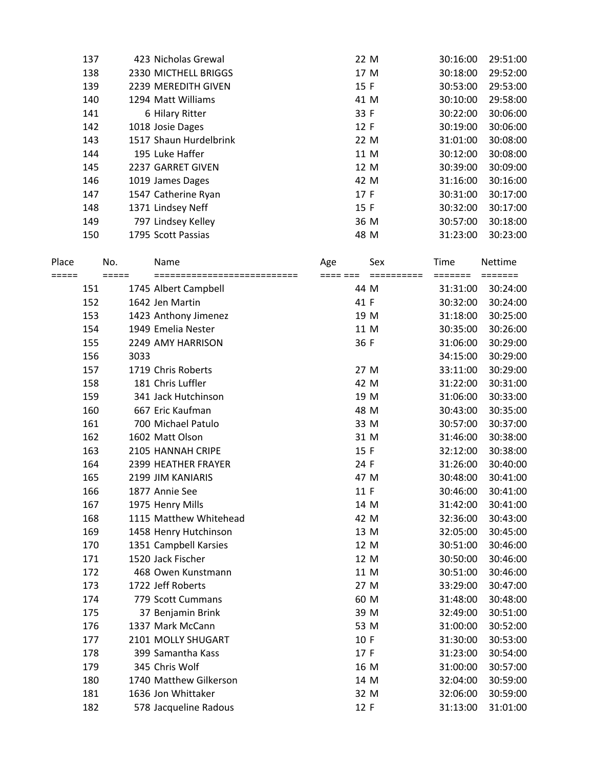| 137 | 423 Nicholas Grewal    | 22 M | 30:16:00 | 29:51:00 |
|-----|------------------------|------|----------|----------|
| 138 | 2330 MICTHELL BRIGGS   | 17 M | 30:18:00 | 29:52:00 |
| 139 | 2239 MEREDITH GIVEN    | 15 F | 30:53:00 | 29:53:00 |
| 140 | 1294 Matt Williams     | 41 M | 30:10:00 | 29:58:00 |
| 141 | 6 Hilary Ritter        | 33 F | 30:22:00 | 30:06:00 |
| 142 | 1018 Josie Dages       | 12 F | 30:19:00 | 30:06:00 |
| 143 | 1517 Shaun Hurdelbrink | 22 M | 31:01:00 | 30:08:00 |
| 144 | 195 Luke Haffer        | 11 M | 30:12:00 | 30:08:00 |
| 145 | 2237 GARRET GIVEN      | 12 M | 30:39:00 | 30:09:00 |
| 146 | 1019 James Dages       | 42 M | 31:16:00 | 30:16:00 |
| 147 | 1547 Catherine Ryan    | 17 F | 30:31:00 | 30:17:00 |
| 148 | 1371 Lindsey Neff      | 15 F | 30:32:00 | 30:17:00 |
| 149 | 797 Lindsey Kelley     | 36 M | 30:57:00 | 30:18:00 |
| 150 | 1795 Scott Passias     | 48 M | 31:23:00 | 30:23:00 |
|     |                        |      |          |          |

| Place   |     | No.     | Name                         | Age      | Sex        | Time     | Nettime                     |
|---------|-----|---------|------------------------------|----------|------------|----------|-----------------------------|
| $=====$ |     | $=====$ | ============================ | ==== === | ========== | =======  | $=$ $=$ $=$ $=$ $=$ $=$ $=$ |
|         | 151 |         | 1745 Albert Campbell         | 44 M     |            | 31:31:00 | 30:24:00                    |
|         | 152 |         | 1642 Jen Martin              | 41 F     |            | 30:32:00 | 30:24:00                    |
|         | 153 |         | 1423 Anthony Jimenez         | 19 M     |            | 31:18:00 | 30:25:00                    |
|         | 154 |         | 1949 Emelia Nester           | 11 M     |            | 30:35:00 | 30:26:00                    |
|         | 155 |         | 2249 AMY HARRISON            | 36 F     |            | 31:06:00 | 30:29:00                    |
|         | 156 | 3033    |                              |          |            | 34:15:00 | 30:29:00                    |
|         | 157 |         | 1719 Chris Roberts           | 27 M     |            | 33:11:00 | 30:29:00                    |
|         | 158 |         | 181 Chris Luffler            | 42 M     |            | 31:22:00 | 30:31:00                    |
|         | 159 |         | 341 Jack Hutchinson          | 19 M     |            | 31:06:00 | 30:33:00                    |
|         | 160 |         | 667 Eric Kaufman             | 48 M     |            | 30:43:00 | 30:35:00                    |
|         | 161 |         | 700 Michael Patulo           | 33 M     |            | 30:57:00 | 30:37:00                    |
|         | 162 |         | 1602 Matt Olson              | 31 M     |            | 31:46:00 | 30:38:00                    |
|         | 163 |         | 2105 HANNAH CRIPE            | 15 F     |            | 32:12:00 | 30:38:00                    |
|         | 164 |         | 2399 HEATHER FRAYER          | 24 F     |            | 31:26:00 | 30:40:00                    |
|         | 165 |         | 2199 JIM KANIARIS            | 47 M     |            | 30:48:00 | 30:41:00                    |
|         | 166 |         | 1877 Annie See               | 11 F     |            | 30:46:00 | 30:41:00                    |
|         | 167 |         | 1975 Henry Mills             | 14 M     |            | 31:42:00 | 30:41:00                    |
|         | 168 |         | 1115 Matthew Whitehead       | 42 M     |            | 32:36:00 | 30:43:00                    |
|         | 169 |         | 1458 Henry Hutchinson        | 13 M     |            | 32:05:00 | 30:45:00                    |
|         | 170 |         | 1351 Campbell Karsies        | 12 M     |            | 30:51:00 | 30:46:00                    |
|         | 171 |         | 1520 Jack Fischer            | 12 M     |            | 30:50:00 | 30:46:00                    |
|         | 172 |         | 468 Owen Kunstmann           | 11 M     |            | 30:51:00 | 30:46:00                    |
|         | 173 |         | 1722 Jeff Roberts            | 27 M     |            | 33:29:00 | 30:47:00                    |
|         | 174 |         | 779 Scott Cummans            | 60 M     |            | 31:48:00 | 30:48:00                    |
|         | 175 |         | 37 Benjamin Brink            | 39 M     |            | 32:49:00 | 30:51:00                    |
|         | 176 |         | 1337 Mark McCann             | 53 M     |            | 31:00:00 | 30:52:00                    |
|         | 177 |         | 2101 MOLLY SHUGART           | 10 F     |            | 31:30:00 | 30:53:00                    |
|         | 178 |         | 399 Samantha Kass            | 17 F     |            | 31:23:00 | 30:54:00                    |
|         | 179 |         | 345 Chris Wolf               | 16 M     |            | 31:00:00 | 30:57:00                    |
|         | 180 |         | 1740 Matthew Gilkerson       | 14 M     |            | 32:04:00 | 30:59:00                    |
|         | 181 |         | 1636 Jon Whittaker           | 32 M     |            | 32:06:00 | 30:59:00                    |
|         | 182 |         | 578 Jacqueline Radous        | 12 F     |            | 31:13:00 | 31:01:00                    |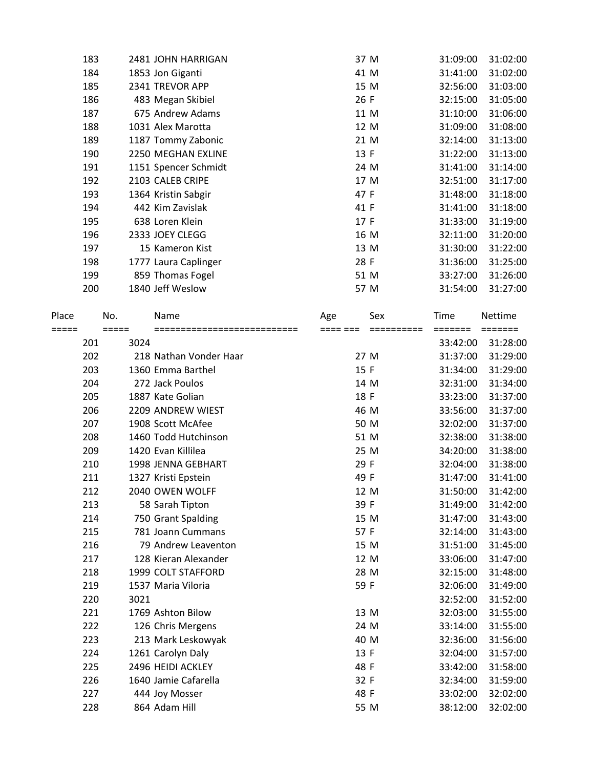|       | 183        |         | 2481 JOHN HARRIGAN                      |     | 37 M         | 31:09:00             | 31:02:00             |
|-------|------------|---------|-----------------------------------------|-----|--------------|----------------------|----------------------|
|       | 184        |         | 1853 Jon Giganti                        |     | 41 M         | 31:41:00             | 31:02:00             |
|       | 185        |         | 2341 TREVOR APP                         |     | 15 M         | 32:56:00             | 31:03:00             |
|       | 186        |         | 483 Megan Skibiel                       |     | 26 F         | 32:15:00             | 31:05:00             |
|       | 187        |         | 675 Andrew Adams                        |     | 11 M         | 31:10:00             | 31:06:00             |
|       | 188        |         | 1031 Alex Marotta                       |     | 12 M         | 31:09:00             | 31:08:00             |
|       | 189        |         | 1187 Tommy Zabonic                      |     | 21 M         | 32:14:00             | 31:13:00             |
|       | 190        |         | 2250 MEGHAN EXLINE                      |     | 13 F         | 31:22:00             | 31:13:00             |
|       | 191        |         | 1151 Spencer Schmidt                    |     | 24 M         | 31:41:00             | 31:14:00             |
|       | 192        |         | 2103 CALEB CRIPE                        |     | 17 M         | 32:51:00             | 31:17:00             |
|       | 193        |         | 1364 Kristin Sabgir                     |     | 47 F         | 31:48:00             | 31:18:00             |
|       | 194        |         | 442 Kim Zavislak                        |     | 41 F         | 31:41:00             | 31:18:00             |
|       | 195        |         | 638 Loren Klein                         |     | 17 F         | 31:33:00             | 31:19:00             |
|       | 196        |         | 2333 JOEY CLEGG                         |     | 16 M         | 32:11:00             | 31:20:00             |
|       | 197        |         | 15 Kameron Kist                         |     | 13 M         | 31:30:00             | 31:22:00             |
|       | 198        |         | 1777 Laura Caplinger                    |     | 28 F         | 31:36:00             | 31:25:00             |
|       | 199        |         | 859 Thomas Fogel                        |     | 51 M         | 33:27:00             | 31:26:00             |
|       | 200        |         | 1840 Jeff Weslow                        |     | 57 M         | 31:54:00             | 31:27:00             |
| Place |            | No.     | Name                                    | Age | Sex          | Time                 | Nettime              |
| ===== |            | $=====$ | ===========================             |     |              |                      |                      |
|       | 201        | 3024    |                                         |     |              | 33:42:00             | 31:28:00             |
|       | 202        |         | 218 Nathan Vonder Haar                  |     | 27 M         | 31:37:00             | 31:29:00             |
|       | 203        |         | 1360 Emma Barthel                       |     | 15 F         | 31:34:00             | 31:29:00             |
|       | 204        |         | 272 Jack Poulos                         |     | 14 M         | 32:31:00             | 31:34:00             |
|       | 205        |         | 1887 Kate Golian                        |     | 18 F         | 33:23:00             | 31:37:00             |
|       | 206        |         | 2209 ANDREW WIEST                       |     | 46 M         | 33:56:00             | 31:37:00             |
|       | 207        |         | 1908 Scott McAfee                       |     | 50 M         | 32:02:00             | 31:37:00             |
|       | 208        |         | 1460 Todd Hutchinson                    |     | 51 M         | 32:38:00             | 31:38:00             |
|       | 209        |         | 1420 Evan Killilea                      |     | 25 M         | 34:20:00             | 31:38:00             |
|       | 210        |         | 1998 JENNA GEBHART                      |     | 29 F         | 32:04:00             | 31:38:00             |
|       | 211        |         | 1327 Kristi Epstein<br>2040 OWEN WOLFF  |     | 49 F         | 31:47:00             | 31:41:00             |
|       | 212        |         |                                         |     | 12 M         | 31:50:00             | 31:42:00             |
|       | 213        |         | 58 Sarah Tipton                         |     | 39 F         | 31:49:00             | 31:42:00             |
|       | 214<br>215 |         | 750 Grant Spalding<br>781 Joann Cummans |     | 15 M<br>57 F | 31:47:00             | 31:43:00             |
|       | 216        |         | 79 Andrew Leaventon                     |     | 15 M         | 32:14:00<br>31:51:00 | 31:43:00<br>31:45:00 |
|       | 217        |         | 128 Kieran Alexander                    |     | 12 M         | 33:06:00             | 31:47:00             |
|       | 218        |         | 1999 COLT STAFFORD                      |     | 28 M         | 32:15:00             | 31:48:00             |
|       | 219        |         | 1537 Maria Viloria                      |     | 59 F         | 32:06:00             | 31:49:00             |
|       | 220        | 3021    |                                         |     |              | 32:52:00             | 31:52:00             |
|       | 221        |         | 1769 Ashton Bilow                       |     | 13 M         | 32:03:00             | 31:55:00             |
|       | 222        |         | 126 Chris Mergens                       |     | 24 M         | 33:14:00             | 31:55:00             |
|       | 223        |         | 213 Mark Leskowyak                      |     | 40 M         | 32:36:00             | 31:56:00             |
|       | 224        |         | 1261 Carolyn Daly                       |     | 13 F         | 32:04:00             | 31:57:00             |
|       | 225        |         | 2496 HEIDI ACKLEY                       |     | 48 F         | 33:42:00             | 31:58:00             |
|       | 226        |         | 1640 Jamie Cafarella                    |     | 32 F         | 32:34:00             | 31:59:00             |
|       | 227        |         | 444 Joy Mosser                          |     | 48 F         | 33:02:00             | 32:02:00             |
|       | 228        |         | 864 Adam Hill                           |     | 55 M         | 38:12:00             | 32:02:00             |
|       |            |         |                                         |     |              |                      |                      |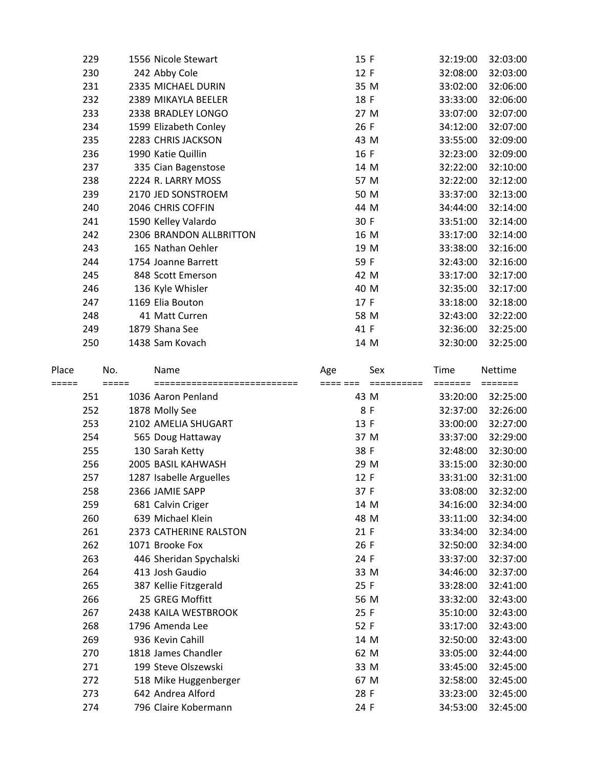| 229 | 1556 Nicole Stewart     | 15 F | 32:19:00 | 32:03:00 |
|-----|-------------------------|------|----------|----------|
| 230 | 242 Abby Cole           | 12 F | 32:08:00 | 32:03:00 |
| 231 | 2335 MICHAEL DURIN      | 35 M | 33:02:00 | 32:06:00 |
| 232 | 2389 MIKAYLA BEELER     | 18 F | 33:33:00 | 32:06:00 |
| 233 | 2338 BRADLEY LONGO      | 27 M | 33:07:00 | 32:07:00 |
| 234 | 1599 Elizabeth Conley   | 26 F | 34:12:00 | 32:07:00 |
| 235 | 2283 CHRIS JACKSON      | 43 M | 33:55:00 | 32:09:00 |
| 236 | 1990 Katie Quillin      | 16 F | 32:23:00 | 32:09:00 |
| 237 | 335 Cian Bagenstose     | 14 M | 32:22:00 | 32:10:00 |
| 238 | 2224 R. LARRY MOSS      | 57 M | 32:22:00 | 32:12:00 |
| 239 | 2170 JED SONSTROEM      | 50 M | 33:37:00 | 32:13:00 |
| 240 | 2046 CHRIS COFFIN       | 44 M | 34:44:00 | 32:14:00 |
| 241 | 1590 Kelley Valardo     | 30 F | 33:51:00 | 32:14:00 |
| 242 | 2306 BRANDON ALLBRITTON | 16 M | 33:17:00 | 32:14:00 |
| 243 | 165 Nathan Oehler       | 19 M | 33:38:00 | 32:16:00 |
| 244 | 1754 Joanne Barrett     | 59 F | 32:43:00 | 32:16:00 |
| 245 | 848 Scott Emerson       | 42 M | 33:17:00 | 32:17:00 |
| 246 | 136 Kyle Whisler        | 40 M | 32:35:00 | 32:17:00 |
| 247 | 1169 Elia Bouton        | 17 F | 33:18:00 | 32:18:00 |
| 248 | 41 Matt Curren          | 58 M | 32:43:00 | 32:22:00 |
| 249 | 1879 Shana See          | 41 F | 32:36:00 | 32:25:00 |
| 250 | 1438 Sam Kovach         | 14 M | 32:30:00 | 32:25:00 |
|     |                         |      |          |          |

| Place |     | No.   | Name                         | Age      | Sex        | Time     | Nettime  |
|-------|-----|-------|------------------------------|----------|------------|----------|----------|
| ===== |     | ===== | ============================ | ==== === | ========== | =======  | =======  |
|       | 251 |       | 1036 Aaron Penland           | 43 M     |            | 33:20:00 | 32:25:00 |
|       | 252 |       | 1878 Molly See               | 8 F      |            | 32:37:00 | 32:26:00 |
|       | 253 |       | 2102 AMELIA SHUGART          | 13 F     |            | 33:00:00 | 32:27:00 |
|       | 254 |       | 565 Doug Hattaway            | 37 M     |            | 33:37:00 | 32:29:00 |
|       | 255 |       | 130 Sarah Ketty              | 38 F     |            | 32:48:00 | 32:30:00 |
|       | 256 |       | 2005 BASIL KAHWASH           | 29 M     |            | 33:15:00 | 32:30:00 |
|       | 257 |       | 1287 Isabelle Arguelles      | 12 F     |            | 33:31:00 | 32:31:00 |
|       | 258 |       | 2366 JAMIE SAPP              | 37 F     |            | 33:08:00 | 32:32:00 |
|       | 259 |       | 681 Calvin Criger            | 14 M     |            | 34:16:00 | 32:34:00 |
|       | 260 |       | 639 Michael Klein            | 48 M     |            | 33:11:00 | 32:34:00 |
|       | 261 |       | 2373 CATHERINE RALSTON       | 21 F     |            | 33:34:00 | 32:34:00 |
|       | 262 |       | 1071 Brooke Fox              | 26 F     |            | 32:50:00 | 32:34:00 |
|       | 263 |       | 446 Sheridan Spychalski      | 24 F     |            | 33:37:00 | 32:37:00 |
|       | 264 |       | 413 Josh Gaudio              | 33 M     |            | 34:46:00 | 32:37:00 |
|       | 265 |       | 387 Kellie Fitzgerald        | 25 F     |            | 33:28:00 | 32:41:00 |
|       | 266 |       | 25 GREG Moffitt              | 56 M     |            | 33:32:00 | 32:43:00 |
|       | 267 |       | 2438 KAILA WESTBROOK         | 25 F     |            | 35:10:00 | 32:43:00 |
|       | 268 |       | 1796 Amenda Lee              | 52 F     |            | 33:17:00 | 32:43:00 |
|       | 269 |       | 936 Kevin Cahill             | 14 M     |            | 32:50:00 | 32:43:00 |
|       | 270 |       | 1818 James Chandler          | 62 M     |            | 33:05:00 | 32:44:00 |
|       | 271 |       | 199 Steve Olszewski          | 33 M     |            | 33:45:00 | 32:45:00 |
|       | 272 |       | 518 Mike Huggenberger        | 67 M     |            | 32:58:00 | 32:45:00 |
|       | 273 |       | 642 Andrea Alford            | 28 F     |            | 33:23:00 | 32:45:00 |
|       | 274 |       | 796 Claire Kobermann         | 24 F     |            | 34:53:00 | 32:45:00 |
|       |     |       |                              |          |            |          |          |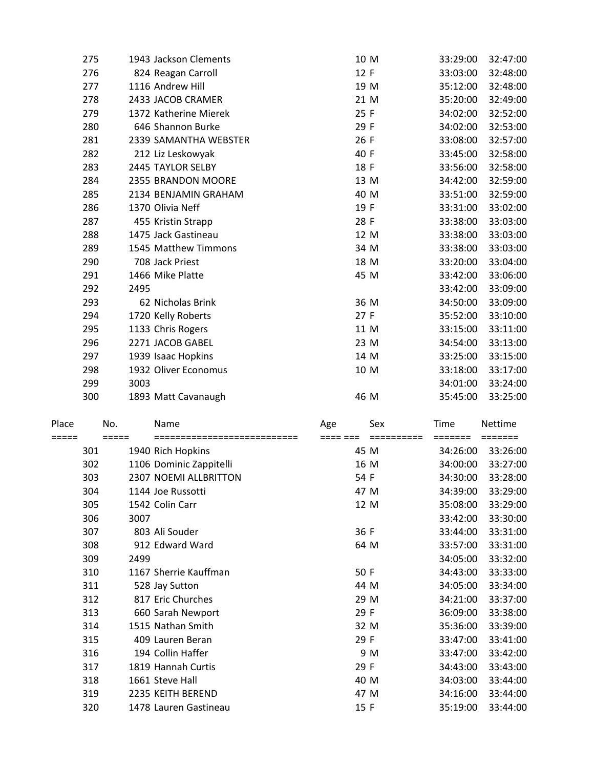| 275 | 1943 Jackson Clements | 10 M | 33:29:00 | 32:47:00 |
|-----|-----------------------|------|----------|----------|
| 276 | 824 Reagan Carroll    | 12 F | 33:03:00 | 32:48:00 |
| 277 | 1116 Andrew Hill      | 19 M | 35:12:00 | 32:48:00 |
| 278 | 2433 JACOB CRAMER     | 21 M | 35:20:00 | 32:49:00 |
| 279 | 1372 Katherine Mierek | 25 F | 34:02:00 | 32:52:00 |
| 280 | 646 Shannon Burke     | 29 F | 34:02:00 | 32:53:00 |
| 281 | 2339 SAMANTHA WEBSTER | 26 F | 33:08:00 | 32:57:00 |
| 282 | 212 Liz Leskowyak     | 40 F | 33:45:00 | 32:58:00 |
| 283 | 2445 TAYLOR SELBY     | 18 F | 33:56:00 | 32:58:00 |
| 284 | 2355 BRANDON MOORE    | 13 M | 34:42:00 | 32:59:00 |
| 285 | 2134 BENJAMIN GRAHAM  | 40 M | 33:51:00 | 32:59:00 |
| 286 | 1370 Olivia Neff      | 19 F | 33:31:00 | 33:02:00 |
| 287 | 455 Kristin Strapp    | 28 F | 33:38:00 | 33:03:00 |
| 288 | 1475 Jack Gastineau   | 12 M | 33:38:00 | 33:03:00 |
| 289 | 1545 Matthew Timmons  | 34 M | 33:38:00 | 33:03:00 |
| 290 | 708 Jack Priest       | 18 M | 33:20:00 | 33:04:00 |
| 291 | 1466 Mike Platte      | 45 M | 33:42:00 | 33:06:00 |
| 292 | 2495                  |      | 33:42:00 | 33:09:00 |
| 293 | 62 Nicholas Brink     | 36 M | 34:50:00 | 33:09:00 |
| 294 | 1720 Kelly Roberts    | 27 F | 35:52:00 | 33:10:00 |
| 295 | 1133 Chris Rogers     | 11 M | 33:15:00 | 33:11:00 |
| 296 | 2271 JACOB GABEL      | 23 M | 34:54:00 | 33:13:00 |
| 297 | 1939 Isaac Hopkins    | 14 M | 33:25:00 | 33:15:00 |
| 298 | 1932 Oliver Economus  | 10 M | 33:18:00 | 33:17:00 |
| 299 | 3003                  |      | 34:01:00 | 33:24:00 |
| 300 | 1893 Matt Cavanaugh   | 46 M | 35:45:00 | 33:25:00 |

| Place |     | No.   | Name                    | Age  | Sex  | Time     | Nettime  |
|-------|-----|-------|-------------------------|------|------|----------|----------|
|       |     | ===== |                         |      |      |          |          |
|       | 301 |       | 1940 Rich Hopkins       |      | 45 M | 34:26:00 | 33:26:00 |
|       | 302 |       | 1106 Dominic Zappitelli |      | 16 M | 34:00:00 | 33:27:00 |
|       | 303 |       | 2307 NOEMI ALLBRITTON   | 54 F |      | 34:30:00 | 33:28:00 |
|       | 304 |       | 1144 Joe Russotti       |      | 47 M | 34:39:00 | 33:29:00 |
|       | 305 |       | 1542 Colin Carr         |      | 12 M | 35:08:00 | 33:29:00 |
|       | 306 | 3007  |                         |      |      | 33:42:00 | 33:30:00 |
|       | 307 |       | 803 Ali Souder          | 36 F |      | 33:44:00 | 33:31:00 |
|       | 308 |       | 912 Edward Ward         |      | 64 M | 33:57:00 | 33:31:00 |
|       | 309 | 2499  |                         |      |      | 34:05:00 | 33:32:00 |
|       | 310 |       | 1167 Sherrie Kauffman   | 50 F |      | 34:43:00 | 33:33:00 |
|       | 311 |       | 528 Jay Sutton          |      | 44 M | 34:05:00 | 33:34:00 |
|       | 312 |       | 817 Eric Churches       |      | 29 M | 34:21:00 | 33:37:00 |
|       | 313 |       | 660 Sarah Newport       | 29 F |      | 36:09:00 | 33:38:00 |
|       | 314 |       | 1515 Nathan Smith       |      | 32 M | 35:36:00 | 33:39:00 |
|       | 315 |       | 409 Lauren Beran        | 29 F |      | 33:47:00 | 33:41:00 |
|       | 316 |       | 194 Collin Haffer       |      | 9 M  | 33:47:00 | 33:42:00 |
|       | 317 |       | 1819 Hannah Curtis      | 29 F |      | 34:43:00 | 33:43:00 |
|       | 318 |       | 1661 Steve Hall         |      | 40 M | 34:03:00 | 33:44:00 |
|       | 319 |       | 2235 KEITH BEREND       |      | 47 M | 34:16:00 | 33:44:00 |
|       | 320 |       | 1478 Lauren Gastineau   | 15 F |      | 35:19:00 | 33:44:00 |
|       |     |       |                         |      |      |          |          |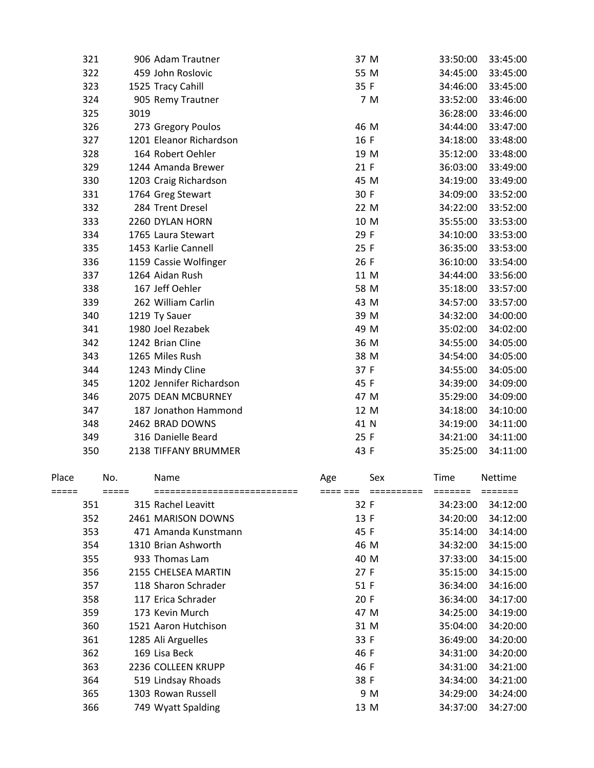| 321 | 906 Adam Trautner        | 37 M | 33:50:00 | 33:45:00 |
|-----|--------------------------|------|----------|----------|
| 322 | 459 John Roslovic        | 55 M | 34:45:00 | 33:45:00 |
| 323 | 1525 Tracy Cahill        | 35 F | 34:46:00 | 33:45:00 |
| 324 | 905 Remy Trautner        | 7 M  | 33:52:00 | 33:46:00 |
| 325 | 3019                     |      | 36:28:00 | 33:46:00 |
| 326 | 273 Gregory Poulos       | 46 M | 34:44:00 | 33:47:00 |
| 327 | 1201 Eleanor Richardson  | 16 F | 34:18:00 | 33:48:00 |
| 328 | 164 Robert Oehler        | 19 M | 35:12:00 | 33:48:00 |
| 329 | 1244 Amanda Brewer       | 21 F | 36:03:00 | 33:49:00 |
| 330 | 1203 Craig Richardson    | 45 M | 34:19:00 | 33:49:00 |
| 331 | 1764 Greg Stewart        | 30 F | 34:09:00 | 33:52:00 |
| 332 | 284 Trent Dresel         | 22 M | 34:22:00 | 33:52:00 |
| 333 | 2260 DYLAN HORN          | 10 M | 35:55:00 | 33:53:00 |
| 334 | 1765 Laura Stewart       | 29 F | 34:10:00 | 33:53:00 |
| 335 | 1453 Karlie Cannell      | 25 F | 36:35:00 | 33:53:00 |
| 336 | 1159 Cassie Wolfinger    | 26 F | 36:10:00 | 33:54:00 |
| 337 | 1264 Aidan Rush          | 11 M | 34:44:00 | 33:56:00 |
| 338 | 167 Jeff Oehler          | 58 M | 35:18:00 | 33:57:00 |
| 339 | 262 William Carlin       | 43 M | 34:57:00 | 33:57:00 |
| 340 | 1219 Ty Sauer            | 39 M | 34:32:00 | 34:00:00 |
| 341 | 1980 Joel Rezabek        | 49 M | 35:02:00 | 34:02:00 |
| 342 | 1242 Brian Cline         | 36 M | 34:55:00 | 34:05:00 |
| 343 | 1265 Miles Rush          | 38 M | 34:54:00 | 34:05:00 |
| 344 | 1243 Mindy Cline         | 37 F | 34:55:00 | 34:05:00 |
| 345 | 1202 Jennifer Richardson | 45 F | 34:39:00 | 34:09:00 |
| 346 | 2075 DEAN MCBURNEY       | 47 M | 35:29:00 | 34:09:00 |
| 347 | 187 Jonathon Hammond     | 12 M | 34:18:00 | 34:10:00 |
| 348 | 2462 BRAD DOWNS          | 41 N | 34:19:00 | 34:11:00 |
| 349 | 316 Danielle Beard       | 25 F | 34:21:00 | 34:11:00 |
| 350 | 2138 TIFFANY BRUMMER     | 43 F | 35:25:00 | 34:11:00 |

| Place |     | No. | Name                 | Age  | Sex  | Time     | <b>Nettime</b> |
|-------|-----|-----|----------------------|------|------|----------|----------------|
|       |     |     |                      |      |      | ======   |                |
|       | 351 |     | 315 Rachel Leavitt   | 32 F |      | 34:23:00 | 34:12:00       |
|       | 352 |     | 2461 MARISON DOWNS   | 13 F |      | 34:20:00 | 34:12:00       |
|       | 353 |     | 471 Amanda Kunstmann | 45 F |      | 35:14:00 | 34:14:00       |
|       | 354 |     | 1310 Brian Ashworth  | 46 M |      | 34:32:00 | 34:15:00       |
|       | 355 |     | 933 Thomas Lam       | 40 M |      | 37:33:00 | 34:15:00       |
|       | 356 |     | 2155 CHELSEA MARTIN  | 27 F |      | 35:15:00 | 34:15:00       |
|       | 357 |     | 118 Sharon Schrader  | 51 F |      | 36:34:00 | 34:16:00       |
|       | 358 |     | 117 Erica Schrader   | 20 F |      | 36:34:00 | 34:17:00       |
|       | 359 |     | 173 Kevin Murch      | 47 M |      | 34:25:00 | 34:19:00       |
|       | 360 |     | 1521 Aaron Hutchison |      | 31 M | 35:04:00 | 34:20:00       |
|       | 361 |     | 1285 Ali Arguelles   | 33 F |      | 36:49:00 | 34:20:00       |
|       | 362 |     | 169 Lisa Beck        | 46 F |      | 34:31:00 | 34:20:00       |
|       | 363 |     | 2236 COLLEEN KRUPP   | 46 F |      | 34:31:00 | 34:21:00       |
|       | 364 |     | 519 Lindsay Rhoads   | 38 F |      | 34:34:00 | 34:21:00       |
|       | 365 |     | 1303 Rowan Russell   |      | 9 M  | 34:29:00 | 34:24:00       |
|       | 366 |     | 749 Wyatt Spalding   | 13 M |      | 34:37:00 | 34:27:00       |
|       |     |     |                      |      |      |          |                |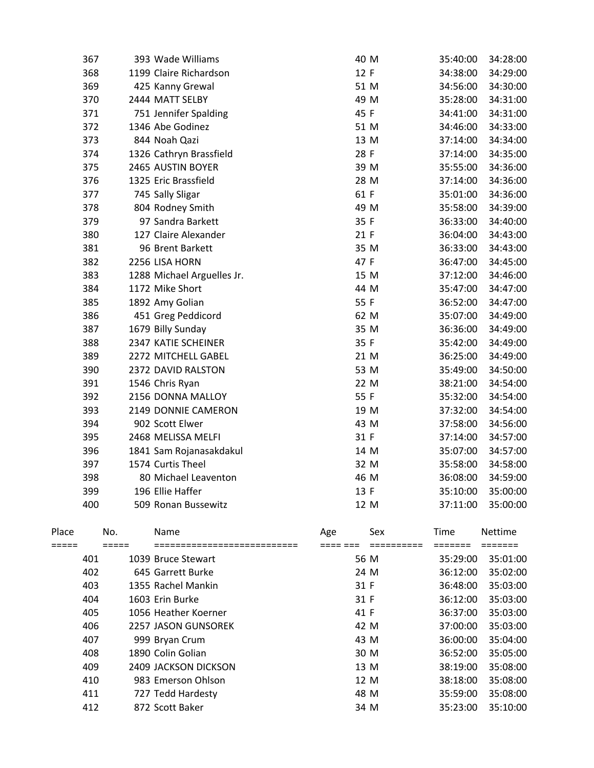|                | 367 |                | 393 Wade Williams                    | 40 M            |                   | 35:40:00        | 34:28:00                  |
|----------------|-----|----------------|--------------------------------------|-----------------|-------------------|-----------------|---------------------------|
|                | 368 |                | 1199 Claire Richardson               | 12 F            |                   | 34:38:00        | 34:29:00                  |
|                | 369 |                | 425 Kanny Grewal                     | 51 M            |                   | 34:56:00        | 34:30:00                  |
|                | 370 |                | 2444 MATT SELBY                      | 49 M            |                   | 35:28:00        | 34:31:00                  |
|                | 371 |                | 751 Jennifer Spalding                | 45 F            |                   | 34:41:00        | 34:31:00                  |
|                | 372 |                | 1346 Abe Godinez                     | 51 M            |                   | 34:46:00        | 34:33:00                  |
|                | 373 |                | 844 Noah Qazi                        | 13 M            |                   | 37:14:00        | 34:34:00                  |
|                | 374 |                | 1326 Cathryn Brassfield              | 28 F            |                   | 37:14:00        | 34:35:00                  |
|                | 375 |                | 2465 AUSTIN BOYER                    | 39 M            |                   | 35:55:00        | 34:36:00                  |
|                | 376 |                | 1325 Eric Brassfield                 | 28 M            |                   | 37:14:00        | 34:36:00                  |
|                | 377 |                | 745 Sally Sligar                     | 61 F            |                   | 35:01:00        | 34:36:00                  |
|                | 378 |                | 804 Rodney Smith                     | 49 M            |                   | 35:58:00        | 34:39:00                  |
|                | 379 |                | 97 Sandra Barkett                    | 35 F            |                   | 36:33:00        | 34:40:00                  |
|                | 380 |                | 127 Claire Alexander                 | 21 F            |                   | 36:04:00        | 34:43:00                  |
|                | 381 |                | 96 Brent Barkett                     | 35 M            |                   | 36:33:00        | 34:43:00                  |
|                | 382 |                | 2256 LISA HORN                       | 47 F            |                   | 36:47:00        | 34:45:00                  |
|                | 383 |                | 1288 Michael Arguelles Jr.           | 15 M            |                   | 37:12:00        | 34:46:00                  |
|                | 384 |                | 1172 Mike Short                      | 44 M            |                   | 35:47:00        | 34:47:00                  |
|                | 385 |                | 1892 Amy Golian                      | 55 F            |                   | 36:52:00        | 34:47:00                  |
|                | 386 |                | 451 Greg Peddicord                   | 62 M            |                   | 35:07:00        | 34:49:00                  |
|                | 387 |                | 1679 Billy Sunday                    | 35 M            |                   | 36:36:00        | 34:49:00                  |
|                | 388 |                | 2347 KATIE SCHEINER                  | 35 F            |                   | 35:42:00        | 34:49:00                  |
|                | 389 |                | 2272 MITCHELL GABEL                  | 21 M            |                   | 36:25:00        | 34:49:00                  |
|                | 390 |                | 2372 DAVID RALSTON                   | 53 M            |                   | 35:49:00        | 34:50:00                  |
|                | 391 |                | 1546 Chris Ryan                      | 22 M            |                   | 38:21:00        | 34:54:00                  |
|                | 392 |                | 2156 DONNA MALLOY                    | 55 F            |                   | 35:32:00        | 34:54:00                  |
|                | 393 |                | 2149 DONNIE CAMERON                  | 19 M            |                   | 37:32:00        | 34:54:00                  |
|                | 394 |                | 902 Scott Elwer                      | 43 M            |                   | 37:58:00        | 34:56:00                  |
|                | 395 |                | 2468 MELISSA MELFI                   | 31 F            |                   | 37:14:00        | 34:57:00                  |
|                | 396 |                | 1841 Sam Rojanasakdakul              | 14 M            |                   | 35:07:00        | 34:57:00                  |
|                | 397 |                | 1574 Curtis Theel                    | 32 M            |                   | 35:58:00        | 34:58:00                  |
|                | 398 |                | 80 Michael Leaventon                 | 46 M            |                   | 36:08:00        | 34:59:00                  |
|                | 399 |                | 196 Ellie Haffer                     | 13 F            |                   | 35:10:00        | 35:00:00                  |
|                | 400 |                | 509 Ronan Bussewitz                  | 12 M            |                   | 37:11:00        | 35:00:00                  |
| Place<br>===== |     | No.<br>$=====$ | Name<br>============================ | Age<br>==== === | Sex<br>========== | Time<br>======= | <b>Nettime</b><br>======= |
|                | 401 |                | 1039 Bruce Stewart                   | 56 M            |                   | 35:29:00        | 35:01:00                  |
|                | 402 |                | 645 Garrett Burke                    | 24 M            |                   | 36:12:00        | 35:02:00                  |
|                | 403 |                | 1355 Rachel Mankin                   | 31 F            |                   | 36:48:00        | 35:03:00                  |
|                | 404 |                | 1603 Erin Burke                      | 31 F            |                   | 36:12:00        | 35:03:00                  |
|                | 405 |                | 1056 Heather Koerner                 | 41 F            |                   | 36:37:00        | 35:03:00                  |
|                | 406 |                | 2257 JASON GUNSOREK                  | 42 M            |                   | 37:00:00        | 35:03:00                  |
|                | 407 |                | 999 Bryan Crum                       | 43 M            |                   | 36:00:00        | 35:04:00                  |
|                | 408 |                | 1890 Colin Golian                    | 30 M            |                   | 36:52:00        | 35:05:00                  |
|                | 409 |                | 2409 JACKSON DICKSON                 | 13 M            |                   | 38:19:00        | 35:08:00                  |
|                | 410 |                | 983 Emerson Ohlson                   | 12 M            |                   | 38:18:00        | 35:08:00                  |
|                | 411 |                | 727 Tedd Hardesty                    | 48 M            |                   | 35:59:00        | 35:08:00                  |
|                | 412 |                | 872 Scott Baker                      | 34 M            |                   | 35:23:00        | 35:10:00                  |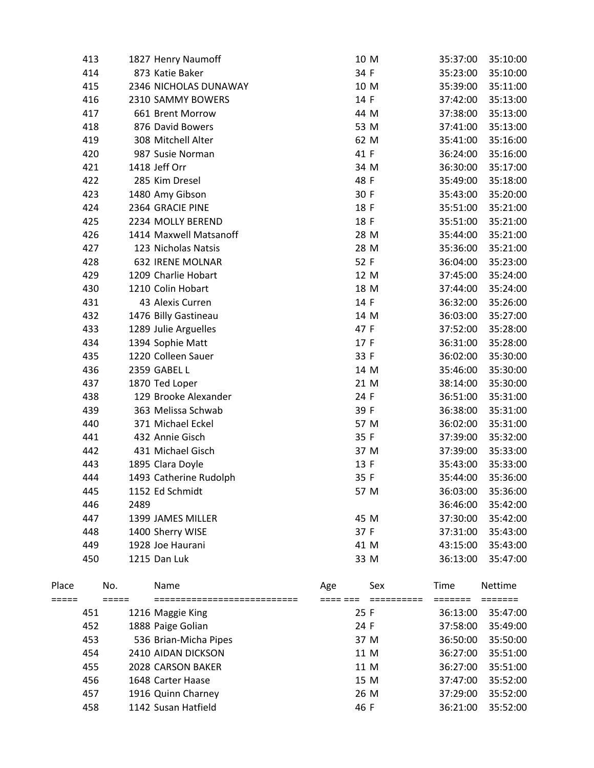|                | 413 |      | 1827 Henry Naumoff      |      | 10 M | 35:37:00        | 35:10:00          |
|----------------|-----|------|-------------------------|------|------|-----------------|-------------------|
|                | 414 |      | 873 Katie Baker         | 34 F |      | 35:23:00        | 35:10:00          |
|                | 415 |      | 2346 NICHOLAS DUNAWAY   |      | 10 M | 35:39:00        | 35:11:00          |
|                | 416 |      | 2310 SAMMY BOWERS       | 14 F |      | 37:42:00        | 35:13:00          |
|                | 417 |      | 661 Brent Morrow        |      | 44 M | 37:38:00        | 35:13:00          |
|                | 418 |      | 876 David Bowers        |      | 53 M | 37:41:00        | 35:13:00          |
|                | 419 |      | 308 Mitchell Alter      |      | 62 M | 35:41:00        | 35:16:00          |
|                | 420 |      | 987 Susie Norman        | 41 F |      | 36:24:00        | 35:16:00          |
|                | 421 |      | 1418 Jeff Orr           |      | 34 M | 36:30:00        | 35:17:00          |
|                | 422 |      | 285 Kim Dresel          | 48 F |      | 35:49:00        | 35:18:00          |
|                | 423 |      | 1480 Amy Gibson         | 30 F |      | 35:43:00        | 35:20:00          |
|                | 424 |      | 2364 GRACIE PINE        | 18 F |      | 35:51:00        | 35:21:00          |
|                | 425 |      | 2234 MOLLY BEREND       | 18 F |      | 35:51:00        | 35:21:00          |
|                | 426 |      | 1414 Maxwell Matsanoff  |      | 28 M | 35:44:00        | 35:21:00          |
|                | 427 |      | 123 Nicholas Natsis     |      | 28 M | 35:36:00        | 35:21:00          |
|                | 428 |      | <b>632 IRENE MOLNAR</b> | 52 F |      | 36:04:00        | 35:23:00          |
|                | 429 |      | 1209 Charlie Hobart     |      | 12 M | 37:45:00        | 35:24:00          |
|                | 430 |      | 1210 Colin Hobart       |      | 18 M | 37:44:00        | 35:24:00          |
|                | 431 |      | 43 Alexis Curren        | 14 F |      | 36:32:00        | 35:26:00          |
|                | 432 |      | 1476 Billy Gastineau    |      | 14 M | 36:03:00        | 35:27:00          |
|                | 433 |      | 1289 Julie Arguelles    | 47 F |      | 37:52:00        | 35:28:00          |
|                | 434 |      | 1394 Sophie Matt        | 17 F |      | 36:31:00        | 35:28:00          |
|                | 435 |      | 1220 Colleen Sauer      | 33 F |      | 36:02:00        | 35:30:00          |
|                | 436 |      | 2359 GABEL L            |      | 14 M | 35:46:00        | 35:30:00          |
|                | 437 |      | 1870 Ted Loper          |      | 21 M | 38:14:00        | 35:30:00          |
|                | 438 |      | 129 Brooke Alexander    | 24 F |      | 36:51:00        | 35:31:00          |
|                | 439 |      | 363 Melissa Schwab      | 39 F |      | 36:38:00        | 35:31:00          |
|                | 440 |      | 371 Michael Eckel       |      | 57 M | 36:02:00        | 35:31:00          |
|                | 441 |      | 432 Annie Gisch         | 35 F |      | 37:39:00        | 35:32:00          |
|                | 442 |      | 431 Michael Gisch       |      | 37 M | 37:39:00        | 35:33:00          |
|                | 443 |      | 1895 Clara Doyle        | 13 F |      | 35:43:00        | 35:33:00          |
|                | 444 |      | 1493 Catherine Rudolph  | 35 F |      | 35:44:00        | 35:36:00          |
|                | 445 |      | 1152 Ed Schmidt         |      | 57 M | 36:03:00        | 35:36:00          |
|                | 446 | 2489 |                         |      |      | 36:46:00        | 35:42:00          |
|                | 447 |      | 1399 JAMES MILLER       |      | 45 M | 37:30:00        | 35:42:00          |
|                | 448 |      | 1400 Sherry WISE        | 37 F |      | 37:31:00        | 35:43:00          |
|                | 449 |      | 1928 Joe Haurani        |      | 41 M | 43:15:00        | 35:43:00          |
|                | 450 |      | 1215 Dan Luk            |      | 33 M | 36:13:00        | 35:47:00          |
| Place<br>===== |     | No.  | Name                    | Age  | Sex  | Time<br>======= | Nettime<br>====== |
|                | 451 |      | 1216 Maggie King        | 25 F |      | 36:13:00        | 35:47:00          |
|                | 452 |      | 1888 Paige Golian       | 24 F |      | 37:58:00        | 35:49:00          |
|                | 453 |      | 536 Brian-Micha Pipes   |      | 37 M | 36:50:00        | 35:50:00          |
|                | 454 |      | 2410 AIDAN DICKSON      |      | 11 M | 36:27:00        | 35:51:00          |
|                | 455 |      | 2028 CARSON BAKER       |      | 11 M | 36:27:00        | 35:51:00          |
|                | 456 |      | 1648 Carter Haase       |      | 15 M | 37:47:00        | 35:52:00          |
|                | 457 |      | 1916 Quinn Charney      |      | 26 M | 37:29:00        | 35:52:00          |
|                | 458 |      | 1142 Susan Hatfield     | 46 F |      | 36:21:00        | 35:52:00          |
|                |     |      |                         |      |      |                 |                   |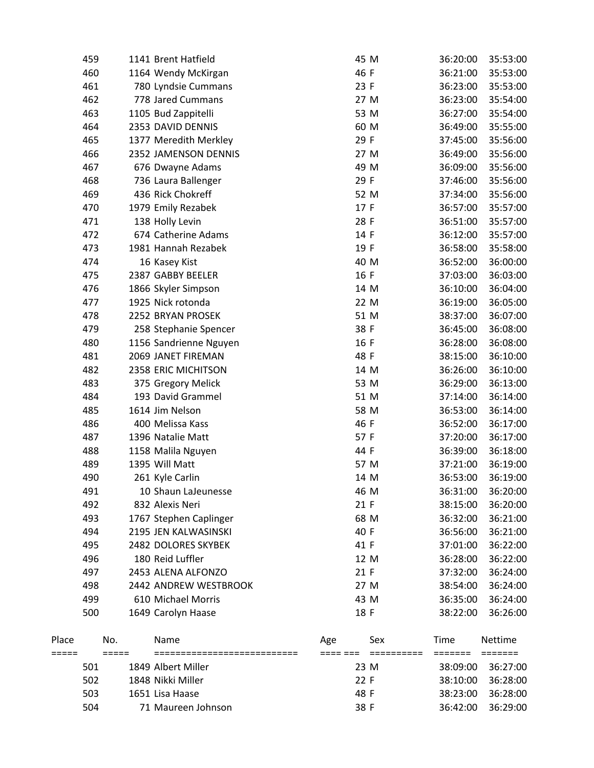|                | 459 |                            | 1141 Brent Hatfield                  | 45 M            |                      | 36:20:00                            | 35:53:00 |
|----------------|-----|----------------------------|--------------------------------------|-----------------|----------------------|-------------------------------------|----------|
|                | 460 |                            | 1164 Wendy McKirgan                  | 46 F            |                      | 36:21:00                            | 35:53:00 |
|                | 461 |                            | 780 Lyndsie Cummans                  | 23 F            |                      | 36:23:00                            | 35:53:00 |
|                | 462 |                            | 778 Jared Cummans                    | 27 M            |                      | 36:23:00                            | 35:54:00 |
|                | 463 |                            | 1105 Bud Zappitelli                  | 53 M            |                      | 36:27:00                            | 35:54:00 |
|                | 464 |                            | 2353 DAVID DENNIS                    | 60 M            |                      | 36:49:00                            | 35:55:00 |
|                | 465 |                            | 1377 Meredith Merkley                | 29 F            |                      | 37:45:00                            | 35:56:00 |
|                | 466 |                            | 2352 JAMENSON DENNIS                 | 27 M            |                      | 36:49:00                            | 35:56:00 |
|                | 467 |                            | 676 Dwayne Adams                     | 49 M            |                      | 36:09:00                            | 35:56:00 |
|                | 468 |                            | 736 Laura Ballenger                  | 29 F            |                      | 37:46:00                            | 35:56:00 |
|                | 469 |                            | 436 Rick Chokreff                    | 52 M            |                      | 37:34:00                            | 35:56:00 |
|                | 470 |                            | 1979 Emily Rezabek                   | 17 F            |                      | 36:57:00                            | 35:57:00 |
|                | 471 |                            | 138 Holly Levin                      | 28 F            |                      | 36:51:00                            | 35:57:00 |
|                | 472 |                            | 674 Catherine Adams                  | 14 F            |                      | 36:12:00                            | 35:57:00 |
|                | 473 |                            | 1981 Hannah Rezabek                  | 19 F            |                      | 36:58:00                            | 35:58:00 |
|                | 474 |                            | 16 Kasey Kist                        | 40 M            |                      | 36:52:00                            | 36:00:00 |
|                | 475 |                            | 2387 GABBY BEELER                    | 16 F            |                      | 37:03:00                            | 36:03:00 |
|                | 476 |                            | 1866 Skyler Simpson                  | 14 M            |                      | 36:10:00                            | 36:04:00 |
|                | 477 |                            | 1925 Nick rotonda                    | 22 M            |                      | 36:19:00                            | 36:05:00 |
|                | 478 |                            | 2252 BRYAN PROSEK                    | 51 M            |                      | 38:37:00                            | 36:07:00 |
|                | 479 |                            | 258 Stephanie Spencer                | 38 F            |                      | 36:45:00                            | 36:08:00 |
|                | 480 |                            | 1156 Sandrienne Nguyen               | 16 F            |                      | 36:28:00                            | 36:08:00 |
|                | 481 |                            | 2069 JANET FIREMAN                   | 48 F            |                      | 38:15:00                            | 36:10:00 |
|                | 482 |                            | 2358 ERIC MICHITSON                  | 14 M            |                      | 36:26:00                            | 36:10:00 |
|                | 483 |                            | 375 Gregory Melick                   | 53 M            |                      | 36:29:00                            | 36:13:00 |
|                | 484 |                            | 193 David Grammel                    | 51 M            |                      | 37:14:00                            | 36:14:00 |
|                | 485 |                            | 1614 Jim Nelson                      | 58 M            |                      | 36:53:00                            | 36:14:00 |
|                | 486 |                            | 400 Melissa Kass                     | 46 F            |                      | 36:52:00                            | 36:17:00 |
|                | 487 |                            | 1396 Natalie Matt                    | 57 F            |                      | 37:20:00                            | 36:17:00 |
|                | 488 |                            | 1158 Malila Nguyen                   | 44 F            |                      | 36:39:00                            | 36:18:00 |
|                | 489 |                            | 1395 Will Matt                       | 57 M            |                      | 37:21:00                            | 36:19:00 |
|                | 490 |                            | 261 Kyle Carlin                      | 14 M            |                      | 36:53:00                            | 36:19:00 |
|                | 491 |                            | 10 Shaun LaJeunesse                  | 46 M            |                      | 36:31:00                            | 36:20:00 |
|                | 492 |                            | 832 Alexis Neri                      | 21 F            |                      | 38:15:00                            | 36:20:00 |
|                | 493 |                            | 1767 Stephen Caplinger               | 68 M            |                      | 36:32:00                            | 36:21:00 |
|                | 494 |                            | 2195 JEN KALWASINSKI                 | 40 F            |                      | 36:56:00                            | 36:21:00 |
|                | 495 |                            | 2482 DOLORES SKYBEK                  | 41 F            |                      | 37:01:00                            | 36:22:00 |
|                | 496 |                            | 180 Reid Luffler                     | 12 M            |                      | 36:28:00                            | 36:22:00 |
|                | 497 |                            | 2453 ALENA ALFONZO                   | 21 F            |                      | 37:32:00                            | 36:24:00 |
|                | 498 |                            | 2442 ANDREW WESTBROOK                | 27 M            |                      | 38:54:00                            | 36:24:00 |
|                | 499 |                            | 610 Michael Morris                   | 43 M            |                      | 36:35:00                            | 36:24:00 |
|                | 500 |                            | 1649 Carolyn Haase                   | 18 F            |                      | 38:22:00                            | 36:26:00 |
| Place<br>===== |     | No.<br>$=$ $=$ $=$ $=$ $=$ | Name<br>============================ | Age<br>==== === | Sex<br>$=$ ========= | Time<br>$=$ $=$ $=$ $=$ $=$ $=$ $=$ | Nettime  |
|                | 501 |                            | 1849 Albert Miller                   | 23 M            |                      | 38:09:00                            | 36:27:00 |
|                | 502 |                            | 1848 Nikki Miller                    | 22 F            |                      | 38:10:00                            | 36:28:00 |
|                | 503 |                            | 1651 Lisa Haase                      | 48 F            |                      | 38:23:00                            | 36:28:00 |
|                | 504 |                            | 71 Maureen Johnson                   | 38 F            |                      | 36:42:00                            | 36:29:00 |
|                |     |                            |                                      |                 |                      |                                     |          |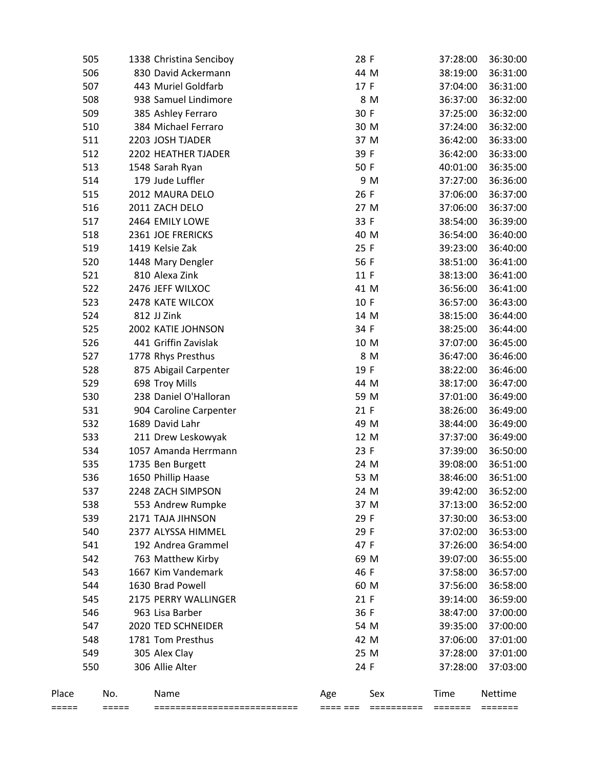| ===== |     | $=====$ | ============================ | ==== === | ========== | =======  | $=$ $=$ $=$ $=$ $=$ $=$ $=$ |
|-------|-----|---------|------------------------------|----------|------------|----------|-----------------------------|
| Place |     | No.     | Name                         | Age      | Sex        | Time     | Nettime                     |
|       | 550 |         | 306 Allie Alter              | 24 F     |            | 37:28:00 | 37:03:00                    |
|       | 549 |         | 305 Alex Clay                | 25 M     |            | 37:28:00 | 37:01:00                    |
|       | 548 |         | 1781 Tom Presthus            | 42 M     |            | 37:06:00 | 37:01:00                    |
|       | 547 |         | 2020 TED SCHNEIDER           | 54 M     |            | 39:35:00 | 37:00:00                    |
|       | 546 |         | 963 Lisa Barber              | 36 F     |            | 38:47:00 | 37:00:00                    |
|       | 545 |         | 2175 PERRY WALLINGER         | 21 F     |            | 39:14:00 | 36:59:00                    |
|       | 544 |         | 1630 Brad Powell             | 60 M     |            | 37:56:00 | 36:58:00                    |
|       | 543 |         | 1667 Kim Vandemark           | 46 F     |            | 37:58:00 | 36:57:00                    |
|       | 542 |         | 763 Matthew Kirby            | 69 M     |            | 39:07:00 | 36:55:00                    |
|       | 541 |         | 192 Andrea Grammel           | 47 F     |            | 37:26:00 | 36:54:00                    |
|       | 540 |         | 2377 ALYSSA HIMMEL           | 29 F     |            | 37:02:00 | 36:53:00                    |
|       | 539 |         | 2171 TAJA JIHNSON            | 29 F     |            | 37:30:00 | 36:53:00                    |
|       | 538 |         | 553 Andrew Rumpke            | 37 M     |            | 37:13:00 | 36:52:00                    |
|       | 537 |         | 2248 ZACH SIMPSON            | 24 M     |            | 39:42:00 | 36:52:00                    |
|       | 536 |         | 1650 Phillip Haase           | 53 M     |            | 38:46:00 | 36:51:00                    |
|       | 535 |         | 1735 Ben Burgett             | 24 M     |            | 39:08:00 | 36:51:00                    |
|       | 534 |         | 1057 Amanda Herrmann         | 23 F     |            | 37:39:00 | 36:50:00                    |
|       | 533 |         | 211 Drew Leskowyak           | 12 M     |            | 37:37:00 | 36:49:00                    |
|       | 532 |         | 1689 David Lahr              | 49 M     |            | 38:44:00 | 36:49:00                    |
|       | 531 |         | 904 Caroline Carpenter       | 21 F     |            | 38:26:00 | 36:49:00                    |
|       | 530 |         | 238 Daniel O'Halloran        | 59 M     |            | 37:01:00 | 36:49:00                    |
|       | 529 |         | 698 Troy Mills               | 44 M     |            | 38:17:00 | 36:47:00                    |
|       | 528 |         | 875 Abigail Carpenter        | 19 F     |            | 38:22:00 | 36:46:00                    |
|       | 527 |         | 1778 Rhys Presthus           |          | 8 M        | 36:47:00 | 36:46:00                    |
|       | 526 |         | 441 Griffin Zavislak         | 10 M     |            | 37:07:00 | 36:45:00                    |
|       | 525 |         | 2002 KATIE JOHNSON           | 34 F     |            | 38:25:00 | 36:44:00                    |
|       | 524 |         | 812 JJ Zink                  | 14 M     |            | 38:15:00 | 36:44:00                    |
|       | 523 |         | 2478 KATE WILCOX             | 10 F     |            | 36:57:00 | 36:43:00                    |
|       | 522 |         | 2476 JEFF WILXOC             | 41 M     |            | 36:56:00 | 36:41:00                    |
|       | 521 |         | 810 Alexa Zink               | 11 F     |            | 38:13:00 | 36:41:00                    |
|       | 520 |         | 1448 Mary Dengler            | 56 F     |            | 38:51:00 | 36:41:00                    |
|       | 519 |         | 1419 Kelsie Zak              | 25 F     |            | 39:23:00 | 36:40:00                    |
|       | 518 |         | 2361 JOE FRERICKS            | 40 M     |            | 36:54:00 | 36:40:00                    |
|       | 517 |         | 2464 EMILY LOWE              | 33 F     |            | 38:54:00 | 36:39:00                    |
|       | 516 |         | 2011 ZACH DELO               | 27 M     |            | 37:06:00 | 36:37:00                    |
|       | 515 |         | 2012 MAURA DELO              | 26 F     |            | 37:06:00 | 36:37:00                    |
|       | 514 |         | 179 Jude Luffler             |          | 9 M        | 37:27:00 | 36:36:00                    |
|       | 513 |         | 1548 Sarah Ryan              | 50 F     |            | 40:01:00 | 36:35:00                    |
|       | 512 |         | 2202 HEATHER TJADER          | 39 F     |            | 36:42:00 | 36:33:00                    |
|       | 511 |         | 2203 JOSH TJADER             | 37 M     |            | 36:42:00 | 36:33:00                    |
|       | 510 |         | 384 Michael Ferraro          | 30 M     |            | 37:24:00 | 36:32:00                    |
|       | 509 |         | 385 Ashley Ferraro           | 30 F     |            | 37:25:00 | 36:32:00                    |
|       | 508 |         | 938 Samuel Lindimore         |          | 8 M        | 36:37:00 | 36:32:00                    |
|       | 507 |         | 443 Muriel Goldfarb          | 17 F     |            | 37:04:00 | 36:31:00                    |
|       | 506 |         | 830 David Ackermann          | 44 M     |            | 38:19:00 | 36:31:00                    |
|       | 505 |         | 1338 Christina Senciboy      | 28 F     |            | 37:28:00 | 36:30:00                    |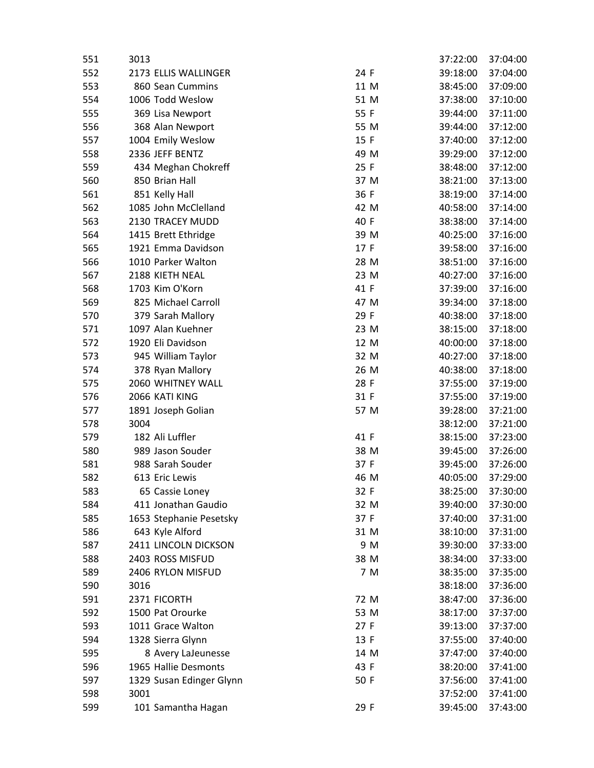| 551 | 3013 |                          |      |     | 37:22:00 | 37:04:00 |
|-----|------|--------------------------|------|-----|----------|----------|
| 552 |      | 2173 ELLIS WALLINGER     | 24 F |     | 39:18:00 | 37:04:00 |
| 553 |      | 860 Sean Cummins         | 11 M |     | 38:45:00 | 37:09:00 |
| 554 |      | 1006 Todd Weslow         | 51 M |     | 37:38:00 | 37:10:00 |
| 555 |      | 369 Lisa Newport         | 55 F |     | 39:44:00 | 37:11:00 |
| 556 |      | 368 Alan Newport         | 55 M |     | 39:44:00 | 37:12:00 |
| 557 |      | 1004 Emily Weslow        | 15 F |     | 37:40:00 | 37:12:00 |
| 558 |      | 2336 JEFF BENTZ          | 49 M |     | 39:29:00 | 37:12:00 |
| 559 |      | 434 Meghan Chokreff      | 25 F |     | 38:48:00 | 37:12:00 |
| 560 |      | 850 Brian Hall           | 37 M |     | 38:21:00 | 37:13:00 |
| 561 |      | 851 Kelly Hall           | 36 F |     | 38:19:00 | 37:14:00 |
| 562 |      | 1085 John McClelland     | 42 M |     | 40:58:00 | 37:14:00 |
| 563 |      | 2130 TRACEY MUDD         | 40 F |     | 38:38:00 | 37:14:00 |
| 564 |      | 1415 Brett Ethridge      | 39 M |     | 40:25:00 | 37:16:00 |
| 565 |      | 1921 Emma Davidson       | 17 F |     | 39:58:00 | 37:16:00 |
| 566 |      | 1010 Parker Walton       | 28 M |     | 38:51:00 | 37:16:00 |
| 567 |      | 2188 KIETH NEAL          | 23 M |     | 40:27:00 | 37:16:00 |
| 568 |      | 1703 Kim O'Korn          | 41 F |     | 37:39:00 | 37:16:00 |
| 569 |      | 825 Michael Carroll      | 47 M |     | 39:34:00 | 37:18:00 |
| 570 |      | 379 Sarah Mallory        | 29 F |     | 40:38:00 | 37:18:00 |
| 571 |      | 1097 Alan Kuehner        | 23 M |     | 38:15:00 | 37:18:00 |
| 572 |      | 1920 Eli Davidson        | 12 M |     | 40:00:00 | 37:18:00 |
| 573 |      | 945 William Taylor       | 32 M |     | 40:27:00 | 37:18:00 |
| 574 |      | 378 Ryan Mallory         | 26 M |     | 40:38:00 | 37:18:00 |
| 575 |      | 2060 WHITNEY WALL        | 28 F |     | 37:55:00 | 37:19:00 |
| 576 |      | 2066 KATI KING           | 31 F |     | 37:55:00 | 37:19:00 |
| 577 |      | 1891 Joseph Golian       | 57 M |     | 39:28:00 | 37:21:00 |
| 578 | 3004 |                          |      |     | 38:12:00 | 37:21:00 |
| 579 |      | 182 Ali Luffler          | 41 F |     | 38:15:00 | 37:23:00 |
| 580 |      | 989 Jason Souder         | 38 M |     | 39:45:00 | 37:26:00 |
| 581 |      | 988 Sarah Souder         | 37 F |     | 39:45:00 | 37:26:00 |
| 582 |      | 613 Eric Lewis           | 46 M |     | 40:05:00 | 37:29:00 |
| 583 |      | 65 Cassie Loney          | 32 F |     | 38:25:00 | 37:30:00 |
| 584 |      | 411 Jonathan Gaudio      | 32 M |     | 39:40:00 | 37:30:00 |
| 585 |      | 1653 Stephanie Pesetsky  | 37 F |     | 37:40:00 | 37:31:00 |
| 586 |      | 643 Kyle Alford          | 31 M |     | 38:10:00 | 37:31:00 |
| 587 |      | 2411 LINCOLN DICKSON     |      | 9 M | 39:30:00 | 37:33:00 |
| 588 |      | 2403 ROSS MISFUD         | 38 M |     | 38:34:00 | 37:33:00 |
| 589 |      | 2406 RYLON MISFUD        |      | 7 M | 38:35:00 | 37:35:00 |
| 590 | 3016 |                          |      |     | 38:18:00 | 37:36:00 |
| 591 |      | 2371 FICORTH             | 72 M |     | 38:47:00 | 37:36:00 |
| 592 |      | 1500 Pat Orourke         | 53 M |     | 38:17:00 | 37:37:00 |
| 593 |      | 1011 Grace Walton        | 27 F |     | 39:13:00 | 37:37:00 |
| 594 |      | 1328 Sierra Glynn        | 13 F |     | 37:55:00 | 37:40:00 |
| 595 |      | 8 Avery LaJeunesse       | 14 M |     | 37:47:00 | 37:40:00 |
| 596 |      | 1965 Hallie Desmonts     | 43 F |     | 38:20:00 | 37:41:00 |
| 597 |      | 1329 Susan Edinger Glynn | 50 F |     | 37:56:00 | 37:41:00 |
| 598 | 3001 |                          |      |     | 37:52:00 | 37:41:00 |
| 599 |      | 101 Samantha Hagan       | 29 F |     | 39:45:00 | 37:43:00 |
|     |      |                          |      |     |          |          |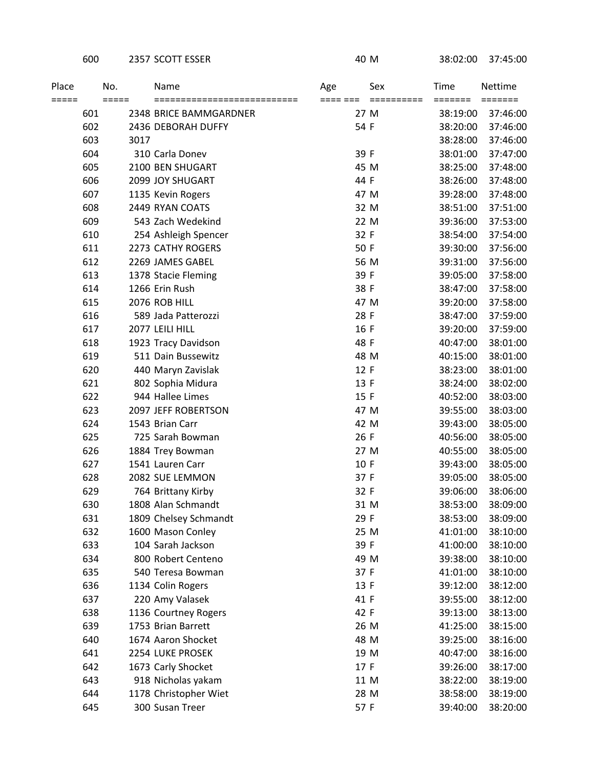## 600 2357 SCOTT ESSER 40 M 38:02:00 37:45:00

| Place<br>===== |     | No.<br>===== | Name                                                  | Age      | Sex                | Time     | Nettime                                 |
|----------------|-----|--------------|-------------------------------------------------------|----------|--------------------|----------|-----------------------------------------|
|                | 601 |              | ===========================<br>2348 BRICE BAMMGARDNER | ==== === | ==========<br>27 M | 38:19:00 | $=$ $=$ $=$ $=$ $=$ $=$ $=$<br>37:46:00 |
|                | 602 |              | 2436 DEBORAH DUFFY                                    | 54 F     |                    | 38:20:00 | 37:46:00                                |
|                | 603 | 3017         |                                                       |          |                    | 38:28:00 | 37:46:00                                |
|                | 604 |              | 310 Carla Donev                                       | 39 F     |                    | 38:01:00 | 37:47:00                                |
|                | 605 |              | 2100 BEN SHUGART                                      | 45 M     |                    | 38:25:00 | 37:48:00                                |
|                | 606 |              | 2099 JOY SHUGART                                      | 44 F     |                    | 38:26:00 | 37:48:00                                |
|                | 607 |              | 1135 Kevin Rogers                                     | 47 M     |                    | 39:28:00 | 37:48:00                                |
|                | 608 |              | 2449 RYAN COATS                                       | 32 M     |                    | 38:51:00 | 37:51:00                                |
|                | 609 |              | 543 Zach Wedekind                                     |          | 22 M               | 39:36:00 | 37:53:00                                |
|                | 610 |              | 254 Ashleigh Spencer                                  | 32 F     |                    | 38:54:00 | 37:54:00                                |
|                | 611 |              | 2273 CATHY ROGERS                                     | 50 F     |                    | 39:30:00 | 37:56:00                                |
|                | 612 |              | 2269 JAMES GABEL                                      | 56 M     |                    | 39:31:00 | 37:56:00                                |
|                | 613 |              | 1378 Stacie Fleming                                   | 39 F     |                    | 39:05:00 | 37:58:00                                |
|                | 614 |              | 1266 Erin Rush                                        | 38 F     |                    | 38:47:00 | 37:58:00                                |
|                | 615 |              | 2076 ROB HILL                                         | 47 M     |                    | 39:20:00 | 37:58:00                                |
|                | 616 |              | 589 Jada Patterozzi                                   | 28 F     |                    | 38:47:00 | 37:59:00                                |
|                | 617 |              | 2077 LEILI HILL                                       | 16 F     |                    | 39:20:00 | 37:59:00                                |
|                | 618 |              | 1923 Tracy Davidson                                   | 48 F     |                    | 40:47:00 | 38:01:00                                |
|                | 619 |              | 511 Dain Bussewitz                                    | 48 M     |                    | 40:15:00 | 38:01:00                                |
|                | 620 |              | 440 Maryn Zavislak                                    | 12 F     |                    | 38:23:00 | 38:01:00                                |
|                | 621 |              | 802 Sophia Midura                                     | 13 F     |                    | 38:24:00 | 38:02:00                                |
|                | 622 |              | 944 Hallee Limes                                      | 15 F     |                    | 40:52:00 | 38:03:00                                |
|                | 623 |              | 2097 JEFF ROBERTSON                                   | 47 M     |                    | 39:55:00 | 38:03:00                                |
|                | 624 |              | 1543 Brian Carr                                       | 42 M     |                    | 39:43:00 | 38:05:00                                |
|                | 625 |              | 725 Sarah Bowman                                      | 26 F     |                    | 40:56:00 | 38:05:00                                |
|                | 626 |              | 1884 Trey Bowman                                      |          | 27 M               | 40:55:00 | 38:05:00                                |
|                | 627 |              | 1541 Lauren Carr                                      | 10 F     |                    | 39:43:00 | 38:05:00                                |
|                | 628 |              | 2082 SUE LEMMON                                       | 37 F     |                    | 39:05:00 | 38:05:00                                |
|                | 629 |              | 764 Brittany Kirby                                    | 32 F     |                    | 39:06:00 | 38:06:00                                |
|                | 630 |              | 1808 Alan Schmandt                                    |          | 31 M               | 38:53:00 | 38:09:00                                |
|                | 631 |              | 1809 Chelsey Schmandt                                 | 29 F     |                    | 38:53:00 | 38:09:00                                |
|                | 632 |              | 1600 Mason Conley                                     | 25 M     |                    | 41:01:00 | 38:10:00                                |
|                | 633 |              | 104 Sarah Jackson                                     | 39 F     |                    | 41:00:00 | 38:10:00                                |
|                | 634 |              | 800 Robert Centeno                                    | 49 M     |                    | 39:38:00 | 38:10:00                                |
|                | 635 |              | 540 Teresa Bowman                                     | 37 F     |                    | 41:01:00 | 38:10:00                                |
|                | 636 |              | 1134 Colin Rogers                                     | 13 F     |                    | 39:12:00 | 38:12:00                                |
|                | 637 |              | 220 Amy Valasek                                       | 41 F     |                    | 39:55:00 | 38:12:00                                |
|                | 638 |              | 1136 Courtney Rogers                                  | 42 F     |                    | 39:13:00 | 38:13:00                                |
|                | 639 |              | 1753 Brian Barrett                                    | 26 M     |                    | 41:25:00 | 38:15:00                                |
|                | 640 |              | 1674 Aaron Shocket                                    | 48 M     |                    | 39:25:00 | 38:16:00                                |
|                | 641 |              | 2254 LUKE PROSEK                                      | 19 M     |                    | 40:47:00 | 38:16:00                                |
|                | 642 |              | 1673 Carly Shocket                                    | 17 F     |                    | 39:26:00 | 38:17:00                                |
|                | 643 |              | 918 Nicholas yakam                                    | 11 M     |                    | 38:22:00 | 38:19:00                                |
|                | 644 |              | 1178 Christopher Wiet                                 | 28 M     |                    | 38:58:00 | 38:19:00                                |
|                | 645 |              | 300 Susan Treer                                       | 57 F     |                    | 39:40:00 | 38:20:00                                |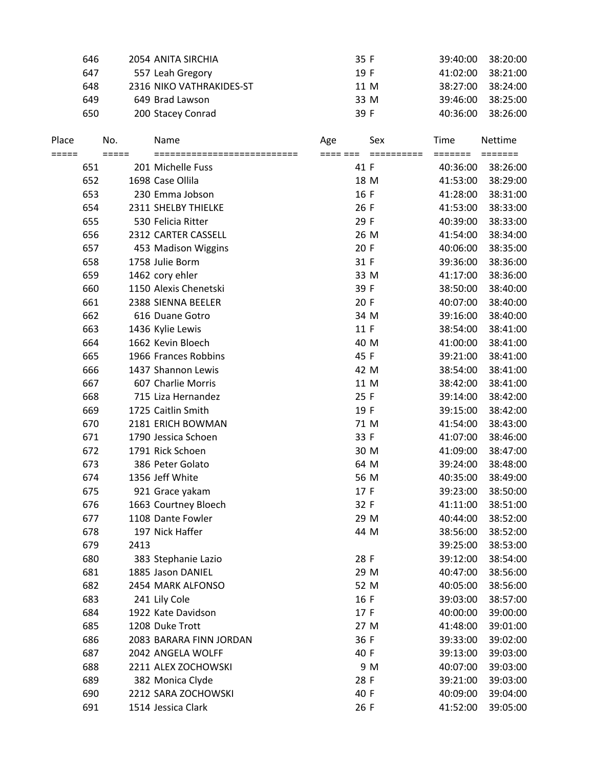|                | 646 |                | 2054 ANITA SIRCHIA                  | 35 F                   | 39:40:00        | 38:20:00                               |
|----------------|-----|----------------|-------------------------------------|------------------------|-----------------|----------------------------------------|
|                | 647 |                | 557 Leah Gregory                    | 19 F                   | 41:02:00        | 38:21:00                               |
|                | 648 |                | 2316 NIKO VATHRAKIDES-ST            | 11 M                   | 38:27:00        | 38:24:00                               |
|                | 649 |                | 649 Brad Lawson                     | 33 M                   | 39:46:00        | 38:25:00                               |
|                | 650 |                | 200 Stacey Conrad                   | 39 F                   | 40:36:00        | 38:26:00                               |
| Place<br>===== |     | No.<br>$=====$ | Name<br>=========================== | Sex<br>Age<br>==== === | Time<br>======= | Nettime<br>$=$ $=$ $=$ $=$ $=$ $=$ $=$ |
|                | 651 |                | 201 Michelle Fuss                   | 41 F                   | 40:36:00        | 38:26:00                               |
|                | 652 |                | 1698 Case Ollila                    | 18 M                   | 41:53:00        | 38:29:00                               |
|                | 653 |                | 230 Emma Jobson                     | 16 F                   | 41:28:00        | 38:31:00                               |
|                | 654 |                | 2311 SHELBY THIELKE                 | 26 F                   | 41:53:00        | 38:33:00                               |
|                | 655 |                | 530 Felicia Ritter                  | 29 F                   | 40:39:00        | 38:33:00                               |
|                | 656 |                | 2312 CARTER CASSELL                 | 26 M                   | 41:54:00        | 38:34:00                               |
|                | 657 |                | 453 Madison Wiggins                 | 20 F                   | 40:06:00        | 38:35:00                               |
|                | 658 |                | 1758 Julie Borm                     | 31 F                   | 39:36:00        | 38:36:00                               |
|                | 659 |                | 1462 cory ehler                     | 33 M                   | 41:17:00        | 38:36:00                               |
|                | 660 |                | 1150 Alexis Chenetski               | 39 F                   | 38:50:00        | 38:40:00                               |
|                | 661 |                | 2388 SIENNA BEELER                  | 20 F                   | 40:07:00        | 38:40:00                               |
|                | 662 |                | 616 Duane Gotro                     | 34 M                   | 39:16:00        | 38:40:00                               |
|                | 663 |                | 1436 Kylie Lewis                    | 11 F                   | 38:54:00        | 38:41:00                               |
|                | 664 |                | 1662 Kevin Bloech                   | 40 M                   | 41:00:00        | 38:41:00                               |
|                | 665 |                | 1966 Frances Robbins                | 45 F                   | 39:21:00        | 38:41:00                               |
|                | 666 |                | 1437 Shannon Lewis                  | 42 M                   | 38:54:00        | 38:41:00                               |
|                | 667 |                | 607 Charlie Morris                  | 11 M                   | 38:42:00        | 38:41:00                               |
|                | 668 |                | 715 Liza Hernandez                  | 25 F                   | 39:14:00        | 38:42:00                               |
|                | 669 |                | 1725 Caitlin Smith                  | 19 F                   | 39:15:00        | 38:42:00                               |
|                | 670 |                | 2181 ERICH BOWMAN                   | 71 M                   | 41:54:00        | 38:43:00                               |
|                | 671 |                | 1790 Jessica Schoen                 | 33 F                   | 41:07:00        | 38:46:00                               |
|                | 672 |                | 1791 Rick Schoen                    | 30 M                   | 41:09:00        | 38:47:00                               |
|                | 673 |                | 386 Peter Golato                    | 64 M                   | 39:24:00        | 38:48:00                               |
|                | 674 |                | 1356 Jeff White                     | 56 M                   | 40:35:00        | 38:49:00                               |
|                | 675 |                | 921 Grace yakam                     | 17 F                   | 39:23:00        | 38:50:00                               |
|                | 676 |                | 1663 Courtney Bloech                | 32 F                   | 41:11:00        | 38:51:00                               |
|                | 677 |                | 1108 Dante Fowler                   | 29 M                   | 40:44:00        | 38:52:00                               |
|                | 678 |                | 197 Nick Haffer                     | 44 M                   | 38:56:00        | 38:52:00                               |
|                | 679 | 2413           |                                     |                        | 39:25:00        | 38:53:00                               |
|                | 680 |                | 383 Stephanie Lazio                 | 28 F                   | 39:12:00        | 38:54:00                               |
|                | 681 |                | 1885 Jason DANIEL                   | 29 M                   | 40:47:00        | 38:56:00                               |
|                | 682 |                | 2454 MARK ALFONSO                   | 52 M                   | 40:05:00        | 38:56:00                               |
|                | 683 |                | 241 Lily Cole                       | 16 F                   | 39:03:00        | 38:57:00                               |
|                | 684 |                | 1922 Kate Davidson                  | 17 F                   | 40:00:00        | 39:00:00                               |
|                | 685 |                | 1208 Duke Trott                     | 27 M                   | 41:48:00        | 39:01:00                               |
|                | 686 |                | 2083 BARARA FINN JORDAN             | 36 F                   | 39:33:00        | 39:02:00                               |
|                | 687 |                | 2042 ANGELA WOLFF                   | 40 F                   | 39:13:00        | 39:03:00                               |
|                | 688 |                | 2211 ALEX ZOCHOWSKI                 | 9 M                    | 40:07:00        | 39:03:00                               |
|                | 689 |                | 382 Monica Clyde                    | 28 F                   | 39:21:00        | 39:03:00                               |
|                | 690 |                | 2212 SARA ZOCHOWSKI                 | 40 F                   | 40:09:00        | 39:04:00                               |
|                | 691 |                | 1514 Jessica Clark                  | 26 F                   | 41:52:00        | 39:05:00                               |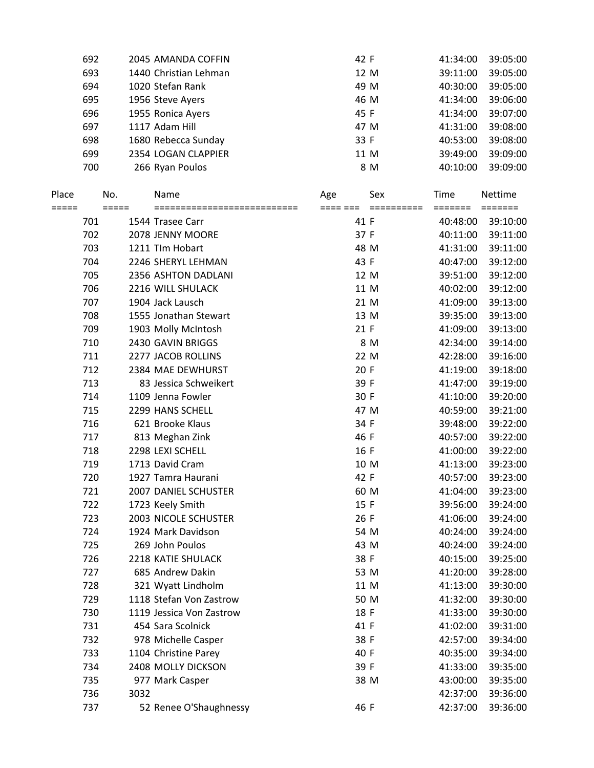| 692 | 2045 AMANDA COFFIN    | 42 F | 41:34:00 | 39:05:00 |
|-----|-----------------------|------|----------|----------|
| 693 | 1440 Christian Lehman | 12 M | 39:11:00 | 39:05:00 |
| 694 | 1020 Stefan Rank      | 49 M | 40:30:00 | 39:05:00 |
| 695 | 1956 Steve Ayers      | 46 M | 41:34:00 | 39:06:00 |
| 696 | 1955 Ronica Ayers     | 45 F | 41:34:00 | 39:07:00 |
| 697 | 1117 Adam Hill        | 47 M | 41:31:00 | 39:08:00 |
| 698 | 1680 Rebecca Sunday   | 33 F | 40:53:00 | 39:08:00 |
| 699 | 2354 LOGAN CLAPPIER   | 11 M | 39:49:00 | 39:09:00 |
| 700 | 266 Ryan Poulos       | 8 M  | 40:10:00 | 39:09:00 |
|     |                       |      |          |          |

| Place |     | No.   | Name                     | Age      | Sex      | Time     | Nettime  |
|-------|-----|-------|--------------------------|----------|----------|----------|----------|
| ===== |     | ===== |                          | ==== === | ======== | =======  | =======  |
|       | 701 |       | 1544 Trasee Carr         | 41 F     |          | 40:48:00 | 39:10:00 |
|       | 702 |       | 2078 JENNY MOORE         | 37 F     |          | 40:11:00 | 39:11:00 |
|       | 703 |       | 1211 Tlm Hobart          | 48 M     |          | 41:31:00 | 39:11:00 |
|       | 704 |       | 2246 SHERYL LEHMAN       | 43 F     |          | 40:47:00 | 39:12:00 |
|       | 705 |       | 2356 ASHTON DADLANI      |          | 12 M     | 39:51:00 | 39:12:00 |
|       | 706 |       | 2216 WILL SHULACK        |          | 11 M     | 40:02:00 | 39:12:00 |
|       | 707 |       | 1904 Jack Lausch         |          | 21 M     | 41:09:00 | 39:13:00 |
|       | 708 |       | 1555 Jonathan Stewart    |          | 13 M     | 39:35:00 | 39:13:00 |
|       | 709 |       | 1903 Molly McIntosh      | 21 F     |          | 41:09:00 | 39:13:00 |
|       | 710 |       | 2430 GAVIN BRIGGS        |          | 8 M      | 42:34:00 | 39:14:00 |
|       | 711 |       | 2277 JACOB ROLLINS       |          | 22 M     | 42:28:00 | 39:16:00 |
|       | 712 |       | 2384 MAE DEWHURST        | 20 F     |          | 41:19:00 | 39:18:00 |
|       | 713 |       | 83 Jessica Schweikert    | 39 F     |          | 41:47:00 | 39:19:00 |
|       | 714 |       | 1109 Jenna Fowler        | 30 F     |          | 41:10:00 | 39:20:00 |
|       | 715 |       | 2299 HANS SCHELL         |          | 47 M     | 40:59:00 | 39:21:00 |
|       | 716 |       | 621 Brooke Klaus         | 34 F     |          | 39:48:00 | 39:22:00 |
|       | 717 |       | 813 Meghan Zink          | 46 F     |          | 40:57:00 | 39:22:00 |
|       | 718 |       | 2298 LEXI SCHELL         | 16 F     |          | 41:00:00 | 39:22:00 |
|       | 719 |       | 1713 David Cram          |          | 10 M     | 41:13:00 | 39:23:00 |
|       | 720 |       | 1927 Tamra Haurani       | 42 F     |          | 40:57:00 | 39:23:00 |
|       | 721 |       | 2007 DANIEL SCHUSTER     |          | 60 M     | 41:04:00 | 39:23:00 |
|       | 722 |       | 1723 Keely Smith         | 15 F     |          | 39:56:00 | 39:24:00 |
|       | 723 |       | 2003 NICOLE SCHUSTER     | 26 F     |          | 41:06:00 | 39:24:00 |
|       | 724 |       | 1924 Mark Davidson       |          | 54 M     | 40:24:00 | 39:24:00 |
|       | 725 |       | 269 John Poulos          | 43 M     |          | 40:24:00 | 39:24:00 |
|       | 726 |       | 2218 KATIE SHULACK       | 38 F     |          | 40:15:00 | 39:25:00 |
|       | 727 |       | 685 Andrew Dakin         |          | 53 M     | 41:20:00 | 39:28:00 |
|       | 728 |       | 321 Wyatt Lindholm       |          | 11 M     | 41:13:00 | 39:30:00 |
|       | 729 |       | 1118 Stefan Von Zastrow  |          | 50 M     | 41:32:00 | 39:30:00 |
|       | 730 |       | 1119 Jessica Von Zastrow | 18 F     |          | 41:33:00 | 39:30:00 |
|       | 731 |       | 454 Sara Scolnick        | 41 F     |          | 41:02:00 | 39:31:00 |
|       | 732 |       | 978 Michelle Casper      | 38 F     |          | 42:57:00 | 39:34:00 |
|       | 733 |       | 1104 Christine Parey     | 40 F     |          | 40:35:00 | 39:34:00 |
|       | 734 |       | 2408 MOLLY DICKSON       | 39 F     |          | 41:33:00 | 39:35:00 |
|       | 735 |       | 977 Mark Casper          |          | 38 M     | 43:00:00 | 39:35:00 |
|       | 736 | 3032  |                          |          |          | 42:37:00 | 39:36:00 |
|       | 737 |       | 52 Renee O'Shaughnessy   | 46 F     |          | 42:37:00 | 39:36:00 |
|       |     |       |                          |          |          |          |          |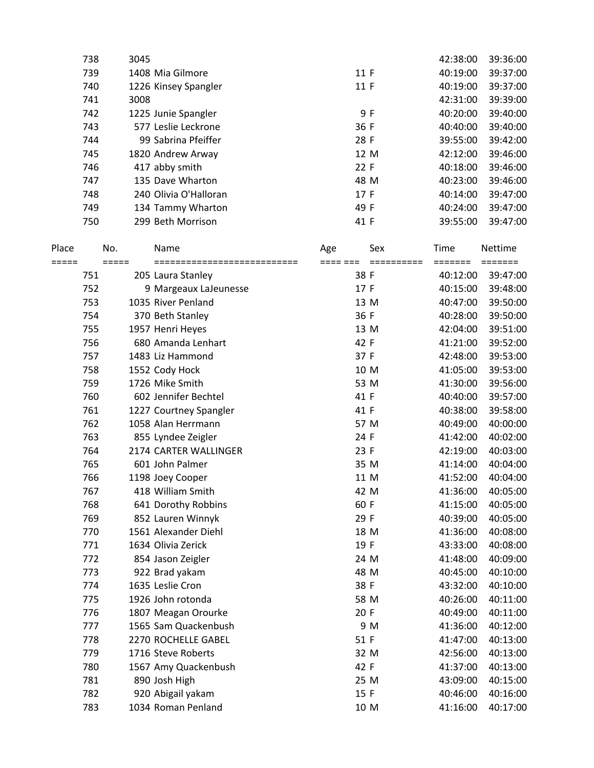|       | 738 | 3045  |                        |          |            | 42:38:00 | 39:36:00                    |
|-------|-----|-------|------------------------|----------|------------|----------|-----------------------------|
|       | 739 |       | 1408 Mia Gilmore       | 11 F     |            | 40:19:00 | 39:37:00                    |
|       | 740 |       | 1226 Kinsey Spangler   | 11 F     |            | 40:19:00 | 39:37:00                    |
|       | 741 | 3008  |                        |          |            | 42:31:00 | 39:39:00                    |
|       | 742 |       | 1225 Junie Spangler    | 9F       |            | 40:20:00 | 39:40:00                    |
|       | 743 |       | 577 Leslie Leckrone    | 36 F     |            | 40:40:00 | 39:40:00                    |
|       | 744 |       | 99 Sabrina Pfeiffer    | 28 F     |            | 39:55:00 | 39:42:00                    |
|       | 745 |       | 1820 Andrew Arway      | 12 M     |            | 42:12:00 | 39:46:00                    |
|       | 746 |       | 417 abby smith         | 22 F     |            | 40:18:00 | 39:46:00                    |
|       | 747 |       | 135 Dave Wharton       | 48 M     |            | 40:23:00 | 39:46:00                    |
|       | 748 |       | 240 Olivia O'Halloran  | 17 F     |            | 40:14:00 | 39:47:00                    |
|       | 749 |       | 134 Tammy Wharton      | 49 F     |            | 40:24:00 | 39:47:00                    |
|       | 750 |       | 299 Beth Morrison      | 41 F     |            | 39:55:00 | 39:47:00                    |
|       |     |       |                        |          |            |          |                             |
| Place |     | No.   | Name                   | Age      | Sex        | Time     | <b>Nettime</b>              |
| ===== |     | ===== | ==================     | ==== === | ========== | =======  | $=$ $=$ $=$ $=$ $=$ $=$ $=$ |
|       | 751 |       | 205 Laura Stanley      | 38 F     |            | 40:12:00 | 39:47:00                    |
|       | 752 |       | 9 Margeaux LaJeunesse  | 17 F     |            | 40:15:00 | 39:48:00                    |
|       | 753 |       | 1035 River Penland     | 13 M     |            | 40:47:00 | 39:50:00                    |
|       | 754 |       | 370 Beth Stanley       | 36 F     |            | 40:28:00 | 39:50:00                    |
|       | 755 |       | 1957 Henri Heyes       | 13 M     |            | 42:04:00 | 39:51:00                    |
|       | 756 |       | 680 Amanda Lenhart     | 42 F     |            | 41:21:00 | 39:52:00                    |
|       | 757 |       | 1483 Liz Hammond       | 37 F     |            | 42:48:00 | 39:53:00                    |
|       | 758 |       | 1552 Cody Hock         | 10 M     |            | 41:05:00 | 39:53:00                    |
|       | 759 |       | 1726 Mike Smith        | 53 M     |            | 41:30:00 | 39:56:00                    |
|       | 760 |       | 602 Jennifer Bechtel   | 41 F     |            | 40:40:00 | 39:57:00                    |
|       | 761 |       | 1227 Courtney Spangler | 41 F     |            | 40:38:00 | 39:58:00                    |
|       | 762 |       | 1058 Alan Herrmann     | 57 M     |            | 40:49:00 | 40:00:00                    |
|       | 763 |       | 855 Lyndee Zeigler     | 24 F     |            | 41:42:00 | 40:02:00                    |
|       | 764 |       | 2174 CARTER WALLINGER  | 23 F     |            | 42:19:00 | 40:03:00                    |
|       | 765 |       | 601 John Palmer        | 35 M     |            | 41:14:00 | 40:04:00                    |
|       | 766 |       | 1198 Joey Cooper       | 11 M     |            | 41:52:00 | 40:04:00                    |
|       | 767 |       | 418 William Smith      | 42 M     |            | 41:36:00 | 40:05:00                    |
|       | 768 |       | 641 Dorothy Robbins    | 60 F     |            | 41:15:00 | 40:05:00                    |
|       | 769 |       | 852 Lauren Winnyk      | 29 F     |            | 40:39:00 | 40:05:00                    |
|       | 770 |       | 1561 Alexander Diehl   | 18 M     |            | 41:36:00 | 40:08:00                    |
|       | 771 |       | 1634 Olivia Zerick     | 19 F     |            | 43:33:00 | 40:08:00                    |
|       | 772 |       | 854 Jason Zeigler      | 24 M     |            | 41:48:00 | 40:09:00                    |
|       | 773 |       | 922 Brad yakam         | 48 M     |            | 40:45:00 | 40:10:00                    |
|       | 774 |       | 1635 Leslie Cron       | 38 F     |            | 43:32:00 | 40:10:00                    |
|       | 775 |       | 1926 John rotonda      | 58 M     |            | 40:26:00 | 40:11:00                    |
|       | 776 |       | 1807 Meagan Orourke    | 20 F     |            | 40:49:00 | 40:11:00                    |
|       | 777 |       | 1565 Sam Quackenbush   | 9 M      |            | 41:36:00 | 40:12:00                    |
|       | 778 |       | 2270 ROCHELLE GABEL    | 51 F     |            | 41:47:00 | 40:13:00                    |
|       | 779 |       | 1716 Steve Roberts     | 32 M     |            | 42:56:00 | 40:13:00                    |
|       | 780 |       | 1567 Amy Quackenbush   | 42 F     |            | 41:37:00 | 40:13:00                    |
|       | 781 |       | 890 Josh High          | 25 M     |            | 43:09:00 | 40:15:00                    |
|       | 782 |       | 920 Abigail yakam      | 15 F     |            | 40:46:00 | 40:16:00                    |
|       | 783 |       | 1034 Roman Penland     | 10 M     |            | 41:16:00 | 40:17:00                    |
|       |     |       |                        |          |            |          |                             |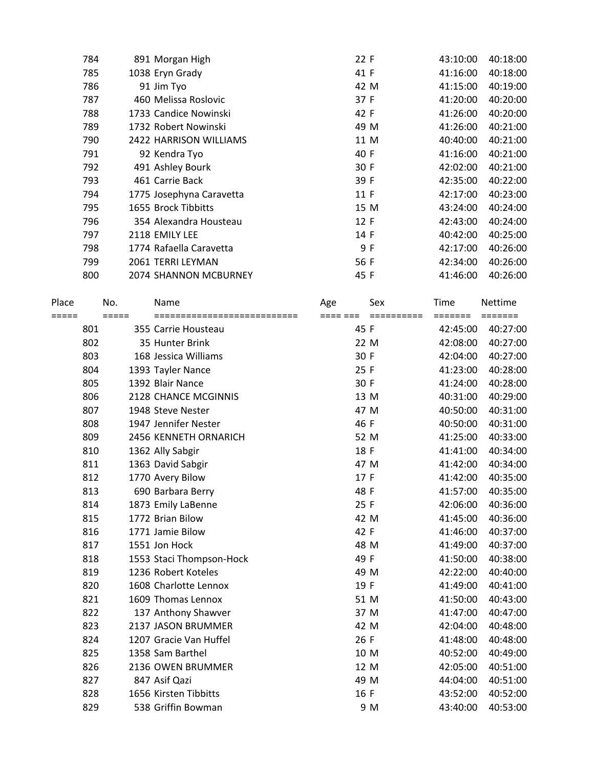| 784 | 891 Morgan High              | 22 F | 43:10:00 | 40:18:00 |
|-----|------------------------------|------|----------|----------|
| 785 | 1038 Eryn Grady              | 41 F | 41:16:00 | 40:18:00 |
| 786 | 91 Jim Tyo                   | 42 M | 41:15:00 | 40:19:00 |
| 787 | 460 Melissa Roslovic         | 37 F | 41:20:00 | 40:20:00 |
| 788 | 1733 Candice Nowinski        | 42 F | 41:26:00 | 40:20:00 |
| 789 | 1732 Robert Nowinski         | 49 M | 41:26:00 | 40:21:00 |
| 790 | 2422 HARRISON WILLIAMS       | 11 M | 40:40:00 | 40:21:00 |
| 791 | 92 Kendra Tyo                | 40 F | 41:16:00 | 40:21:00 |
| 792 | 491 Ashley Bourk             | 30 F | 42:02:00 | 40:21:00 |
| 793 | 461 Carrie Back              | 39 F | 42:35:00 | 40:22:00 |
| 794 | 1775 Josephyna Caravetta     | 11 F | 42:17:00 | 40:23:00 |
| 795 | 1655 Brock Tibbitts          | 15 M | 43:24:00 | 40:24:00 |
| 796 | 354 Alexandra Housteau       | 12 F | 42:43:00 | 40:24:00 |
| 797 | 2118 EMILY LEE               | 14 F | 40:42:00 | 40:25:00 |
| 798 | 1774 Rafaella Caravetta      | 9 F  | 42:17:00 | 40:26:00 |
| 799 | 2061 TERRI LEYMAN            | 56 F | 42:34:00 | 40:26:00 |
| 800 | <b>2074 SHANNON MCBURNEY</b> | 45 F | 41:46:00 | 40:26:00 |
|     |                              |      |          |          |

| Place | No.     | Name                        | Age      | Sex        | Time     | Nettime  |
|-------|---------|-----------------------------|----------|------------|----------|----------|
| ===== | $=====$ | =========================== | ==== === | ========== | =======  | =======  |
| 801   |         | 355 Carrie Housteau         | 45 F     |            | 42:45:00 | 40:27:00 |
| 802   |         | 35 Hunter Brink             | 22 M     |            | 42:08:00 | 40:27:00 |
| 803   |         | 168 Jessica Williams        | 30 F     |            | 42:04:00 | 40:27:00 |
| 804   |         | 1393 Tayler Nance           | 25 F     |            | 41:23:00 | 40:28:00 |
| 805   |         | 1392 Blair Nance            | 30 F     |            | 41:24:00 | 40:28:00 |
| 806   |         | 2128 CHANCE MCGINNIS        | 13 M     |            | 40:31:00 | 40:29:00 |
| 807   |         | 1948 Steve Nester           | 47 M     |            | 40:50:00 | 40:31:00 |
| 808   |         | 1947 Jennifer Nester        | 46 F     |            | 40:50:00 | 40:31:00 |
| 809   |         | 2456 KENNETH ORNARICH       | 52 M     |            | 41:25:00 | 40:33:00 |
| 810   |         | 1362 Ally Sabgir            | 18 F     |            | 41:41:00 | 40:34:00 |
| 811   |         | 1363 David Sabgir           | 47 M     |            | 41:42:00 | 40:34:00 |
| 812   |         | 1770 Avery Bilow            | 17 F     |            | 41:42:00 | 40:35:00 |
| 813   |         | 690 Barbara Berry           | 48 F     |            | 41:57:00 | 40:35:00 |
| 814   |         | 1873 Emily LaBenne          | 25 F     |            | 42:06:00 | 40:36:00 |
| 815   |         | 1772 Brian Bilow            | 42 M     |            | 41:45:00 | 40:36:00 |
| 816   |         | 1771 Jamie Bilow            | 42 F     |            | 41:46:00 | 40:37:00 |
| 817   |         | 1551 Jon Hock               | 48 M     |            | 41:49:00 | 40:37:00 |
| 818   |         | 1553 Staci Thompson-Hock    | 49 F     |            | 41:50:00 | 40:38:00 |
| 819   |         | 1236 Robert Koteles         | 49 M     |            | 42:22:00 | 40:40:00 |
| 820   |         | 1608 Charlotte Lennox       | 19 F     |            | 41:49:00 | 40:41:00 |
| 821   |         | 1609 Thomas Lennox          | 51 M     |            | 41:50:00 | 40:43:00 |
| 822   |         | 137 Anthony Shawver         | 37 M     |            | 41:47:00 | 40:47:00 |
| 823   |         | 2137 JASON BRUMMER          | 42 M     |            | 42:04:00 | 40:48:00 |
| 824   |         | 1207 Gracie Van Huffel      | 26 F     |            | 41:48:00 | 40:48:00 |
| 825   |         | 1358 Sam Barthel            | 10 M     |            | 40:52:00 | 40:49:00 |
| 826   |         | 2136 OWEN BRUMMER           | 12 M     |            | 42:05:00 | 40:51:00 |
| 827   |         | 847 Asif Qazi               | 49 M     |            | 44:04:00 | 40:51:00 |
| 828   |         | 1656 Kirsten Tibbitts       | 16 F     |            | 43:52:00 | 40:52:00 |
| 829   |         | 538 Griffin Bowman          |          | 9 M        | 43:40:00 | 40:53:00 |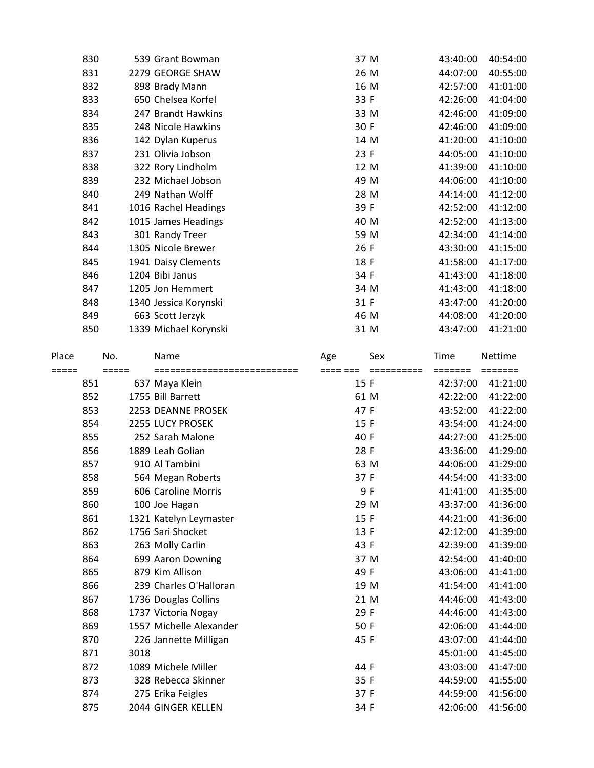|       | 830 |                            | 539 Grant Bowman                     | 37 M                                 | 43:40:00            | 40:54:00            |
|-------|-----|----------------------------|--------------------------------------|--------------------------------------|---------------------|---------------------|
|       | 831 |                            | 2279 GEORGE SHAW                     | 26 M                                 | 44:07:00            | 40:55:00            |
|       | 832 |                            | 898 Brady Mann                       | 16 M                                 | 42:57:00            | 41:01:00            |
|       | 833 |                            | 650 Chelsea Korfel                   | 33 F                                 | 42:26:00            | 41:04:00            |
|       | 834 |                            | 247 Brandt Hawkins                   | 33 M                                 | 42:46:00            | 41:09:00            |
|       | 835 |                            | 248 Nicole Hawkins                   | 30 F                                 | 42:46:00            | 41:09:00            |
|       | 836 |                            | 142 Dylan Kuperus                    | 14 M                                 | 41:20:00            | 41:10:00            |
|       | 837 |                            | 231 Olivia Jobson                    | 23 F                                 | 44:05:00            | 41:10:00            |
|       | 838 |                            | 322 Rory Lindholm                    | 12 M                                 | 41:39:00            | 41:10:00            |
|       | 839 |                            | 232 Michael Jobson                   | 49 M                                 | 44:06:00            | 41:10:00            |
|       | 840 |                            | 249 Nathan Wolff                     | 28 M                                 | 44:14:00            | 41:12:00            |
|       | 841 |                            | 1016 Rachel Headings                 | 39 F                                 | 42:52:00            | 41:12:00            |
|       | 842 |                            | 1015 James Headings                  | 40 M                                 | 42:52:00            | 41:13:00            |
|       | 843 |                            | 301 Randy Treer                      | 59 M                                 | 42:34:00            | 41:14:00            |
|       | 844 |                            | 1305 Nicole Brewer                   | 26 F                                 | 43:30:00            | 41:15:00            |
|       | 845 |                            | 1941 Daisy Clements                  | 18 F                                 | 41:58:00            | 41:17:00            |
|       | 846 |                            | 1204 Bibi Janus                      | 34 F                                 | 41:43:00            | 41:18:00            |
|       | 847 |                            | 1205 Jon Hemmert                     | 34 M                                 | 41:43:00            | 41:18:00            |
|       | 848 |                            | 1340 Jessica Korynski                | 31 F                                 | 43:47:00            | 41:20:00            |
|       | 849 |                            | 663 Scott Jerzyk                     | 46 M                                 | 44:08:00            | 41:20:00            |
|       | 850 |                            | 1339 Michael Korynski                | 31 M                                 | 43:47:00            | 41:21:00            |
|       |     |                            |                                      |                                      |                     |                     |
| Place |     | No.<br>$=$ $=$ $=$ $=$ $=$ | Name<br>============================ | Sex<br>Age<br>==== ===<br>========== | Time                | Nettime             |
| ===== | 851 |                            | 637 Maya Klein                       | 15 F                                 | =======<br>42:37:00 | =======<br>41:21:00 |
|       | 852 |                            | 1755 Bill Barrett                    | 61 M                                 | 42:22:00            | 41:22:00            |
|       | 853 |                            | 2253 DEANNE PROSEK                   | 47 F                                 | 43:52:00            | 41:22:00            |
|       | 854 |                            | 2255 LUCY PROSEK                     | 15 F                                 | 43:54:00            | 41:24:00            |
|       | 855 |                            | 252 Sarah Malone                     | 40 F                                 | 44:27:00            | 41:25:00            |
|       | 856 |                            | 1889 Leah Golian                     | 28 F                                 | 43:36:00            | 41:29:00            |
|       | 857 |                            | 910 Al Tambini                       | 63 M                                 | 44:06:00            | 41:29:00            |
|       | 858 |                            | 564 Megan Roberts                    | 37 F                                 | 44:54:00            | 41:33:00            |
|       | 859 |                            | 606 Caroline Morris                  | 9 F                                  | 41:41:00            | 41:35:00            |
|       | 860 |                            | 100 Joe Hagan                        | 29 M                                 | 43:37:00            | 41:36:00            |
|       | 861 |                            | 1321 Katelyn Leymaster               | 15 F                                 | 44:21:00            | 41:36:00            |
|       | 862 |                            | 1756 Sari Shocket                    | 13 F                                 | 42:12:00            | 41:39:00            |
|       | 863 |                            | 263 Molly Carlin                     | 43 F                                 | 42:39:00            | 41:39:00            |
|       | 864 |                            | 699 Aaron Downing                    | 37 M                                 | 42:54:00            | 41:40:00            |
|       | 865 |                            | 879 Kim Allison                      | 49 F                                 | 43:06:00            | 41:41:00            |
|       | 866 |                            | 239 Charles O'Halloran               | 19 M                                 | 41:54:00            | 41:41:00            |
|       | 867 |                            | 1736 Douglas Collins                 | 21 M                                 | 44:46:00            | 41:43:00            |
|       | 868 |                            | 1737 Victoria Nogay                  | 29 F                                 | 44:46:00            | 41:43:00            |
|       | 869 |                            | 1557 Michelle Alexander              | 50 F                                 | 42:06:00            | 41:44:00            |
|       | 870 |                            | 226 Jannette Milligan                | 45 F                                 | 43:07:00            | 41:44:00            |
|       | 871 | 3018                       |                                      |                                      | 45:01:00            | 41:45:00            |
|       | 872 |                            | 1089 Michele Miller                  | 44 F                                 | 43:03:00            | 41:47:00            |
|       | 873 |                            | 328 Rebecca Skinner                  | 35 F                                 | 44:59:00            | 41:55:00            |
|       | 874 |                            | 275 Erika Feigles                    | 37 F                                 | 44:59:00            | 41:56:00            |
|       |     |                            |                                      |                                      |                     |                     |

875 2044 GINGER KELLEN 34 F 42:06:00 41:56:00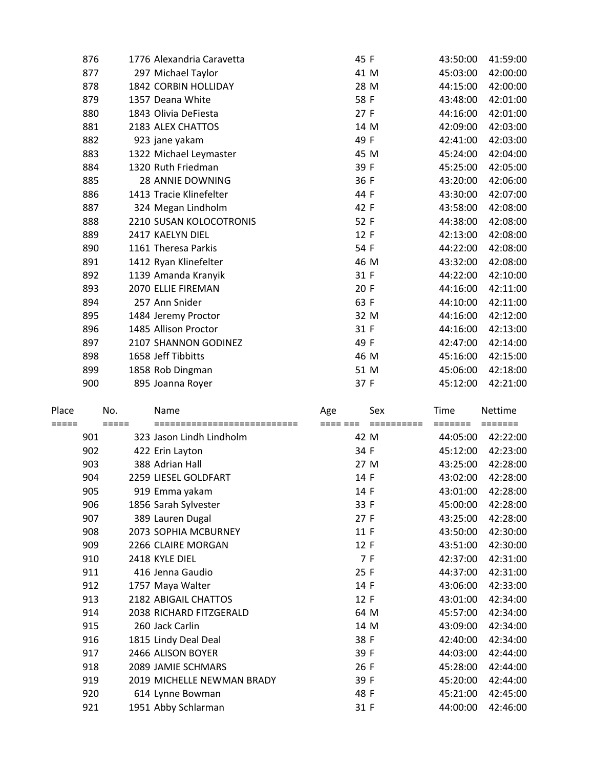|       | 876        |                     | 1776 Alexandria Caravetta                                | 45 F             | 43:50:00 | 41:59:00             |
|-------|------------|---------------------|----------------------------------------------------------|------------------|----------|----------------------|
|       | 877        |                     | 297 Michael Taylor                                       | 41 M             | 45:03:00 | 42:00:00             |
|       | 878        |                     | 1842 CORBIN HOLLIDAY                                     | 28 M             | 44:15:00 | 42:00:00             |
|       | 879        |                     | 1357 Deana White                                         | 58 F             | 43:48:00 | 42:01:00             |
|       | 880        |                     | 1843 Olivia DeFiesta                                     | 27 F             | 44:16:00 | 42:01:00             |
|       | 881        |                     | 2183 ALEX CHATTOS                                        | 14 M             | 42:09:00 | 42:03:00             |
|       | 882        |                     | 923 jane yakam                                           | 49 F             | 42:41:00 | 42:03:00             |
|       | 883        |                     | 1322 Michael Leymaster                                   | 45 M             | 45:24:00 | 42:04:00             |
|       | 884        |                     | 1320 Ruth Friedman                                       | 39 F             | 45:25:00 | 42:05:00             |
|       | 885        |                     | 28 ANNIE DOWNING                                         | 36 F             | 43:20:00 | 42:06:00             |
|       | 886        |                     | 1413 Tracie Klinefelter                                  | 44 F             | 43:30:00 | 42:07:00             |
|       | 887        |                     | 324 Megan Lindholm                                       | 42 F             | 43:58:00 | 42:08:00             |
|       | 888        |                     | 2210 SUSAN KOLOCOTRONIS                                  | 52 F             | 44:38:00 | 42:08:00             |
|       | 889        |                     | 2417 KAELYN DIEL                                         | 12 F             | 42:13:00 | 42:08:00             |
|       | 890        |                     | 1161 Theresa Parkis                                      | 54 F             | 44:22:00 | 42:08:00             |
|       | 891        |                     | 1412 Ryan Klinefelter                                    | 46 M             | 43:32:00 | 42:08:00             |
|       | 892        |                     | 1139 Amanda Kranyik                                      | 31 F             | 44:22:00 | 42:10:00             |
|       | 893        |                     | 2070 ELLIE FIREMAN                                       | 20 F             | 44:16:00 | 42:11:00             |
|       | 894        |                     | 257 Ann Snider                                           | 63 F             | 44:10:00 | 42:11:00             |
|       | 895        |                     | 1484 Jeremy Proctor                                      | 32 M             | 44:16:00 | 42:12:00             |
|       | 896        |                     | 1485 Allison Proctor                                     | 31 F             | 44:16:00 | 42:13:00             |
|       | 897        |                     | 2107 SHANNON GODINEZ                                     | 49 F             | 42:47:00 | 42:14:00             |
|       | 898        |                     | 1658 Jeff Tibbitts                                       | 46 M             | 45:16:00 | 42:15:00             |
|       | 899        |                     | 1858 Rob Dingman                                         | 51 M             | 45:06:00 | 42:18:00             |
|       | 900        |                     | 895 Joanna Royer                                         | 37 F             | 45:12:00 | 42:21:00             |
| Place |            | No.                 | Name                                                     | Sex              |          | Nettime              |
|       |            |                     |                                                          | Age              | Time     |                      |
| ===== | 901        | $=$ $=$ $=$ $=$ $=$ | ============================<br>323 Jason Lindh Lindholm | ==== ===<br>42 M | 44:05:00 | 42:22:00             |
|       | 902        |                     | 422 Erin Layton                                          | 34 F             | 45:12:00 | 42:23:00             |
|       | 903        |                     | 388 Adrian Hall                                          | 27 M             | 43:25:00 | 42:28:00             |
|       | 904        |                     | 2259 LIESEL GOLDFART                                     | 14 F             | 43:02:00 | 42:28:00             |
|       | 905        |                     | 919 Emma yakam                                           | 14 F             | 43:01:00 | 42:28:00             |
|       | 906        |                     | 1856 Sarah Sylvester                                     | 33 F             | 45:00:00 | 42:28:00             |
|       | 907        |                     | 389 Lauren Dugal                                         | 27 F             | 43:25:00 | 42:28:00             |
|       | 908        |                     | 2073 SOPHIA MCBURNEY                                     | 11 F             | 43:50:00 | 42:30:00             |
|       | 909        |                     | 2266 CLAIRE MORGAN                                       | 12 F             | 43:51:00 | 42:30:00             |
|       | 910        |                     | 2418 KYLE DIEL                                           | 7 F              | 42:37:00 | 42:31:00             |
|       | 911        |                     | 416 Jenna Gaudio                                         | 25 F             | 44:37:00 | 42:31:00             |
|       | 912        |                     | 1757 Maya Walter                                         | 14 F             | 43:06:00 | 42:33:00             |
|       | 913        |                     | 2182 ABIGAIL CHATTOS                                     | 12 F             | 43:01:00 | 42:34:00             |
|       | 914        |                     | 2038 RICHARD FITZGERALD                                  | 64 M             | 45:57:00 | 42:34:00             |
|       | 915        |                     | 260 Jack Carlin                                          | 14 M             | 43:09:00 | 42:34:00             |
|       | 916        |                     | 1815 Lindy Deal Deal                                     | 38 F             | 42:40:00 | 42:34:00             |
|       | 917        |                     | 2466 ALISON BOYER                                        | 39 F             | 44:03:00 | 42:44:00             |
|       | 918        |                     | 2089 JAMIE SCHMARS                                       | 26 F             | 45:28:00 | 42:44:00             |
|       | 919        |                     | 2019 MICHELLE NEWMAN BRADY                               | 39 F             | 45:20:00 | 42:44:00             |
|       | 920<br>921 |                     | 614 Lynne Bowman<br>1951 Abby Schlarman                  | 48 F             | 45:21:00 | 42:45:00<br>42:46:00 |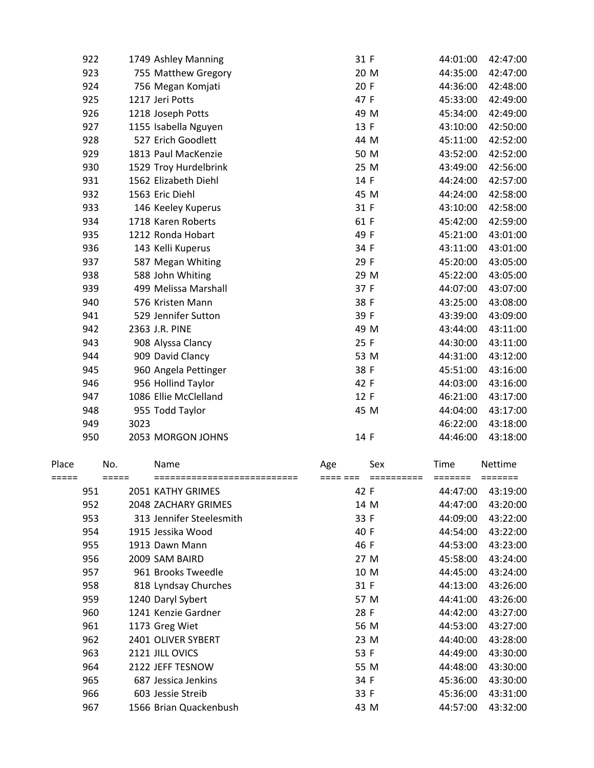| 922 | 1749 Ashley Manning   | 31 F | 44:01:00 | 42:47:00 |
|-----|-----------------------|------|----------|----------|
| 923 | 755 Matthew Gregory   | 20 M | 44:35:00 | 42:47:00 |
| 924 | 756 Megan Komjati     | 20 F | 44:36:00 | 42:48:00 |
| 925 | 1217 Jeri Potts       | 47 F | 45:33:00 | 42:49:00 |
| 926 | 1218 Joseph Potts     | 49 M | 45:34:00 | 42:49:00 |
| 927 | 1155 Isabella Nguyen  | 13 F | 43:10:00 | 42:50:00 |
| 928 | 527 Erich Goodlett    | 44 M | 45:11:00 | 42:52:00 |
| 929 | 1813 Paul MacKenzie   | 50 M | 43:52:00 | 42:52:00 |
| 930 | 1529 Troy Hurdelbrink | 25 M | 43:49:00 | 42:56:00 |
| 931 | 1562 Elizabeth Diehl  | 14 F | 44:24:00 | 42:57:00 |
| 932 | 1563 Eric Diehl       | 45 M | 44:24:00 | 42:58:00 |
| 933 | 146 Keeley Kuperus    | 31 F | 43:10:00 | 42:58:00 |
| 934 | 1718 Karen Roberts    | 61 F | 45:42:00 | 42:59:00 |
| 935 | 1212 Ronda Hobart     | 49 F | 45:21:00 | 43:01:00 |
| 936 | 143 Kelli Kuperus     | 34 F | 43:11:00 | 43:01:00 |
| 937 | 587 Megan Whiting     | 29 F | 45:20:00 | 43:05:00 |
| 938 | 588 John Whiting      | 29 M | 45:22:00 | 43:05:00 |
| 939 | 499 Melissa Marshall  | 37 F | 44:07:00 | 43:07:00 |
| 940 | 576 Kristen Mann      | 38 F | 43:25:00 | 43:08:00 |
| 941 | 529 Jennifer Sutton   | 39 F | 43:39:00 | 43:09:00 |
| 942 | 2363 J.R. PINE        | 49 M | 43:44:00 | 43:11:00 |
| 943 | 908 Alyssa Clancy     | 25 F | 44:30:00 | 43:11:00 |
| 944 | 909 David Clancy      | 53 M | 44:31:00 | 43:12:00 |
| 945 | 960 Angela Pettinger  | 38 F | 45:51:00 | 43:16:00 |
| 946 | 956 Hollind Taylor    | 42 F | 44:03:00 | 43:16:00 |
| 947 | 1086 Ellie McClelland | 12 F | 46:21:00 | 43:17:00 |
| 948 | 955 Todd Taylor       | 45 M | 44:04:00 | 43:17:00 |
| 949 | 3023                  |      | 46:22:00 | 43:18:00 |
| 950 | 2053 MORGON JOHNS     | 14 F | 44:46:00 | 43:18:00 |
|     |                       |      |          |          |

| Place |     | No.   | Name                     | Age  | Sex  | Time     | <b>Nettime</b> |
|-------|-----|-------|--------------------------|------|------|----------|----------------|
|       |     | ===== |                          |      |      |          |                |
|       | 951 |       | 2051 KATHY GRIMES        | 42 F |      | 44:47:00 | 43:19:00       |
|       | 952 |       | 2048 ZACHARY GRIMES      |      | 14 M | 44:47:00 | 43:20:00       |
|       | 953 |       | 313 Jennifer Steelesmith | 33 F |      | 44:09:00 | 43:22:00       |
|       | 954 |       | 1915 Jessika Wood        | 40 F |      | 44:54:00 | 43:22:00       |
|       | 955 |       | 1913 Dawn Mann           | 46 F |      | 44:53:00 | 43:23:00       |
|       | 956 |       | 2009 SAM BAIRD           |      | 27 M | 45:58:00 | 43:24:00       |
|       | 957 |       | 961 Brooks Tweedle       |      | 10 M | 44:45:00 | 43:24:00       |
|       | 958 |       | 818 Lyndsay Churches     | 31 F |      | 44:13:00 | 43:26:00       |
|       | 959 |       | 1240 Daryl Sybert        |      | 57 M | 44:41:00 | 43:26:00       |
|       | 960 |       | 1241 Kenzie Gardner      | 28 F |      | 44:42:00 | 43:27:00       |
|       | 961 |       | 1173 Greg Wiet           |      | 56 M | 44:53:00 | 43:27:00       |
|       | 962 |       | 2401 OLIVER SYBERT       |      | 23 M | 44:40:00 | 43:28:00       |
|       | 963 |       | 2121 JILL OVICS          | 53 F |      | 44:49:00 | 43:30:00       |
|       | 964 |       | 2122 JEFF TESNOW         |      | 55 M | 44:48:00 | 43:30:00       |
|       | 965 |       | 687 Jessica Jenkins      | 34 F |      | 45:36:00 | 43:30:00       |
|       | 966 |       | 603 Jessie Streib        | 33 F |      | 45:36:00 | 43:31:00       |
|       | 967 |       | 1566 Brian Quackenbush   |      | 43 M | 44:57:00 | 43:32:00       |
|       |     |       |                          |      |      |          |                |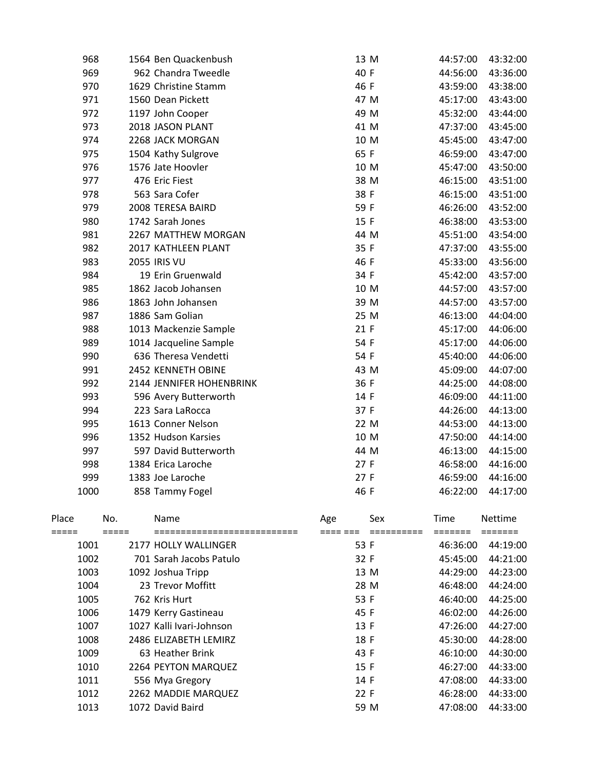| 968  | 1564 Ben Quackenbush     | 13 M | 44:57:00 | 43:32:00 |
|------|--------------------------|------|----------|----------|
| 969  | 962 Chandra Tweedle      | 40 F | 44:56:00 | 43:36:00 |
| 970  | 1629 Christine Stamm     | 46 F | 43:59:00 | 43:38:00 |
| 971  | 1560 Dean Pickett        | 47 M | 45:17:00 | 43:43:00 |
| 972  | 1197 John Cooper         | 49 M | 45:32:00 | 43:44:00 |
| 973  | 2018 JASON PLANT         | 41 M | 47:37:00 | 43:45:00 |
| 974  | 2268 JACK MORGAN         | 10 M | 45:45:00 | 43:47:00 |
| 975  | 1504 Kathy Sulgrove      | 65 F | 46:59:00 | 43:47:00 |
| 976  | 1576 Jate Hoovler        | 10 M | 45:47:00 | 43:50:00 |
| 977  | 476 Eric Fiest           | 38 M | 46:15:00 | 43:51:00 |
| 978  | 563 Sara Cofer           | 38 F | 46:15:00 | 43:51:00 |
| 979  | 2008 TERESA BAIRD        | 59 F | 46:26:00 | 43:52:00 |
| 980  | 1742 Sarah Jones         | 15 F | 46:38:00 | 43:53:00 |
| 981  | 2267 MATTHEW MORGAN      | 44 M | 45:51:00 | 43:54:00 |
| 982  | 2017 KATHLEEN PLANT      | 35 F | 47:37:00 | 43:55:00 |
| 983  | <b>2055 IRIS VU</b>      | 46 F | 45:33:00 | 43:56:00 |
| 984  | 19 Erin Gruenwald        | 34 F | 45:42:00 | 43:57:00 |
| 985  | 1862 Jacob Johansen      | 10 M | 44:57:00 | 43:57:00 |
| 986  | 1863 John Johansen       | 39 M | 44:57:00 | 43:57:00 |
| 987  | 1886 Sam Golian          | 25 M | 46:13:00 | 44:04:00 |
| 988  | 1013 Mackenzie Sample    | 21 F | 45:17:00 | 44:06:00 |
| 989  | 1014 Jacqueline Sample   | 54 F | 45:17:00 | 44:06:00 |
| 990  | 636 Theresa Vendetti     | 54 F | 45:40:00 | 44:06:00 |
| 991  | 2452 KENNETH OBINE       | 43 M | 45:09:00 | 44:07:00 |
| 992  | 2144 JENNIFER HOHENBRINK | 36 F | 44:25:00 | 44:08:00 |
| 993  | 596 Avery Butterworth    | 14 F | 46:09:00 | 44:11:00 |
| 994  | 223 Sara LaRocca         | 37 F | 44:26:00 | 44:13:00 |
| 995  | 1613 Conner Nelson       | 22 M | 44:53:00 | 44:13:00 |
| 996  | 1352 Hudson Karsies      | 10 M | 47:50:00 | 44:14:00 |
| 997  | 597 David Butterworth    | 44 M | 46:13:00 | 44:15:00 |
| 998  | 1384 Erica Laroche       | 27 F | 46:58:00 | 44:16:00 |
| 999  | 1383 Joe Laroche         | 27 F | 46:59:00 | 44:16:00 |
| 1000 | 858 Tammy Fogel          | 46 F | 46:22:00 | 44:17:00 |
|      |                          |      |          |          |

| Place | No. |                          |      | Sex  | Time     | <b>Nettime</b> |
|-------|-----|--------------------------|------|------|----------|----------------|
|       |     | Name                     | Age  |      |          |                |
|       |     |                          |      |      |          |                |
| 1001  |     | 2177 HOLLY WALLINGFR     | 53 F |      | 46:36:00 | 44:19:00       |
| 1002  |     | 701 Sarah Jacobs Patulo  | 32 F |      | 45:45:00 | 44:21:00       |
| 1003  |     | 1092 Joshua Tripp        |      | 13 M | 44:29:00 | 44:23:00       |
| 1004  |     | 23 Trevor Moffitt        |      | 28 M | 46:48:00 | 44:24:00       |
| 1005  |     | 762 Kris Hurt            | 53 F |      | 46:40:00 | 44:25:00       |
| 1006  |     | 1479 Kerry Gastineau     | 45 F |      | 46:02:00 | 44:26:00       |
| 1007  |     | 1027 Kalli Ivari-Johnson | 13F  |      | 47:26:00 | 44:27:00       |
| 1008  |     | 2486 ELIZABETH LEMIRZ    | 18 F |      | 45:30:00 | 44:28:00       |
| 1009  |     | 63 Heather Brink         | 43 F |      | 46:10:00 | 44:30:00       |
| 1010  |     | 2264 PEYTON MARQUEZ      | 15 F |      | 46:27:00 | 44:33:00       |
| 1011  |     | 556 Mya Gregory          | 14 F |      | 47:08:00 | 44:33:00       |
| 1012  |     | 2262 MADDIE MARQUEZ      | 22 F |      | 46:28:00 | 44:33:00       |
| 1013  |     | 1072 David Baird         |      | 59 M | 47:08:00 | 44:33:00       |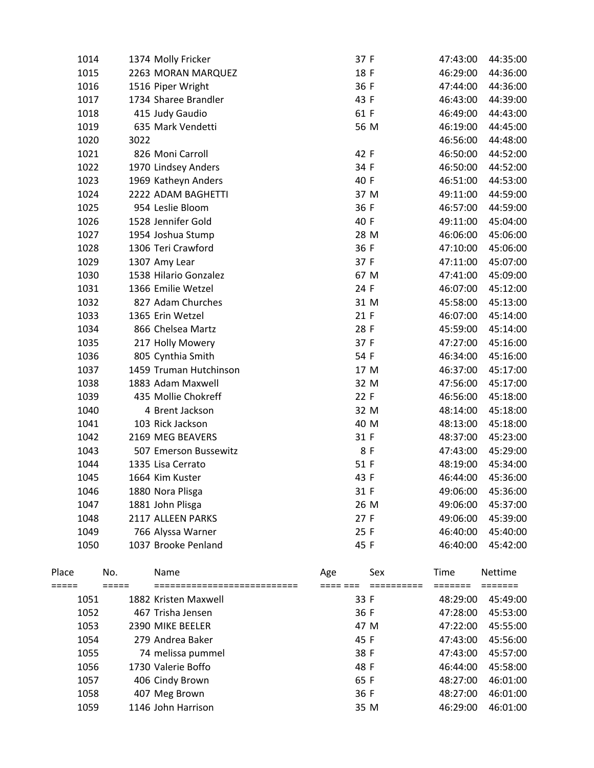| 1014  |      | 1374 Molly Fricker     | 37 F |      | 47:43:00    | 44:35:00 |
|-------|------|------------------------|------|------|-------------|----------|
| 1015  |      | 2263 MORAN MARQUEZ     | 18 F |      | 46:29:00    | 44:36:00 |
| 1016  |      | 1516 Piper Wright      | 36 F |      | 47:44:00    | 44:36:00 |
| 1017  |      | 1734 Sharee Brandler   | 43 F |      | 46:43:00    | 44:39:00 |
| 1018  |      | 415 Judy Gaudio        | 61 F |      | 46:49:00    | 44:43:00 |
| 1019  |      | 635 Mark Vendetti      |      | 56 M | 46:19:00    | 44:45:00 |
| 1020  | 3022 |                        |      |      | 46:56:00    | 44:48:00 |
| 1021  |      | 826 Moni Carroll       | 42 F |      | 46:50:00    | 44:52:00 |
| 1022  |      | 1970 Lindsey Anders    | 34 F |      | 46:50:00    | 44:52:00 |
| 1023  |      | 1969 Katheyn Anders    | 40 F |      | 46:51:00    | 44:53:00 |
| 1024  |      | 2222 ADAM BAGHETTI     |      | 37 M | 49:11:00    | 44:59:00 |
| 1025  |      | 954 Leslie Bloom       | 36 F |      | 46:57:00    | 44:59:00 |
| 1026  |      | 1528 Jennifer Gold     | 40 F |      | 49:11:00    | 45:04:00 |
| 1027  |      | 1954 Joshua Stump      |      | 28 M | 46:06:00    | 45:06:00 |
| 1028  |      | 1306 Teri Crawford     | 36 F |      | 47:10:00    | 45:06:00 |
| 1029  |      | 1307 Amy Lear          | 37 F |      | 47:11:00    | 45:07:00 |
| 1030  |      | 1538 Hilario Gonzalez  |      | 67 M | 47:41:00    | 45:09:00 |
| 1031  |      | 1366 Emilie Wetzel     | 24 F |      | 46:07:00    | 45:12:00 |
| 1032  |      | 827 Adam Churches      |      | 31 M | 45:58:00    | 45:13:00 |
| 1033  |      | 1365 Erin Wetzel       | 21 F |      | 46:07:00    | 45:14:00 |
| 1034  |      | 866 Chelsea Martz      | 28 F |      | 45:59:00    | 45:14:00 |
| 1035  |      | 217 Holly Mowery       | 37 F |      | 47:27:00    | 45:16:00 |
| 1036  |      | 805 Cynthia Smith      | 54 F |      | 46:34:00    | 45:16:00 |
| 1037  |      | 1459 Truman Hutchinson |      | 17 M | 46:37:00    | 45:17:00 |
| 1038  |      | 1883 Adam Maxwell      |      | 32 M | 47:56:00    | 45:17:00 |
| 1039  |      | 435 Mollie Chokreff    | 22 F |      | 46:56:00    | 45:18:00 |
| 1040  |      | 4 Brent Jackson        |      | 32 M | 48:14:00    | 45:18:00 |
| 1041  |      | 103 Rick Jackson       |      | 40 M | 48:13:00    | 45:18:00 |
| 1042  |      | 2169 MEG BEAVERS       | 31 F |      | 48:37:00    | 45:23:00 |
| 1043  |      | 507 Emerson Bussewitz  |      | 8 F  | 47:43:00    | 45:29:00 |
| 1044  |      | 1335 Lisa Cerrato      | 51 F |      | 48:19:00    | 45:34:00 |
| 1045  |      | 1664 Kim Kuster        | 43 F |      | 46:44:00    | 45:36:00 |
| 1046  |      | 1880 Nora Plisga       | 31 F |      | 49:06:00    | 45:36:00 |
| 1047  |      | 1881 John Plisga       |      | 26 M | 49:06:00    | 45:37:00 |
| 1048  |      | 2117 ALLEEN PARKS      | 27 F |      | 49:06:00    | 45:39:00 |
| 1049  |      | 766 Alyssa Warner      | 25 F |      | 46:40:00    | 45:40:00 |
| 1050  |      | 1037 Brooke Penland    | 45 F |      | 46:40:00    | 45:42:00 |
|       |      |                        |      |      |             |          |
| Place | No.  | Name                   | Age  | Sex  | <b>Time</b> | Nettime  |
| ===== |      |                        |      |      | =======     | =======  |
| 1051  |      | 1882 Kristen Maxwell   | 33 F |      | 48:29:00    | 45:49:00 |
| 1052  |      | 467 Trisha Jensen      | 36 F |      | 47:28:00    | 45:53:00 |
| 1053  |      | 2390 MIKE BEELER       |      | 47 M | 47:22:00    | 45:55:00 |
| 1054  |      | 279 Andrea Baker       | 45 F |      | 47:43:00    | 45:56:00 |
| 1055  |      | 74 melissa pummel      | 38 F |      | 47:43:00    | 45:57:00 |
| 1056  |      | 1730 Valerie Boffo     | 48 F |      | 46:44:00    | 45:58:00 |
| 1057  |      | 406 Cindy Brown        | 65 F |      | 48:27:00    | 46:01:00 |
| 1058  |      | 407 Meg Brown          | 36 F |      | 48:27:00    | 46:01:00 |
| 1059  |      | 1146 John Harrison     |      | 35 M | 46:29:00    | 46:01:00 |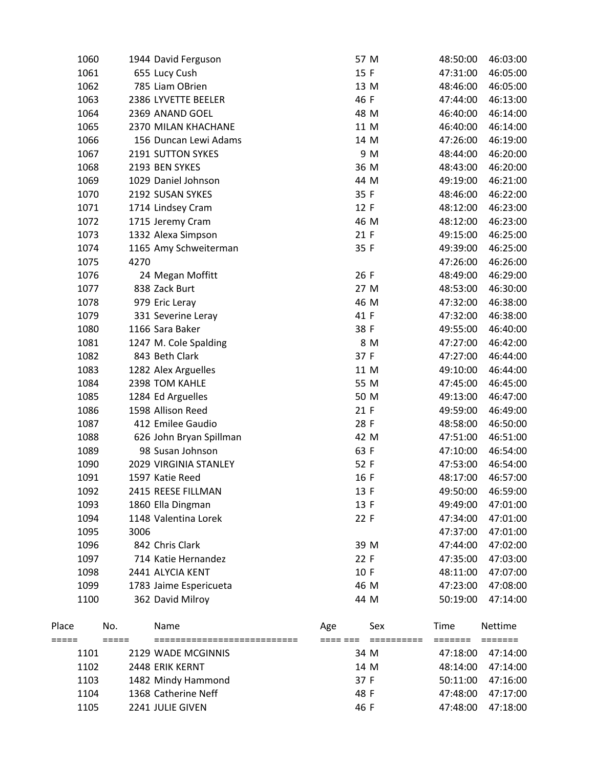|                | 1060 |                            | 1944 David Ferguson                  | 57 M                                 | 48:50:00        | 46:03:00           |
|----------------|------|----------------------------|--------------------------------------|--------------------------------------|-----------------|--------------------|
|                | 1061 |                            | 655 Lucy Cush                        | 15 F                                 | 47:31:00        | 46:05:00           |
|                | 1062 |                            | 785 Liam OBrien                      | 13 M                                 | 48:46:00        | 46:05:00           |
|                | 1063 |                            | 2386 LYVETTE BEELER                  | 46 F                                 | 47:44:00        | 46:13:00           |
|                | 1064 |                            | 2369 ANAND GOEL                      | 48 M                                 | 46:40:00        | 46:14:00           |
|                | 1065 |                            | 2370 MILAN KHACHANE                  | 11 M                                 | 46:40:00        | 46:14:00           |
|                | 1066 |                            | 156 Duncan Lewi Adams                | 14 M                                 | 47:26:00        | 46:19:00           |
|                | 1067 |                            | 2191 SUTTON SYKES                    | 9 M                                  | 48:44:00        | 46:20:00           |
|                | 1068 |                            | 2193 BEN SYKES                       | 36 M                                 | 48:43:00        | 46:20:00           |
|                | 1069 |                            | 1029 Daniel Johnson                  | 44 M                                 | 49:19:00        | 46:21:00           |
|                | 1070 |                            | 2192 SUSAN SYKES                     | 35 F                                 | 48:46:00        | 46:22:00           |
|                | 1071 |                            | 1714 Lindsey Cram                    | 12 F                                 | 48:12:00        | 46:23:00           |
|                | 1072 |                            | 1715 Jeremy Cram                     | 46 M                                 | 48:12:00        | 46:23:00           |
|                | 1073 |                            | 1332 Alexa Simpson                   | 21 F                                 | 49:15:00        | 46:25:00           |
|                | 1074 |                            | 1165 Amy Schweiterman                | 35 F                                 | 49:39:00        | 46:25:00           |
|                | 1075 | 4270                       |                                      |                                      | 47:26:00        | 46:26:00           |
|                | 1076 |                            | 24 Megan Moffitt                     | 26 F                                 | 48:49:00        | 46:29:00           |
|                | 1077 |                            | 838 Zack Burt                        | 27 M                                 | 48:53:00        | 46:30:00           |
|                | 1078 |                            | 979 Eric Leray                       | 46 M                                 | 47:32:00        | 46:38:00           |
|                | 1079 |                            | 331 Severine Leray                   | 41 F                                 | 47:32:00        | 46:38:00           |
|                | 1080 |                            | 1166 Sara Baker                      | 38 F                                 | 49:55:00        | 46:40:00           |
|                | 1081 |                            | 1247 M. Cole Spalding                | 8 M                                  | 47:27:00        | 46:42:00           |
|                | 1082 |                            | 843 Beth Clark                       | 37 F                                 | 47:27:00        | 46:44:00           |
|                | 1083 |                            | 1282 Alex Arguelles                  | 11 M                                 | 49:10:00        | 46:44:00           |
|                | 1084 |                            | 2398 TOM KAHLE                       | 55 M                                 | 47:45:00        | 46:45:00           |
|                | 1085 |                            | 1284 Ed Arguelles                    | 50 M                                 | 49:13:00        | 46:47:00           |
|                | 1086 |                            | 1598 Allison Reed                    | 21 F                                 | 49:59:00        | 46:49:00           |
|                | 1087 |                            | 412 Emilee Gaudio                    | 28 F                                 | 48:58:00        | 46:50:00           |
|                | 1088 |                            | 626 John Bryan Spillman              | 42 M                                 | 47:51:00        | 46:51:00           |
|                | 1089 |                            | 98 Susan Johnson                     | 63 F                                 | 47:10:00        | 46:54:00           |
|                | 1090 |                            | 2029 VIRGINIA STANLEY                | 52 F                                 | 47:53:00        | 46:54:00           |
|                | 1091 |                            | 1597 Katie Reed                      | 16 F                                 | 48:17:00        | 46:57:00           |
|                | 1092 |                            | 2415 REESE FILLMAN                   | 13 F                                 | 49:50:00        | 46:59:00           |
|                | 1093 |                            | 1860 Ella Dingman                    | 13 F                                 | 49:49:00        | 47:01:00           |
|                | 1094 |                            | 1148 Valentina Lorek                 | 22 F                                 | 47:34:00        | 47:01:00           |
|                | 1095 | 3006                       |                                      |                                      | 47:37:00        | 47:01:00           |
|                | 1096 |                            | 842 Chris Clark                      | 39 M                                 | 47:44:00        | 47:02:00           |
|                | 1097 |                            | 714 Katie Hernandez                  | 22 F                                 | 47:35:00        | 47:03:00           |
|                | 1098 |                            | 2441 ALYCIA KENT                     | 10 F                                 | 48:11:00        | 47:07:00           |
|                | 1099 |                            | 1783 Jaime Espericueta               | 46 M                                 | 47:23:00        | 47:08:00           |
|                | 1100 |                            | 362 David Milroy                     | 44 M                                 | 50:19:00        | 47:14:00           |
| Place<br>===== |      | No.<br>$=$ $=$ $=$ $=$ $=$ | Name<br>============================ | Sex<br>Age<br>==== ===<br>========== | Time<br>======= | Nettime<br>======= |
|                | 1101 |                            | 2129 WADE MCGINNIS                   | 34 M                                 | 47:18:00        | 47:14:00           |
|                | 1102 |                            | 2448 ERIK KERNT                      | 14 M                                 | 48:14:00        | 47:14:00           |
|                | 1103 |                            | 1482 Mindy Hammond                   | 37 F                                 | 50:11:00        | 47:16:00           |
|                | 1104 |                            | 1368 Catherine Neff                  | 48 F                                 | 47:48:00        | 47:17:00           |
|                | 1105 |                            | 2241 JULIE GIVEN                     | 46 F                                 | 47:48:00        | 47:18:00           |
|                |      |                            |                                      |                                      |                 |                    |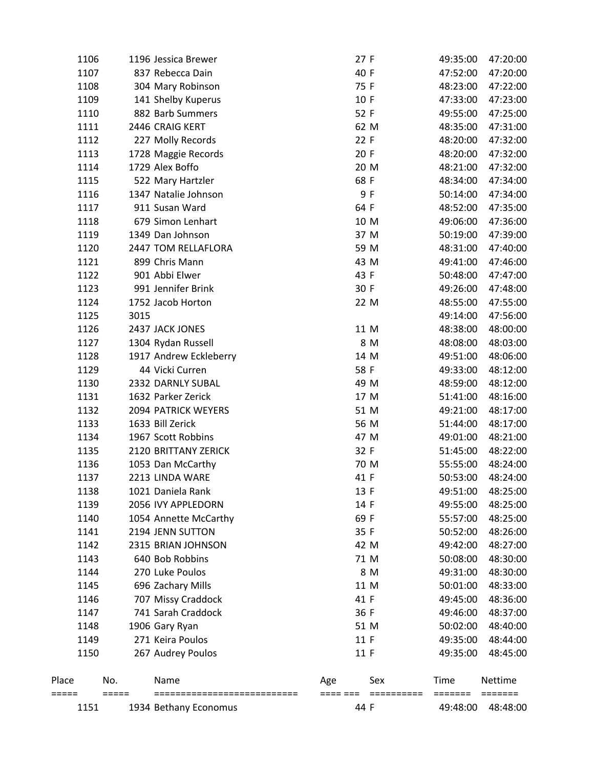|                | 1151 |                | 1934 Bethany Economus                | 44 F            |                              | 49:48:00        | 48:48:00                               |
|----------------|------|----------------|--------------------------------------|-----------------|------------------------------|-----------------|----------------------------------------|
| Place<br>===== |      | No.<br>$=====$ | Name<br>============================ | Age<br>==== === | Sex<br>$=$ = = = = = = = = = | Time<br>======= | Nettime<br>$=$ $=$ $=$ $=$ $=$ $=$ $=$ |
|                | 1150 |                | 267 Audrey Poulos                    | 11 F            |                              | 49:35:00        | 48:45:00                               |
|                | 1149 |                | 271 Keira Poulos                     | 11 F            |                              | 49:35:00        | 48:44:00                               |
|                | 1148 |                | 1906 Gary Ryan                       | 51 M            |                              | 50:02:00        | 48:40:00                               |
|                | 1147 |                | 741 Sarah Craddock                   | 36 F            |                              | 49:46:00        | 48:37:00                               |
|                | 1146 |                | 707 Missy Craddock                   | 41 F            |                              | 49:45:00        | 48:36:00                               |
|                | 1145 |                | 696 Zachary Mills                    | 11 M            |                              | 50:01:00        | 48:33:00                               |
|                | 1144 |                | 270 Luke Poulos                      |                 | 8 M                          | 49:31:00        | 48:30:00                               |
|                | 1143 |                | 640 Bob Robbins                      | 71 M            |                              | 50:08:00        | 48:30:00                               |
|                | 1142 |                | 2315 BRIAN JOHNSON                   | 42 M            |                              | 49:42:00        | 48:27:00                               |
|                | 1141 |                | 2194 JENN SUTTON                     | 35 F            |                              | 50:52:00        | 48:26:00                               |
|                | 1140 |                | 1054 Annette McCarthy                | 69 F            |                              | 55:57:00        | 48:25:00                               |
|                | 1139 |                | 2056 IVY APPLEDORN                   | 14 F            |                              | 49:55:00        | 48:25:00                               |
|                | 1138 |                | 1021 Daniela Rank                    | 13 F            |                              |                 | 49:51:00 48:25:00                      |
|                | 1137 |                | 2213 LINDA WARE                      | 41 F            |                              | 50:53:00        | 48:24:00                               |
|                | 1136 |                | 1053 Dan McCarthy                    | 70 M            |                              | 55:55:00        | 48:24:00                               |
|                | 1135 |                | 2120 BRITTANY ZERICK                 | 32 F            |                              | 51:45:00        | 48:22:00                               |
|                | 1134 |                | 1967 Scott Robbins                   | 47 M            |                              | 49:01:00        | 48:21:00                               |
|                | 1133 |                | 1633 Bill Zerick                     | 56 M            |                              | 51:44:00        | 48:17:00                               |
|                | 1132 |                | 2094 PATRICK WEYERS                  | 51 M            |                              | 49:21:00        | 48:17:00                               |
|                | 1131 |                | 1632 Parker Zerick                   | 17 M            |                              | 51:41:00        | 48:16:00                               |
|                | 1130 |                | 2332 DARNLY SUBAL                    | 49 M            |                              | 48:59:00        | 48:12:00                               |
|                | 1129 |                | 44 Vicki Curren                      | 58 F            |                              | 49:33:00        | 48:12:00                               |
|                | 1128 |                | 1917 Andrew Eckleberry               | 14 M            |                              | 49:51:00        | 48:06:00                               |
|                | 1127 |                | 1304 Rydan Russell                   |                 | 8 M                          | 48:08:00        | 48:03:00                               |
|                | 1126 |                | 2437 JACK JONES                      | 11 M            |                              | 48:38:00        | 48:00:00                               |
|                | 1125 | 3015           |                                      |                 |                              | 49:14:00        | 47:56:00                               |
|                | 1124 |                | 1752 Jacob Horton                    | 22 M            |                              | 48:55:00        | 47:55:00                               |
|                | 1123 |                | 991 Jennifer Brink                   | 30 F            |                              | 49:26:00        | 47:48:00                               |
|                | 1122 |                | 901 Abbi Elwer                       | 43 F            |                              | 50:48:00        | 47:47:00                               |
|                | 1121 |                | 899 Chris Mann                       | 43 M            |                              | 49:41:00        | 47:46:00                               |
|                | 1120 |                | 2447 TOM RELLAFLORA                  | 59 M            |                              | 48:31:00        | 47:40:00                               |
|                | 1119 |                | 1349 Dan Johnson                     | 37 M            |                              | 50:19:00        | 47:39:00                               |
|                | 1118 |                | 679 Simon Lenhart                    | 10 M            |                              | 49:06:00        | 47:36:00                               |
|                | 1117 |                | 911 Susan Ward                       | 64 F            |                              | 48:52:00        | 47:35:00                               |
|                | 1116 |                | 1347 Natalie Johnson                 | 9 F             |                              | 50:14:00        | 47:34:00                               |
|                | 1115 |                | 522 Mary Hartzler                    | 68 F            |                              | 48:34:00        | 47:34:00                               |
|                | 1114 |                | 1729 Alex Boffo                      | 20 M            |                              | 48:21:00        | 47:32:00                               |
|                | 1113 |                | 1728 Maggie Records                  | 20 F            |                              | 48:20:00        | 47:32:00                               |
|                | 1112 |                | 227 Molly Records                    | 22 F            |                              | 48:20:00        | 47:32:00                               |
|                | 1111 |                | 2446 CRAIG KERT                      | 62 M            |                              | 48:35:00        | 47:31:00                               |
|                | 1110 |                | 882 Barb Summers                     | 52 F            |                              | 49:55:00        | 47:25:00                               |
|                | 1109 |                | 141 Shelby Kuperus                   | 10 F            |                              | 47:33:00        | 47:23:00                               |
|                | 1108 |                | 304 Mary Robinson                    | 75 F            |                              | 48:23:00        | 47:22:00                               |
|                | 1107 |                | 837 Rebecca Dain                     | 40 F            |                              | 47:52:00        | 47:20:00                               |
|                | 1106 |                | 1196 Jessica Brewer                  | 27 F            |                              | 49:35:00        | 47:20:00                               |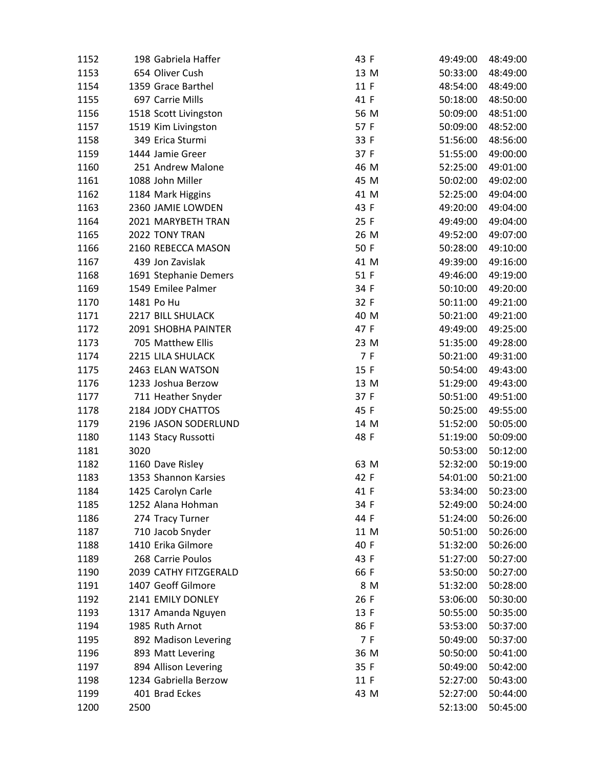| 1152 |      | 198 Gabriela Haffer   | 43 F | 49:49:00 | 48:49:00 |
|------|------|-----------------------|------|----------|----------|
| 1153 |      | 654 Oliver Cush       | 13 M | 50:33:00 | 48:49:00 |
| 1154 |      | 1359 Grace Barthel    | 11 F | 48:54:00 | 48:49:00 |
| 1155 |      | 697 Carrie Mills      | 41 F | 50:18:00 | 48:50:00 |
| 1156 |      | 1518 Scott Livingston | 56 M | 50:09:00 | 48:51:00 |
| 1157 |      | 1519 Kim Livingston   | 57 F | 50:09:00 | 48:52:00 |
| 1158 |      | 349 Erica Sturmi      | 33 F | 51:56:00 | 48:56:00 |
| 1159 |      | 1444 Jamie Greer      | 37 F | 51:55:00 | 49:00:00 |
| 1160 |      | 251 Andrew Malone     | 46 M | 52:25:00 | 49:01:00 |
| 1161 |      | 1088 John Miller      | 45 M | 50:02:00 | 49:02:00 |
| 1162 |      | 1184 Mark Higgins     | 41 M | 52:25:00 | 49:04:00 |
| 1163 |      | 2360 JAMIE LOWDEN     | 43 F | 49:20:00 | 49:04:00 |
| 1164 |      | 2021 MARYBETH TRAN    | 25 F | 49:49:00 | 49:04:00 |
| 1165 |      | 2022 TONY TRAN        | 26 M | 49:52:00 | 49:07:00 |
| 1166 |      | 2160 REBECCA MASON    | 50 F | 50:28:00 | 49:10:00 |
| 1167 |      | 439 Jon Zavislak      | 41 M | 49:39:00 | 49:16:00 |
| 1168 |      | 1691 Stephanie Demers | 51 F | 49:46:00 | 49:19:00 |
| 1169 |      | 1549 Emilee Palmer    | 34 F | 50:10:00 | 49:20:00 |
| 1170 |      | 1481 Po Hu            | 32 F | 50:11:00 | 49:21:00 |
| 1171 |      | 2217 BILL SHULACK     | 40 M | 50:21:00 | 49:21:00 |
| 1172 |      | 2091 SHOBHA PAINTER   | 47 F | 49:49:00 | 49:25:00 |
| 1173 |      | 705 Matthew Ellis     | 23 M | 51:35:00 | 49:28:00 |
| 1174 |      | 2215 LILA SHULACK     | 7 F  | 50:21:00 | 49:31:00 |
| 1175 |      | 2463 ELAN WATSON      | 15 F | 50:54:00 | 49:43:00 |
| 1176 |      | 1233 Joshua Berzow    | 13 M | 51:29:00 | 49:43:00 |
| 1177 |      | 711 Heather Snyder    | 37 F | 50:51:00 | 49:51:00 |
| 1178 |      | 2184 JODY CHATTOS     | 45 F | 50:25:00 | 49:55:00 |
| 1179 |      | 2196 JASON SODERLUND  | 14 M | 51:52:00 | 50:05:00 |
| 1180 |      | 1143 Stacy Russotti   | 48 F | 51:19:00 | 50:09:00 |
| 1181 | 3020 |                       |      | 50:53:00 | 50:12:00 |
| 1182 |      | 1160 Dave Risley      | 63 M | 52:32:00 | 50:19:00 |
| 1183 |      | 1353 Shannon Karsies  | 42 F | 54:01:00 | 50:21:00 |
| 1184 |      | 1425 Carolyn Carle    | 41 F | 53:34:00 | 50:23:00 |
| 1185 |      | 1252 Alana Hohman     | 34 F | 52:49:00 | 50:24:00 |
| 1186 |      | 274 Tracy Turner      | 44 F | 51:24:00 | 50:26:00 |
| 1187 |      | 710 Jacob Snyder      | 11 M | 50:51:00 | 50:26:00 |
| 1188 |      | 1410 Erika Gilmore    | 40 F | 51:32:00 | 50:26:00 |
| 1189 |      | 268 Carrie Poulos     | 43 F | 51:27:00 | 50:27:00 |
| 1190 |      | 2039 CATHY FITZGERALD | 66 F | 53:50:00 | 50:27:00 |
| 1191 |      | 1407 Geoff Gilmore    | 8 M  | 51:32:00 | 50:28:00 |
| 1192 |      | 2141 EMILY DONLEY     | 26 F | 53:06:00 | 50:30:00 |
| 1193 |      | 1317 Amanda Nguyen    | 13 F | 50:55:00 | 50:35:00 |
| 1194 |      | 1985 Ruth Arnot       | 86 F | 53:53:00 | 50:37:00 |
| 1195 |      | 892 Madison Levering  | 7 F  | 50:49:00 | 50:37:00 |
| 1196 |      | 893 Matt Levering     | 36 M | 50:50:00 | 50:41:00 |
| 1197 |      | 894 Allison Levering  | 35 F | 50:49:00 | 50:42:00 |
| 1198 |      | 1234 Gabriella Berzow | 11 F | 52:27:00 | 50:43:00 |
| 1199 |      | 401 Brad Eckes        | 43 M | 52:27:00 | 50:44:00 |
| 1200 | 2500 |                       |      | 52:13:00 | 50:45:00 |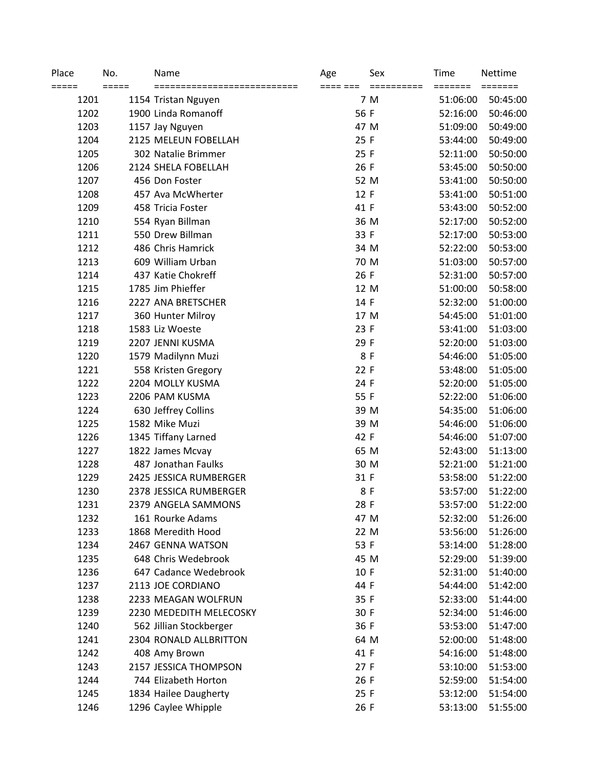| Place<br>===== | No.<br>$=====$ | Name                    | Age<br>==== === | Sex<br>========== | Time<br>======= | Nettime<br>======= |
|----------------|----------------|-------------------------|-----------------|-------------------|-----------------|--------------------|
| 1201           |                | 1154 Tristan Nguyen     |                 | 7 M               | 51:06:00        | 50:45:00           |
| 1202           |                | 1900 Linda Romanoff     | 56 F            |                   | 52:16:00        | 50:46:00           |
| 1203           |                | 1157 Jay Nguyen         | 47 M            |                   | 51:09:00        | 50:49:00           |
| 1204           |                | 2125 MELEUN FOBELLAH    | 25 F            |                   | 53:44:00        | 50:49:00           |
| 1205           |                | 302 Natalie Brimmer     | 25 F            |                   | 52:11:00        | 50:50:00           |
| 1206           |                | 2124 SHELA FOBELLAH     | 26 F            |                   | 53:45:00        | 50:50:00           |
| 1207           |                | 456 Don Foster          | 52 M            |                   | 53:41:00        | 50:50:00           |
| 1208           |                | 457 Ava McWherter       | 12 F            |                   | 53:41:00        | 50:51:00           |
| 1209           |                | 458 Tricia Foster       | 41 F            |                   | 53:43:00        | 50:52:00           |
| 1210           |                | 554 Ryan Billman        | 36 M            |                   | 52:17:00        | 50:52:00           |
| 1211           |                | 550 Drew Billman        | 33 F            |                   | 52:17:00        | 50:53:00           |
| 1212           |                | 486 Chris Hamrick       | 34 M            |                   | 52:22:00        | 50:53:00           |
| 1213           |                | 609 William Urban       | 70 M            |                   | 51:03:00        | 50:57:00           |
| 1214           |                | 437 Katie Chokreff      | 26 F            |                   | 52:31:00        | 50:57:00           |
| 1215           |                | 1785 Jim Phieffer       | 12 M            |                   | 51:00:00        | 50:58:00           |
| 1216           |                | 2227 ANA BRETSCHER      | 14 F            |                   | 52:32:00        | 51:00:00           |
| 1217           |                | 360 Hunter Milroy       | 17 M            |                   | 54:45:00        | 51:01:00           |
| 1218           |                | 1583 Liz Woeste         | 23 F            |                   | 53:41:00        | 51:03:00           |
| 1219           |                | 2207 JENNI KUSMA        | 29 F            |                   | 52:20:00        | 51:03:00           |
| 1220           |                | 1579 Madilynn Muzi      | 8 F             |                   | 54:46:00        | 51:05:00           |
| 1221           |                | 558 Kristen Gregory     | 22 F            |                   | 53:48:00        | 51:05:00           |
| 1222           |                | 2204 MOLLY KUSMA        | 24 F            |                   | 52:20:00        | 51:05:00           |
| 1223           |                | 2206 PAM KUSMA          | 55 F            |                   | 52:22:00        | 51:06:00           |
| 1224           |                | 630 Jeffrey Collins     | 39 M            |                   | 54:35:00        | 51:06:00           |
| 1225           |                | 1582 Mike Muzi          | 39 M            |                   | 54:46:00        | 51:06:00           |
| 1226           |                | 1345 Tiffany Larned     | 42 F            |                   | 54:46:00        | 51:07:00           |
| 1227           |                | 1822 James Mcvay        | 65 M            |                   | 52:43:00        | 51:13:00           |
| 1228           |                | 487 Jonathan Faulks     | 30 M            |                   | 52:21:00        | 51:21:00           |
| 1229           |                | 2425 JESSICA RUMBERGER  | 31 F            |                   | 53:58:00        | 51:22:00           |
| 1230           |                | 2378 JESSICA RUMBERGER  | 8F              |                   | 53:57:00        | 51:22:00           |
| 1231           |                | 2379 ANGELA SAMMONS     | 28 F            |                   | 53:57:00        | 51:22:00           |
| 1232           |                | 161 Rourke Adams        | 47 M            |                   | 52:32:00        | 51:26:00           |
| 1233           |                | 1868 Meredith Hood      | 22 M            |                   | 53:56:00        | 51:26:00           |
| 1234           |                | 2467 GENNA WATSON       | 53 F            |                   | 53:14:00        | 51:28:00           |
| 1235           |                | 648 Chris Wedebrook     | 45 M            |                   | 52:29:00        | 51:39:00           |
| 1236           |                | 647 Cadance Wedebrook   | 10 F            |                   | 52:31:00        | 51:40:00           |
| 1237           |                | 2113 JOE CORDIANO       | 44 F            |                   | 54:44:00        | 51:42:00           |
| 1238           |                | 2233 MEAGAN WOLFRUN     | 35 F            |                   | 52:33:00        | 51:44:00           |
| 1239           |                | 2230 MEDEDITH MELECOSKY | 30 F            |                   | 52:34:00        | 51:46:00           |
| 1240           |                | 562 Jillian Stockberger | 36 F            |                   | 53:53:00        | 51:47:00           |
| 1241           |                | 2304 RONALD ALLBRITTON  | 64 M            |                   | 52:00:00        | 51:48:00           |
| 1242           |                | 408 Amy Brown           | 41 F            |                   | 54:16:00        | 51:48:00           |
| 1243           |                | 2157 JESSICA THOMPSON   | 27F             |                   | 53:10:00        | 51:53:00           |
| 1244           |                | 744 Elizabeth Horton    | 26 F            |                   | 52:59:00        | 51:54:00           |
| 1245           |                | 1834 Hailee Daugherty   | 25 F            |                   | 53:12:00        | 51:54:00           |
| 1246           |                | 1296 Caylee Whipple     | 26 F            |                   | 53:13:00        | 51:55:00           |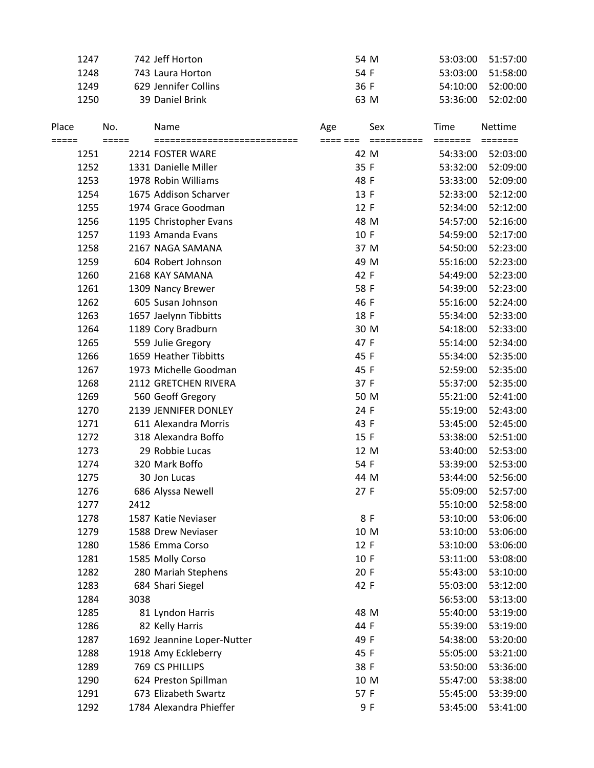|                | 1247           |      | 742 Jeff Horton            | 54 M            |                   | 53:03:00 | 51:57:00 |
|----------------|----------------|------|----------------------------|-----------------|-------------------|----------|----------|
|                | 1248           |      | 743 Laura Horton           | 54 F            |                   | 53:03:00 | 51:58:00 |
|                | 1249           |      | 629 Jennifer Collins       | 36 F            |                   | 54:10:00 | 52:00:00 |
|                | 1250           |      | 39 Daniel Brink            | 63 M            |                   | 53:36:00 | 52:02:00 |
| Place<br>===== | No.<br>$=====$ |      | Name<br>================== | Age<br>==== === | Sex<br>========== | Time     | Nettime  |
|                | 1251           |      | 2214 FOSTER WARE           | 42 M            |                   | 54:33:00 | 52:03:00 |
|                | 1252           |      | 1331 Danielle Miller       | 35 F            |                   | 53:32:00 | 52:09:00 |
|                | 1253           |      | 1978 Robin Williams        | 48 F            |                   | 53:33:00 | 52:09:00 |
|                | 1254           |      | 1675 Addison Scharver      | 13 F            |                   | 52:33:00 | 52:12:00 |
|                | 1255           |      | 1974 Grace Goodman         | 12 F            |                   | 52:34:00 | 52:12:00 |
|                | 1256           |      | 1195 Christopher Evans     | 48 M            |                   | 54:57:00 | 52:16:00 |
|                | 1257           |      | 1193 Amanda Evans          | 10 F            |                   | 54:59:00 | 52:17:00 |
|                | 1258           |      | 2167 NAGA SAMANA           | 37 M            |                   | 54:50:00 | 52:23:00 |
|                | 1259           |      | 604 Robert Johnson         | 49 M            |                   | 55:16:00 | 52:23:00 |
|                | 1260           |      | 2168 KAY SAMANA            | 42 F            |                   | 54:49:00 | 52:23:00 |
|                | 1261           |      | 1309 Nancy Brewer          | 58 F            |                   | 54:39:00 | 52:23:00 |
|                | 1262           |      | 605 Susan Johnson          | 46 F            |                   | 55:16:00 | 52:24:00 |
|                | 1263           |      | 1657 Jaelynn Tibbitts      | 18 F            |                   | 55:34:00 | 52:33:00 |
|                | 1264           |      | 1189 Cory Bradburn         | 30 M            |                   | 54:18:00 | 52:33:00 |
|                | 1265           |      | 559 Julie Gregory          | 47 F            |                   | 55:14:00 | 52:34:00 |
|                | 1266           |      | 1659 Heather Tibbitts      | 45 F            |                   |          |          |
|                |                |      |                            |                 |                   | 55:34:00 | 52:35:00 |
|                | 1267           |      | 1973 Michelle Goodman      | 45 F            |                   | 52:59:00 | 52:35:00 |
|                | 1268           |      | 2112 GRETCHEN RIVERA       | 37 F            |                   | 55:37:00 | 52:35:00 |
|                | 1269           |      | 560 Geoff Gregory          | 50 M            |                   | 55:21:00 | 52:41:00 |
|                | 1270           |      | 2139 JENNIFER DONLEY       | 24 F            |                   | 55:19:00 | 52:43:00 |
|                | 1271           |      | 611 Alexandra Morris       | 43 F            |                   | 53:45:00 | 52:45:00 |
|                | 1272           |      | 318 Alexandra Boffo        | 15 F            |                   | 53:38:00 | 52:51:00 |
|                | 1273           |      | 29 Robbie Lucas            | 12 M            |                   | 53:40:00 | 52:53:00 |
|                | 1274           |      | 320 Mark Boffo             | 54 F            |                   | 53:39:00 | 52:53:00 |
|                | 1275           |      | 30 Jon Lucas               | 44 M            |                   | 53:44:00 | 52:56:00 |
|                | 1276           |      | 686 Alyssa Newell          | 27 F            |                   | 55:09:00 | 52:57:00 |
|                | 1277           | 2412 |                            |                 |                   | 55:10:00 | 52:58:00 |
|                | 1278           |      | 1587 Katie Neviaser        | 8 F             |                   | 53:10:00 | 53:06:00 |
|                | 1279           |      | 1588 Drew Neviaser         | 10 M            |                   | 53:10:00 | 53:06:00 |
|                | 1280           |      | 1586 Emma Corso            | 12 F            |                   | 53:10:00 | 53:06:00 |
|                | 1281           |      | 1585 Molly Corso           | 10 F            |                   | 53:11:00 | 53:08:00 |
|                | 1282           |      | 280 Mariah Stephens        | 20 F            |                   | 55:43:00 | 53:10:00 |
|                | 1283           |      | 684 Shari Siegel           | 42 F            |                   | 55:03:00 | 53:12:00 |
|                | 1284           | 3038 |                            |                 |                   | 56:53:00 | 53:13:00 |
|                | 1285           |      | 81 Lyndon Harris           | 48 M            |                   | 55:40:00 | 53:19:00 |
|                | 1286           |      | 82 Kelly Harris            | 44 F            |                   | 55:39:00 | 53:19:00 |
|                | 1287           |      | 1692 Jeannine Loper-Nutter | 49 F            |                   | 54:38:00 | 53:20:00 |
|                | 1288           |      | 1918 Amy Eckleberry        | 45 F            |                   | 55:05:00 | 53:21:00 |
|                | 1289           |      | 769 CS PHILLIPS            | 38 F            |                   | 53:50:00 | 53:36:00 |
|                | 1290           |      | 624 Preston Spillman       | 10 M            |                   | 55:47:00 | 53:38:00 |
|                | 1291           |      | 673 Elizabeth Swartz       | 57 F            |                   | 55:45:00 | 53:39:00 |
|                | 1292           |      | 1784 Alexandra Phieffer    | 9 F             |                   | 53:45:00 | 53:41:00 |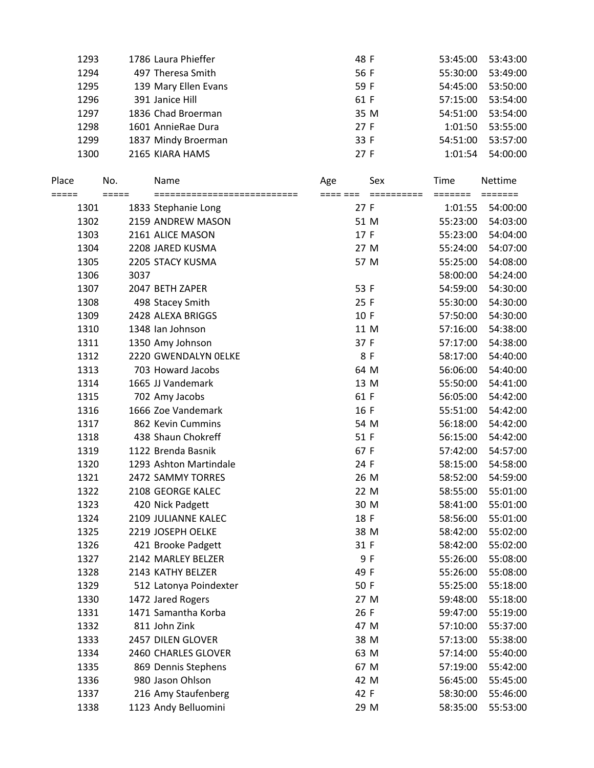| 1293 | 1786 Laura Phieffer  | 48 F | 53:45:00 | 53:43:00 |
|------|----------------------|------|----------|----------|
| 1294 | 497 Theresa Smith    | 56 F | 55:30:00 | 53:49:00 |
| 1295 | 139 Mary Ellen Evans | 59 F | 54:45:00 | 53:50:00 |
| 1296 | 391 Janice Hill      | 61 F | 57:15:00 | 53:54:00 |
| 1297 | 1836 Chad Broerman   | 35 M | 54:51:00 | 53:54:00 |
| 1298 | 1601 AnnieRae Dura   | 27F  | 1:01:50  | 53:55:00 |
| 1299 | 1837 Mindy Broerman  | 33 F | 54:51:00 | 53:57:00 |
| 1300 | 2165 KIARA HAMS      | 27 F | 1:01:54  | 54:00:00 |
|      |                      |      |          |          |

| Place           | No.     |      | Name                                                | Age             | Sex        | Time                                   | <b>Nettime</b>                          |
|-----------------|---------|------|-----------------------------------------------------|-----------------|------------|----------------------------------------|-----------------------------------------|
| $=====$<br>1301 | $=====$ |      | ============================<br>1833 Stephanie Long | ==== ===<br>27F | ========== | $=$ $=$ $=$ $=$ $=$ $=$ $=$<br>1:01:55 | $=$ $=$ $=$ $=$ $=$ $=$ $=$<br>54:00:00 |
| 1302            |         |      | 2159 ANDREW MASON                                   |                 | 51 M       | 55:23:00                               | 54:03:00                                |
| 1303            |         |      | 2161 ALICE MASON                                    | 17 F            |            | 55:23:00                               | 54:04:00                                |
| 1304            |         |      | 2208 JARED KUSMA                                    |                 | 27 M       | 55:24:00                               | 54:07:00                                |
| 1305            |         |      | 2205 STACY KUSMA                                    |                 | 57 M       | 55:25:00                               | 54:08:00                                |
| 1306            |         | 3037 |                                                     |                 |            | 58:00:00                               | 54:24:00                                |
| 1307            |         |      | 2047 BETH ZAPER                                     | 53 F            |            | 54:59:00                               | 54:30:00                                |
| 1308            |         |      | 498 Stacey Smith                                    | 25 F            |            | 55:30:00                               | 54:30:00                                |
| 1309            |         |      | 2428 ALEXA BRIGGS                                   | 10 F            |            | 57:50:00                               | 54:30:00                                |
| 1310            |         |      | 1348 Ian Johnson                                    |                 | 11 M       | 57:16:00                               | 54:38:00                                |
| 1311            |         |      | 1350 Amy Johnson                                    | 37 F            |            | 57:17:00                               | 54:38:00                                |
| 1312            |         |      | 2220 GWENDALYN OELKE                                |                 | 8 F        | 58:17:00                               | 54:40:00                                |
| 1313            |         |      | 703 Howard Jacobs                                   | 64 M            |            | 56:06:00                               | 54:40:00                                |
| 1314            |         |      | 1665 JJ Vandemark                                   | 13 M            |            | 55:50:00                               | 54:41:00                                |
| 1315            |         |      | 702 Amy Jacobs                                      | 61 F            |            | 56:05:00                               | 54:42:00                                |
| 1316            |         |      | 1666 Zoe Vandemark                                  | 16 F            |            | 55:51:00                               | 54:42:00                                |
| 1317            |         |      | 862 Kevin Cummins                                   |                 | 54 M       | 56:18:00                               | 54:42:00                                |
| 1318            |         |      | 438 Shaun Chokreff                                  | 51 F            |            | 56:15:00                               | 54:42:00                                |
| 1319            |         |      | 1122 Brenda Basnik                                  | 67 F            |            | 57:42:00                               | 54:57:00                                |
| 1320            |         |      | 1293 Ashton Martindale                              | 24 F            |            | 58:15:00                               | 54:58:00                                |
| 1321            |         |      | 2472 SAMMY TORRES                                   | 26 M            |            | 58:52:00                               | 54:59:00                                |
| 1322            |         |      | 2108 GEORGE KALEC                                   |                 | 22 M       | 58:55:00                               | 55:01:00                                |
| 1323            |         |      | 420 Nick Padgett                                    | 30 M            |            | 58:41:00                               | 55:01:00                                |
| 1324            |         |      | 2109 JULIANNE KALEC                                 | 18 F            |            | 58:56:00                               | 55:01:00                                |
| 1325            |         |      | 2219 JOSEPH OELKE                                   |                 | 38 M       | 58:42:00                               | 55:02:00                                |
| 1326            |         |      | 421 Brooke Padgett                                  | 31 F            |            | 58:42:00                               | 55:02:00                                |
| 1327            |         |      | 2142 MARLEY BELZER                                  |                 | 9F         | 55:26:00                               | 55:08:00                                |
| 1328            |         |      | 2143 KATHY BELZER                                   | 49 F            |            | 55:26:00                               | 55:08:00                                |
| 1329            |         |      | 512 Latonya Poindexter                              | 50 F            |            | 55:25:00                               | 55:18:00                                |
| 1330            |         |      | 1472 Jared Rogers                                   |                 | 27 M       | 59:48:00                               | 55:18:00                                |
| 1331            |         |      | 1471 Samantha Korba                                 | 26 F            |            | 59:47:00                               | 55:19:00                                |
| 1332            |         |      | 811 John Zink                                       |                 | 47 M       | 57:10:00                               | 55:37:00                                |
| 1333            |         |      | 2457 DILEN GLOVER                                   |                 | 38 M       | 57:13:00                               | 55:38:00                                |
| 1334            |         |      | 2460 CHARLES GLOVER                                 |                 | 63 M       | 57:14:00                               | 55:40:00                                |
| 1335            |         |      | 869 Dennis Stephens                                 |                 | 67 M       | 57:19:00                               | 55:42:00                                |
| 1336            |         |      | 980 Jason Ohlson                                    |                 | 42 M       | 56:45:00                               | 55:45:00                                |
| 1337            |         |      | 216 Amy Staufenberg                                 | 42 F            |            | 58:30:00                               | 55:46:00                                |
| 1338            |         |      | 1123 Andy Belluomini                                |                 | 29 M       | 58:35:00                               | 55:53:00                                |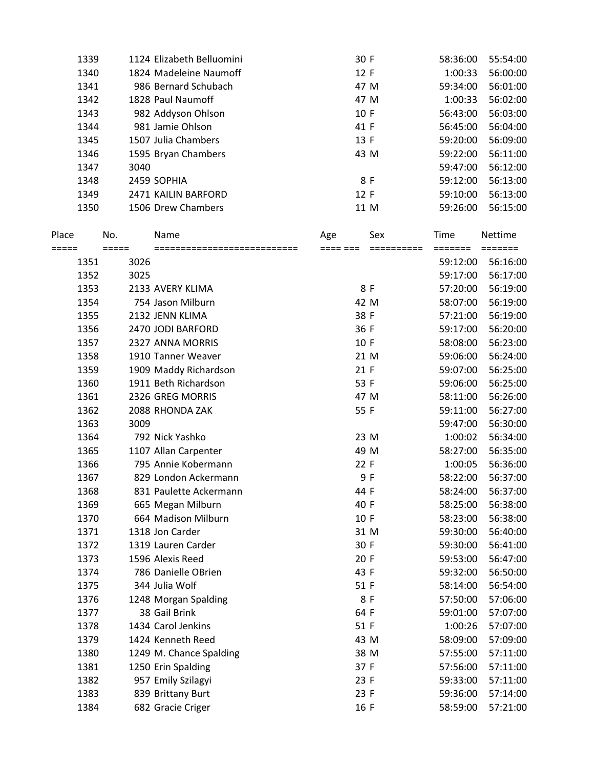|       | 1339 |         | 1124 Elizabeth Belluomini    |     | 30 F |     | 58:36:00 | 55:54:00 |
|-------|------|---------|------------------------------|-----|------|-----|----------|----------|
|       | 1340 |         | 1824 Madeleine Naumoff       |     | 12 F |     | 1:00:33  | 56:00:00 |
|       | 1341 |         | 986 Bernard Schubach         |     | 47 M |     | 59:34:00 | 56:01:00 |
|       | 1342 |         | 1828 Paul Naumoff            |     | 47 M |     | 1:00:33  | 56:02:00 |
|       | 1343 |         | 982 Addyson Ohlson           |     | 10 F |     | 56:43:00 | 56:03:00 |
|       | 1344 |         | 981 Jamie Ohlson             |     | 41 F |     | 56:45:00 | 56:04:00 |
|       | 1345 |         | 1507 Julia Chambers          |     | 13 F |     | 59:20:00 | 56:09:00 |
|       | 1346 |         | 1595 Bryan Chambers          |     | 43 M |     | 59:22:00 | 56:11:00 |
|       | 1347 | 3040    |                              |     |      |     | 59:47:00 | 56:12:00 |
|       | 1348 |         | 2459 SOPHIA                  |     |      | 8 F | 59:12:00 | 56:13:00 |
|       | 1349 |         | 2471 KAILIN BARFORD          |     | 12 F |     | 59:10:00 | 56:13:00 |
|       | 1350 |         | 1506 Drew Chambers           |     | 11 M |     | 59:26:00 | 56:15:00 |
|       |      |         |                              |     |      |     |          |          |
| Place |      | No.     | Name                         | Age |      | Sex | Time     | Nettime  |
| ===== |      | $=====$ | ============================ |     |      |     |          |          |
|       | 1351 | 3026    |                              |     |      |     | 59:12:00 | 56:16:00 |
|       | 1352 | 3025    |                              |     |      |     | 59:17:00 | 56:17:00 |
|       | 1353 |         | 2133 AVERY KLIMA             |     |      | 8 F | 57:20:00 | 56:19:00 |
|       | 1354 |         | 754 Jason Milburn            |     | 42 M |     | 58:07:00 | 56:19:00 |
|       | 1355 |         | 2132 JENN KLIMA              |     | 38 F |     | 57:21:00 | 56:19:00 |
|       | 1356 |         | 2470 JODI BARFORD            |     | 36 F |     | 59:17:00 | 56:20:00 |
|       | 1357 |         | 2327 ANNA MORRIS             |     | 10 F |     | 58:08:00 | 56:23:00 |
|       | 1358 |         | 1910 Tanner Weaver           |     | 21 M |     | 59:06:00 | 56:24:00 |
|       | 1359 |         | 1909 Maddy Richardson        |     | 21 F |     | 59:07:00 | 56:25:00 |
|       | 1360 |         | 1911 Beth Richardson         |     | 53 F |     | 59:06:00 | 56:25:00 |
|       | 1361 |         | 2326 GREG MORRIS             |     | 47 M |     | 58:11:00 | 56:26:00 |
|       | 1362 |         | 2088 RHONDA ZAK              |     | 55 F |     | 59:11:00 | 56:27:00 |
|       | 1363 | 3009    |                              |     |      |     | 59:47:00 | 56:30:00 |
|       | 1364 |         | 792 Nick Yashko              |     | 23 M |     | 1:00:02  | 56:34:00 |
|       | 1365 |         | 1107 Allan Carpenter         |     | 49 M |     | 58:27:00 | 56:35:00 |
|       | 1366 |         | 795 Annie Kobermann          |     | 22 F |     | 1:00:05  | 56:36:00 |
|       | 1367 |         | 829 London Ackermann         |     |      | 9 F | 58:22:00 | 56:37:00 |
|       | 1368 |         | 831 Paulette Ackermann       |     | 44 F |     | 58:24:00 | 56:37:00 |
|       | 1369 |         | 665 Megan Milburn            |     | 40 F |     | 58:25:00 | 56:38:00 |
|       | 1370 |         | 664 Madison Milburn          |     | 10 F |     | 58:23:00 | 56:38:00 |
|       | 1371 |         | 1318 Jon Carder              |     | 31 M |     | 59:30:00 | 56:40:00 |
|       | 1372 |         | 1319 Lauren Carder           |     | 30 F |     | 59:30:00 | 56:41:00 |
|       | 1373 |         | 1596 Alexis Reed             |     | 20 F |     | 59:53:00 | 56:47:00 |
|       | 1374 |         | 786 Danielle OBrien          |     | 43 F |     | 59:32:00 | 56:50:00 |
|       | 1375 |         | 344 Julia Wolf               |     | 51 F |     | 58:14:00 | 56:54:00 |
|       | 1376 |         | 1248 Morgan Spalding         |     |      | 8 F | 57:50:00 | 57:06:00 |
|       | 1377 |         | 38 Gail Brink                |     | 64 F |     | 59:01:00 | 57:07:00 |
|       | 1378 |         | 1434 Carol Jenkins           |     | 51 F |     | 1:00:26  | 57:07:00 |
|       | 1379 |         | 1424 Kenneth Reed            |     | 43 M |     | 58:09:00 | 57:09:00 |
|       | 1380 |         | 1249 M. Chance Spalding      |     | 38 M |     | 57:55:00 | 57:11:00 |
|       | 1381 |         | 1250 Erin Spalding           |     | 37 F |     | 57:56:00 | 57:11:00 |
|       | 1382 |         | 957 Emily Szilagyi           |     | 23 F |     | 59:33:00 | 57:11:00 |
|       | 1383 |         | 839 Brittany Burt            |     | 23 F |     | 59:36:00 | 57:14:00 |
|       | 1384 |         | 682 Gracie Criger            |     | 16 F |     | 58:59:00 | 57:21:00 |
|       |      |         |                              |     |      |     |          |          |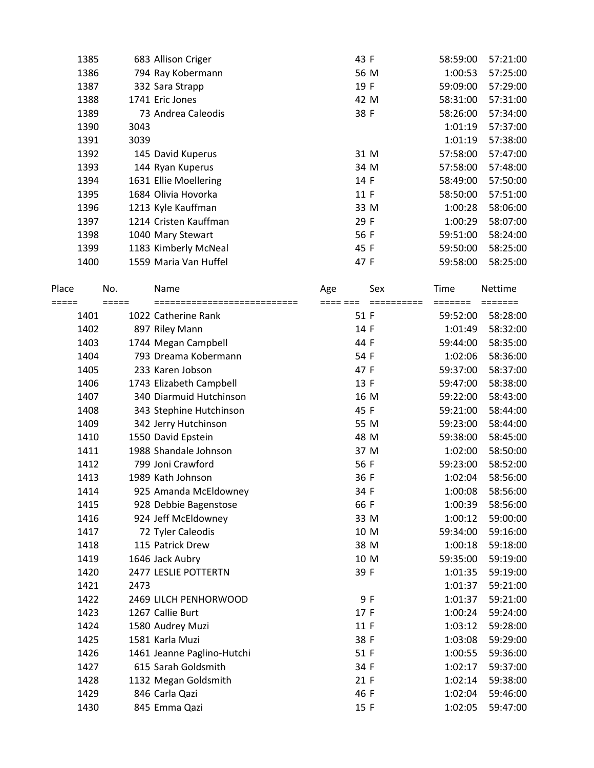| 1385 | 683 Allison Criger    | 43 F | 58:59:00 | 57:21:00 |
|------|-----------------------|------|----------|----------|
| 1386 | 794 Ray Kobermann     | 56 M | 1:00:53  | 57:25:00 |
| 1387 | 332 Sara Strapp       | 19 F | 59:09:00 | 57:29:00 |
| 1388 | 1741 Eric Jones       | 42 M | 58:31:00 | 57:31:00 |
| 1389 | 73 Andrea Caleodis    | 38 F | 58:26:00 | 57:34:00 |
| 1390 | 3043                  |      | 1:01:19  | 57:37:00 |
| 1391 | 3039                  |      | 1:01:19  | 57:38:00 |
| 1392 | 145 David Kuperus     | 31 M | 57:58:00 | 57:47:00 |
| 1393 | 144 Ryan Kuperus      | 34 M | 57:58:00 | 57:48:00 |
| 1394 | 1631 Ellie Moellering | 14 F | 58:49:00 | 57:50:00 |
| 1395 | 1684 Olivia Hovorka   | 11 F | 58:50:00 | 57:51:00 |
| 1396 | 1213 Kyle Kauffman    | 33 M | 1:00:28  | 58:06:00 |
| 1397 | 1214 Cristen Kauffman | 29 F | 1:00:29  | 58:07:00 |
| 1398 | 1040 Mary Stewart     | 56 F | 59:51:00 | 58:24:00 |
| 1399 | 1183 Kimberly McNeal  | 45 F | 59:50:00 | 58:25:00 |
| 1400 | 1559 Maria Van Huffel | 47 F | 59:58:00 | 58:25:00 |

| Place | No.   | Name                       | Age  | Sex | Time     | <b>Nettime</b> |
|-------|-------|----------------------------|------|-----|----------|----------------|
| ===== | ===== |                            |      |     | =======  | =======        |
| 1401  |       | 1022 Catherine Rank        | 51 F |     | 59:52:00 | 58:28:00       |
| 1402  |       | 897 Riley Mann             | 14 F |     | 1:01:49  | 58:32:00       |
| 1403  |       | 1744 Megan Campbell        | 44 F |     | 59:44:00 | 58:35:00       |
| 1404  |       | 793 Dreama Kobermann       | 54 F |     | 1:02:06  | 58:36:00       |
| 1405  |       | 233 Karen Jobson           | 47 F |     | 59:37:00 | 58:37:00       |
| 1406  |       | 1743 Elizabeth Campbell    | 13 F |     | 59:47:00 | 58:38:00       |
| 1407  |       | 340 Diarmuid Hutchinson    | 16 M |     | 59:22:00 | 58:43:00       |
| 1408  |       | 343 Stephine Hutchinson    | 45 F |     | 59:21:00 | 58:44:00       |
| 1409  |       | 342 Jerry Hutchinson       | 55 M |     | 59:23:00 | 58:44:00       |
| 1410  |       | 1550 David Epstein         | 48 M |     | 59:38:00 | 58:45:00       |
| 1411  |       | 1988 Shandale Johnson      | 37 M |     | 1:02:00  | 58:50:00       |
| 1412  |       | 799 Joni Crawford          | 56 F |     | 59:23:00 | 58:52:00       |
| 1413  |       | 1989 Kath Johnson          | 36 F |     | 1:02:04  | 58:56:00       |
| 1414  |       | 925 Amanda McEldowney      | 34 F |     | 1:00:08  | 58:56:00       |
| 1415  |       | 928 Debbie Bagenstose      | 66 F |     | 1:00:39  | 58:56:00       |
| 1416  |       | 924 Jeff McEldowney        | 33 M |     | 1:00:12  | 59:00:00       |
| 1417  |       | 72 Tyler Caleodis          | 10 M |     | 59:34:00 | 59:16:00       |
| 1418  |       | 115 Patrick Drew           | 38 M |     | 1:00:18  | 59:18:00       |
| 1419  |       | 1646 Jack Aubry            | 10 M |     | 59:35:00 | 59:19:00       |
| 1420  |       | 2477 LESLIE POTTERTN       | 39 F |     | 1:01:35  | 59:19:00       |
| 1421  | 2473  |                            |      |     | 1:01:37  | 59:21:00       |
| 1422  |       | 2469 LILCH PENHORWOOD      | 9 F  |     | 1:01:37  | 59:21:00       |
| 1423  |       | 1267 Callie Burt           | 17 F |     | 1:00:24  | 59:24:00       |
| 1424  |       | 1580 Audrey Muzi           | 11 F |     | 1:03:12  | 59:28:00       |
| 1425  |       | 1581 Karla Muzi            | 38 F |     | 1:03:08  | 59:29:00       |
| 1426  |       | 1461 Jeanne Paglino-Hutchi | 51 F |     | 1:00:55  | 59:36:00       |
| 1427  |       | 615 Sarah Goldsmith        | 34 F |     | 1:02:17  | 59:37:00       |
| 1428  |       | 1132 Megan Goldsmith       | 21 F |     | 1:02:14  | 59:38:00       |
| 1429  |       | 846 Carla Qazi             | 46 F |     | 1:02:04  | 59:46:00       |
| 1430  |       | 845 Emma Qazi              | 15 F |     | 1:02:05  | 59:47:00       |
|       |       |                            |      |     |          |                |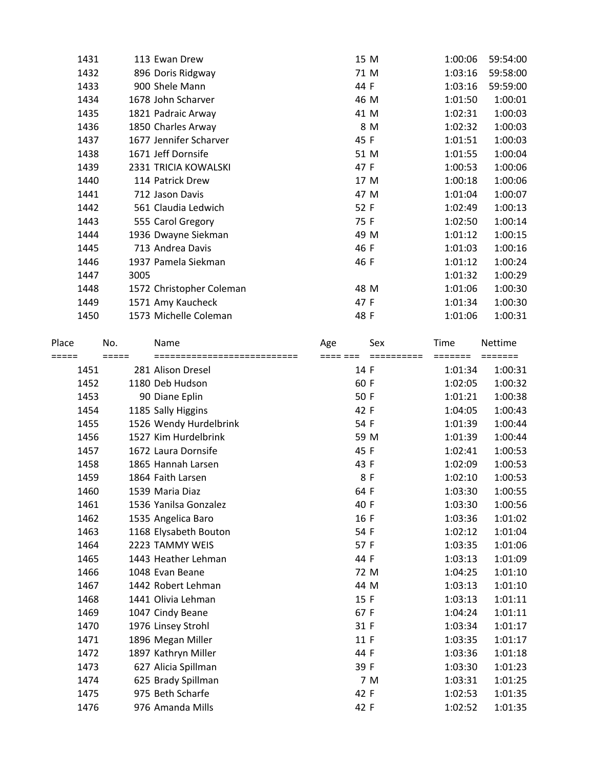| 1431 | 113 Ewan Drew            | 15 M | 1:00:06 | 59:54:00 |
|------|--------------------------|------|---------|----------|
| 1432 | 896 Doris Ridgway        | 71 M | 1:03:16 | 59:58:00 |
| 1433 | 900 Shele Mann           | 44 F | 1:03:16 | 59:59:00 |
| 1434 | 1678 John Scharver       | 46 M | 1:01:50 | 1:00:01  |
| 1435 | 1821 Padraic Arway       | 41 M | 1:02:31 | 1:00:03  |
| 1436 | 1850 Charles Arway       | 8 M  | 1:02:32 | 1:00:03  |
| 1437 | 1677 Jennifer Scharver   | 45 F | 1:01:51 | 1:00:03  |
| 1438 | 1671 Jeff Dornsife       | 51 M | 1:01:55 | 1:00:04  |
| 1439 | 2331 TRICIA KOWALSKI     | 47 F | 1:00:53 | 1:00:06  |
| 1440 | 114 Patrick Drew         | 17 M | 1:00:18 | 1:00:06  |
| 1441 | 712 Jason Davis          | 47 M | 1:01:04 | 1:00:07  |
| 1442 | 561 Claudia Ledwich      | 52 F | 1:02:49 | 1:00:13  |
| 1443 | 555 Carol Gregory        | 75 F | 1:02:50 | 1:00:14  |
| 1444 | 1936 Dwayne Siekman      | 49 M | 1:01:12 | 1:00:15  |
| 1445 | 713 Andrea Davis         | 46 F | 1:01:03 | 1:00:16  |
| 1446 | 1937 Pamela Siekman      | 46 F | 1:01:12 | 1:00:24  |
| 1447 | 3005                     |      | 1:01:32 | 1:00:29  |
| 1448 | 1572 Christopher Coleman | 48 M | 1:01:06 | 1:00:30  |
| 1449 | 1571 Amy Kaucheck        | 47 F | 1:01:34 | 1:00:30  |
| 1450 | 1573 Michelle Coleman    | 48 F | 1:01:06 | 1:00:31  |
|      |                          |      |         |          |

| Place | No.   | Name                        | Age      | Sex        | Time    | <b>Nettime</b> |
|-------|-------|-----------------------------|----------|------------|---------|----------------|
| ===== | ===== | =========================== | ==== === | ========== | ======= | =======        |
| 1451  |       | 281 Alison Dresel           | 14 F     |            | 1:01:34 | 1:00:31        |
| 1452  |       | 1180 Deb Hudson             | 60 F     |            | 1:02:05 | 1:00:32        |
| 1453  |       | 90 Diane Eplin              | 50 F     |            | 1:01:21 | 1:00:38        |
| 1454  |       | 1185 Sally Higgins          | 42 F     |            | 1:04:05 | 1:00:43        |
| 1455  |       | 1526 Wendy Hurdelbrink      | 54 F     |            | 1:01:39 | 1:00:44        |
| 1456  |       | 1527 Kim Hurdelbrink        | 59 M     |            | 1:01:39 | 1:00:44        |
| 1457  |       | 1672 Laura Dornsife         | 45 F     |            | 1:02:41 | 1:00:53        |
| 1458  |       | 1865 Hannah Larsen          | 43 F     |            | 1:02:09 | 1:00:53        |
| 1459  |       | 1864 Faith Larsen           | 8 F      |            | 1:02:10 | 1:00:53        |
| 1460  |       | 1539 Maria Diaz             | 64 F     |            | 1:03:30 | 1:00:55        |
| 1461  |       | 1536 Yanilsa Gonzalez       | 40 F     |            | 1:03:30 | 1:00:56        |
| 1462  |       | 1535 Angelica Baro          | 16 F     |            | 1:03:36 | 1:01:02        |
| 1463  |       | 1168 Elysabeth Bouton       | 54 F     |            | 1:02:12 | 1:01:04        |
| 1464  |       | 2223 TAMMY WEIS             | 57 F     |            | 1:03:35 | 1:01:06        |
| 1465  |       | 1443 Heather Lehman         | 44 F     |            | 1:03:13 | 1:01:09        |
| 1466  |       | 1048 Evan Beane             | 72 M     |            | 1:04:25 | 1:01:10        |
| 1467  |       | 1442 Robert Lehman          | 44 M     |            | 1:03:13 | 1:01:10        |
| 1468  |       | 1441 Olivia Lehman          | 15 F     |            | 1:03:13 | 1:01:11        |
| 1469  |       | 1047 Cindy Beane            | 67 F     |            | 1:04:24 | 1:01:11        |
| 1470  |       | 1976 Linsey Strohl          | 31 F     |            | 1:03:34 | 1:01:17        |
| 1471  |       | 1896 Megan Miller           | 11 F     |            | 1:03:35 | 1:01:17        |
| 1472  |       | 1897 Kathryn Miller         | 44 F     |            | 1:03:36 | 1:01:18        |
| 1473  |       | 627 Alicia Spillman         | 39 F     |            | 1:03:30 | 1:01:23        |
| 1474  |       | 625 Brady Spillman          |          | 7 M        | 1:03:31 | 1:01:25        |
| 1475  |       | 975 Beth Scharfe            | 42 F     |            | 1:02:53 | 1:01:35        |
| 1476  |       | 976 Amanda Mills            | 42 F     |            | 1:02:52 | 1:01:35        |
|       |       |                             |          |            |         |                |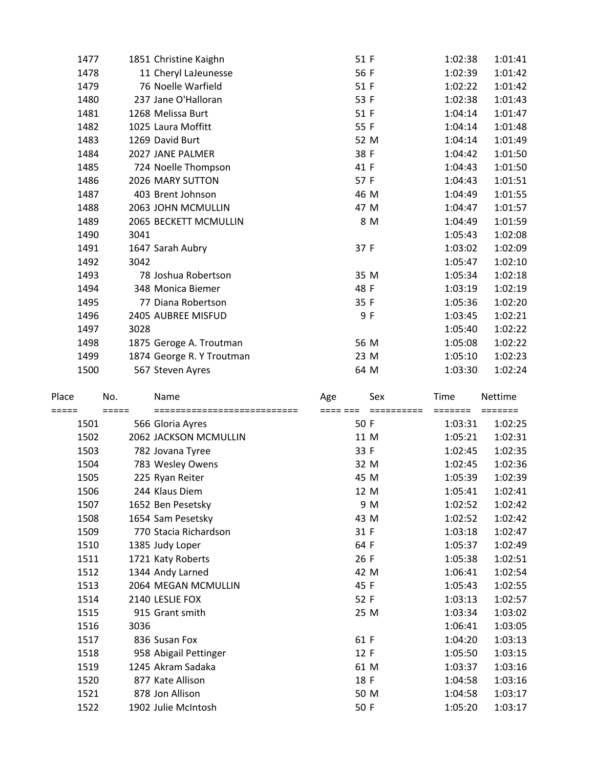| 11 Cheryl LaJeunesse<br>76 Noelle Warfield<br>237 Jane O'Halloran | 56 F<br>51 F<br>53 F | 1:02:39<br>1:02:22 | 1:01:42<br>1:01:42 |
|-------------------------------------------------------------------|----------------------|--------------------|--------------------|
|                                                                   |                      |                    |                    |
|                                                                   |                      |                    |                    |
|                                                                   |                      | 1:02:38            | 1:01:43            |
|                                                                   | 51 F                 | 1:04:14            | 1:01:47            |
| 1025 Laura Moffitt                                                | 55 F                 | 1:04:14            | 1:01:48            |
| 1269 David Burt                                                   | 52 M                 | 1:04:14            | 1:01:49            |
| 2027 JANE PALMER                                                  | 38 F                 | 1:04:42            | 1:01:50            |
| 724 Noelle Thompson                                               | 41 F                 | 1:04:43            | 1:01:50            |
| 2026 MARY SUTTON                                                  | 57 F                 | 1:04:43            | 1:01:51            |
| 403 Brent Johnson                                                 | 46 M                 | 1:04:49            | 1:01:55            |
| 2063 JOHN MCMULLIN                                                | 47 M                 | 1:04:47            | 1:01:57            |
| 2065 BECKETT MCMULLIN                                             | 8 M                  | 1:04:49            | 1:01:59            |
| 3041                                                              |                      | 1:05:43            | 1:02:08            |
| 1647 Sarah Aubry                                                  | 37 F                 | 1:03:02            | 1:02:09            |
| 3042                                                              |                      | 1:05:47            | 1:02:10            |
| 78 Joshua Robertson                                               | 35 M                 | 1:05:34            | 1:02:18            |
| 348 Monica Biemer                                                 | 48 F                 | 1:03:19            | 1:02:19            |
| 77 Diana Robertson                                                | 35 F                 | 1:05:36            | 1:02:20            |
| 2405 AUBREE MISFUD                                                | 9 F                  | 1:03:45            | 1:02:21            |
| 3028                                                              |                      | 1:05:40            | 1:02:22            |
| 1875 Geroge A. Troutman                                           | 56 M                 | 1:05:08            | 1:02:22            |
| 1874 George R. Y Troutman                                         | 23 M                 | 1:05:10            | 1:02:23            |
| 567 Steven Ayres                                                  | 64 M                 | 1:03:30            | 1:02:24            |
|                                                                   | 1268 Melissa Burt    |                    |                    |

| Place         | No.   | Name                                            | Age              | Sex      | <b>Time</b>        | Nettime            |
|---------------|-------|-------------------------------------------------|------------------|----------|--------------------|--------------------|
| =====<br>1501 | ===== | ===========================<br>566 Gloria Ayres | ==== ===<br>50 F | ======== | =======<br>1:03:31 | =======<br>1:02:25 |
| 1502          |       | 2062 JACKSON MCMULLIN                           |                  | 11 M     | 1:05:21            | 1:02:31            |
| 1503          |       | 782 Jovana Tyree                                | 33 F             |          | 1:02:45            | 1:02:35            |
| 1504          |       | 783 Wesley Owens                                |                  | 32 M     | 1:02:45            | 1:02:36            |
| 1505          |       | 225 Ryan Reiter                                 | 45 M             |          | 1:05:39            | 1:02:39            |
| 1506          |       | 244 Klaus Diem                                  |                  | 12 M     | 1:05:41            | 1:02:41            |
| 1507          |       | 1652 Ben Pesetsky                               |                  | 9 M      | 1:02:52            | 1:02:42            |
| 1508          |       | 1654 Sam Pesetsky                               | 43 M             |          | 1:02:52            | 1:02:42            |
| 1509          |       | 770 Stacia Richardson                           | 31 F             |          | 1:03:18            | 1:02:47            |
| 1510          |       | 1385 Judy Loper                                 | 64 F             |          | 1:05:37            | 1:02:49            |
| 1511          |       | 1721 Katy Roberts                               | 26 F             |          | 1:05:38            | 1:02:51            |
| 1512          |       | 1344 Andy Larned                                | 42 M             |          | 1:06:41            | 1:02:54            |
| 1513          |       | 2064 MEGAN MCMULLIN                             | 45 F             |          | 1:05:43            | 1:02:55            |
| 1514          |       | 2140 LESLIE FOX                                 | 52 F             |          | 1:03:13            | 1:02:57            |
| 1515          |       | 915 Grant smith                                 |                  | 25 M     | 1:03:34            | 1:03:02            |
| 1516          | 3036  |                                                 |                  |          | 1:06:41            | 1:03:05            |
| 1517          |       | 836 Susan Fox                                   | 61 F             |          | 1:04:20            | 1:03:13            |
| 1518          |       | 958 Abigail Pettinger                           | 12 F             |          | 1:05:50            | 1:03:15            |
| 1519          |       | 1245 Akram Sadaka                               | 61 M             |          | 1:03:37            | 1:03:16            |
| 1520          |       | 877 Kate Allison                                | 18 F             |          | 1:04:58            | 1:03:16            |
| 1521          |       | 878 Jon Allison                                 |                  | 50 M     | 1:04:58            | 1:03:17            |
| 1522          |       | 1902 Julie McIntosh                             | 50 F             |          | 1:05:20            | 1:03:17            |
|               |       |                                                 |                  |          |                    |                    |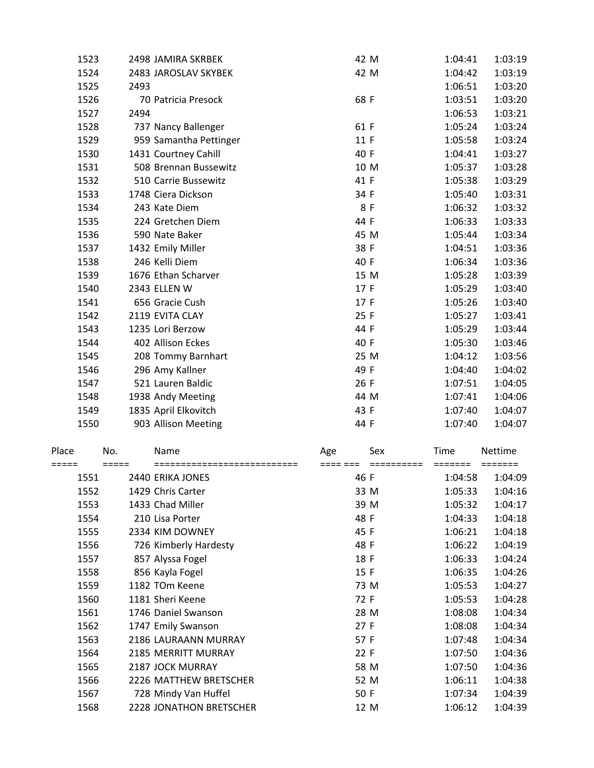| 1523 | 2498 JAMIRA SKRBEK     | 42 M | 1:04:41 | 1:03:19 |
|------|------------------------|------|---------|---------|
| 1524 | 2483 JAROSLAV SKYBEK   | 42 M | 1:04:42 | 1:03:19 |
| 1525 | 2493                   |      | 1:06:51 | 1:03:20 |
| 1526 | 70 Patricia Presock    | 68 F | 1:03:51 | 1:03:20 |
| 1527 | 2494                   |      | 1:06:53 | 1:03:21 |
| 1528 | 737 Nancy Ballenger    | 61 F | 1:05:24 | 1:03:24 |
| 1529 | 959 Samantha Pettinger | 11 F | 1:05:58 | 1:03:24 |
| 1530 | 1431 Courtney Cahill   | 40 F | 1:04:41 | 1:03:27 |
| 1531 | 508 Brennan Bussewitz  | 10 M | 1:05:37 | 1:03:28 |
| 1532 | 510 Carrie Bussewitz   | 41 F | 1:05:38 | 1:03:29 |
| 1533 | 1748 Ciera Dickson     | 34 F | 1:05:40 | 1:03:31 |
| 1534 | 243 Kate Diem          | 8 F  | 1:06:32 | 1:03:32 |
| 1535 | 224 Gretchen Diem      | 44 F | 1:06:33 | 1:03:33 |
| 1536 | 590 Nate Baker         | 45 M | 1:05:44 | 1:03:34 |
| 1537 | 1432 Emily Miller      | 38 F | 1:04:51 | 1:03:36 |
| 1538 | 246 Kelli Diem         | 40 F | 1:06:34 | 1:03:36 |
| 1539 | 1676 Ethan Scharver    | 15 M | 1:05:28 | 1:03:39 |
| 1540 | 2343 ELLEN W           | 17 F | 1:05:29 | 1:03:40 |
| 1541 | 656 Gracie Cush        | 17 F | 1:05:26 | 1:03:40 |
| 1542 | 2119 EVITA CLAY        | 25 F | 1:05:27 | 1:03:41 |
| 1543 | 1235 Lori Berzow       | 44 F | 1:05:29 | 1:03:44 |
| 1544 | 402 Allison Eckes      | 40 F | 1:05:30 | 1:03:46 |
| 1545 | 208 Tommy Barnhart     | 25 M | 1:04:12 | 1:03:56 |
| 1546 | 296 Amy Kallner        | 49 F | 1:04:40 | 1:04:02 |
| 1547 | 521 Lauren Baldic      | 26 F | 1:07:51 | 1:04:05 |
| 1548 | 1938 Andy Meeting      | 44 M | 1:07:41 | 1:04:06 |
| 1549 | 1835 April Elkovitch   | 43 F | 1:07:40 | 1:04:07 |
| 1550 | 903 Allison Meeting    | 44 F | 1:07:40 | 1:04:07 |
|      |                        |      |         |         |

| Place |      | No. | Name                           | Age  | Sex  | Time    | <b>Nettime</b> |
|-------|------|-----|--------------------------------|------|------|---------|----------------|
|       |      |     |                                |      |      |         |                |
|       | 1551 |     | 2440 ERIKA JONES               | 46 F |      | 1:04:58 | 1:04:09        |
|       | 1552 |     | 1429 Chris Carter              | 33 M |      | 1:05:33 | 1:04:16        |
|       | 1553 |     | 1433 Chad Miller               | 39 M |      | 1:05:32 | 1:04:17        |
|       | 1554 |     | 210 Lisa Porter                | 48 F |      | 1:04:33 | 1:04:18        |
|       | 1555 |     | 2334 KIM DOWNEY                | 45 F |      | 1:06:21 | 1:04:18        |
|       | 1556 |     | 726 Kimberly Hardesty          | 48 F |      | 1:06:22 | 1:04:19        |
|       | 1557 |     | 857 Alyssa Fogel               | 18 F |      | 1:06:33 | 1:04:24        |
|       | 1558 |     | 856 Kayla Fogel                | 15 F |      | 1:06:35 | 1:04:26        |
|       | 1559 |     | 1182 TOm Keene                 | 73 M |      | 1:05:53 | 1:04:27        |
|       | 1560 |     | 1181 Sheri Keene               | 72 F |      | 1:05:53 | 1:04:28        |
|       | 1561 |     | 1746 Daniel Swanson            | 28 M |      | 1:08:08 | 1:04:34        |
|       | 1562 |     | 1747 Emily Swanson             | 27 F |      | 1:08:08 | 1:04:34        |
|       | 1563 |     | 2186 LAURAANN MURRAY           | 57 F |      | 1:07:48 | 1:04:34        |
|       | 1564 |     | <b>2185 MERRITT MURRAY</b>     | 22 F |      | 1:07:50 | 1:04:36        |
|       | 1565 |     | 2187 JOCK MURRAY               | 58 M |      | 1:07:50 | 1:04:36        |
|       | 1566 |     | 2226 MATTHEW BRETSCHER         | 52 M |      | 1:06:11 | 1:04:38        |
|       | 1567 |     | 728 Mindy Van Huffel           | 50 F |      | 1:07:34 | 1:04:39        |
|       | 1568 |     | <b>2228 JONATHON BRETSCHER</b> |      | 12 M | 1:06:12 | 1:04:39        |
|       |      |     |                                |      |      |         |                |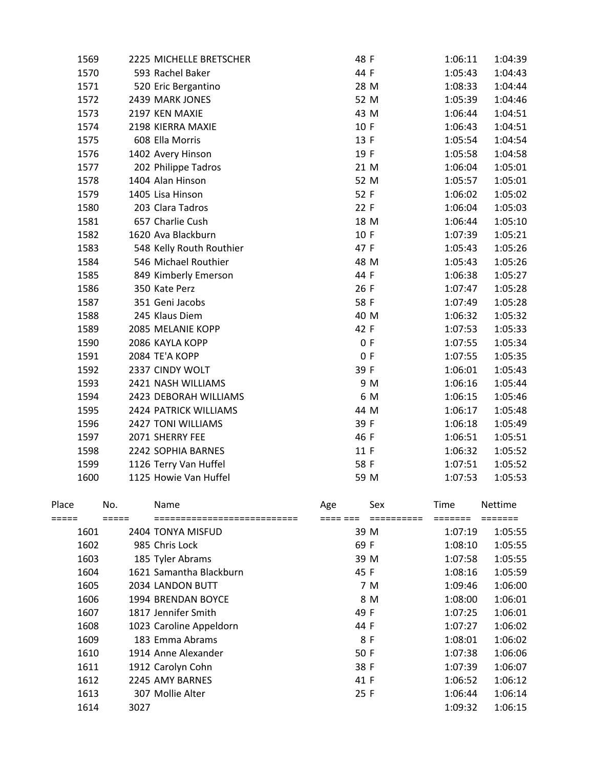| 1569           |      | 2225 MICHELLE BRETSCHER        | 48 F |                 | 1:06:11         | 1:04:39            |
|----------------|------|--------------------------------|------|-----------------|-----------------|--------------------|
| 1570           |      | 593 Rachel Baker               | 44 F |                 | 1:05:43         | 1:04:43            |
| 1571           |      | 520 Eric Bergantino            | 28 M |                 | 1:08:33         | 1:04:44            |
| 1572           |      | 2439 MARK JONES                | 52 M |                 | 1:05:39         | 1:04:46            |
| 1573           |      | 2197 KEN MAXIE                 | 43 M |                 | 1:06:44         | 1:04:51            |
| 1574           |      | 2198 KIERRA MAXIE              | 10 F |                 | 1:06:43         | 1:04:51            |
| 1575           |      | 608 Ella Morris                | 13 F |                 | 1:05:54         | 1:04:54            |
| 1576           |      | 1402 Avery Hinson              | 19 F |                 | 1:05:58         | 1:04:58            |
| 1577           |      | 202 Philippe Tadros            | 21 M |                 | 1:06:04         | 1:05:01            |
| 1578           |      | 1404 Alan Hinson               | 52 M |                 | 1:05:57         | 1:05:01            |
| 1579           |      | 1405 Lisa Hinson               | 52 F |                 | 1:06:02         | 1:05:02            |
| 1580           |      | 203 Clara Tadros               | 22 F |                 | 1:06:04         | 1:05:03            |
| 1581           |      | 657 Charlie Cush               | 18 M |                 | 1:06:44         | 1:05:10            |
| 1582           |      | 1620 Ava Blackburn             | 10 F |                 | 1:07:39         | 1:05:21            |
| 1583           |      | 548 Kelly Routh Routhier       | 47 F |                 | 1:05:43         | 1:05:26            |
| 1584           |      | 546 Michael Routhier           | 48 M |                 | 1:05:43         | 1:05:26            |
| 1585           |      | 849 Kimberly Emerson           | 44 F |                 | 1:06:38         | 1:05:27            |
| 1586           |      | 350 Kate Perz                  | 26 F |                 | 1:07:47         | 1:05:28            |
| 1587           |      | 351 Geni Jacobs                | 58 F |                 | 1:07:49         | 1:05:28            |
| 1588           |      | 245 Klaus Diem                 | 40 M |                 | 1:06:32         | 1:05:32            |
| 1589           |      | 2085 MELANIE KOPP              | 42 F |                 | 1:07:53         | 1:05:33            |
| 1590           |      | 2086 KAYLA KOPP                |      | 0 F             | 1:07:55         | 1:05:34            |
| 1591           |      | 2084 TE'A KOPP                 | 0 F  |                 | 1:07:55         | 1:05:35            |
| 1592           |      | 2337 CINDY WOLT                | 39 F |                 | 1:06:01         | 1:05:43            |
| 1593           |      | 2421 NASH WILLIAMS             |      | 9 M             | 1:06:16         | 1:05:44            |
| 1594           |      | 2423 DEBORAH WILLIAMS          |      | 6 M             | 1:06:15         | 1:05:46            |
| 1595           |      | 2424 PATRICK WILLIAMS          | 44 M |                 | 1:06:17         | 1:05:48            |
| 1596           |      | 2427 TONI WILLIAMS             | 39 F |                 | 1:06:18         | 1:05:49            |
| 1597           |      | 2071 SHERRY FEE                | 46 F |                 | 1:06:51         | 1:05:51            |
| 1598           |      | 2242 SOPHIA BARNES             | 11 F |                 | 1:06:32         | 1:05:52            |
| 1599           |      | 1126 Terry Van Huffel          | 58 F |                 | 1:07:51         | 1:05:52            |
| 1600           |      | 1125 Howie Van Huffel          | 59 M |                 | 1:07:53         | 1:05:53            |
| Place<br>===== | No.  | Name<br>====================== | Age  | Sex<br>-------- | Time<br>======= | Nettime<br>======= |
| 1601           |      | 2404 TONYA MISFUD              | 39 M |                 | 1:07:19         | 1:05:55            |
| 1602           |      | 985 Chris Lock                 | 69 F |                 | 1:08:10         | 1:05:55            |
| 1603           |      | 185 Tyler Abrams               | 39 M |                 | 1:07:58         | 1:05:55            |
| 1604           |      | 1621 Samantha Blackburn        | 45 F |                 | 1:08:16         | 1:05:59            |
| 1605           |      | 2034 LANDON BUTT               |      | 7 M             | 1:09:46         | 1:06:00            |
| 1606           |      | 1994 BRENDAN BOYCE             |      | 8 M             | 1:08:00         | 1:06:01            |
| 1607           |      | 1817 Jennifer Smith            | 49 F |                 | 1:07:25         | 1:06:01            |
| 1608           |      | 1023 Caroline Appeldorn        | 44 F |                 | 1:07:27         | 1:06:02            |
| 1609           |      | 183 Emma Abrams                | 8 F  |                 | 1:08:01         | 1:06:02            |
| 1610           |      | 1914 Anne Alexander            | 50 F |                 | 1:07:38         | 1:06:06            |
| 1611           |      | 1912 Carolyn Cohn              | 38 F |                 | 1:07:39         | 1:06:07            |
| 1612           |      | 2245 AMY BARNES                | 41 F |                 | 1:06:52         | 1:06:12            |
| 1613           |      | 307 Mollie Alter               | 25 F |                 | 1:06:44         | 1:06:14            |
|                | 3027 |                                |      |                 | 1:09:32         | 1:06:15            |
| 1614           |      |                                |      |                 |                 |                    |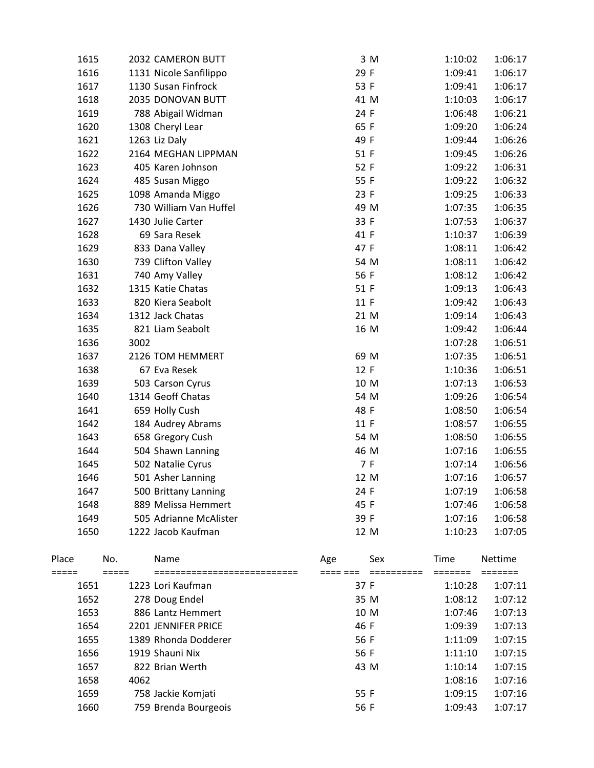| 1615 | 2032 CAMERON BUTT      | 3 M  | 1:10:02 | 1:06:17 |
|------|------------------------|------|---------|---------|
| 1616 | 1131 Nicole Sanfilippo | 29 F | 1:09:41 | 1:06:17 |
| 1617 | 1130 Susan Finfrock    | 53 F | 1:09:41 | 1:06:17 |
| 1618 | 2035 DONOVAN BUTT      | 41 M | 1:10:03 | 1:06:17 |
| 1619 | 788 Abigail Widman     | 24 F | 1:06:48 | 1:06:21 |
| 1620 | 1308 Cheryl Lear       | 65 F | 1:09:20 | 1:06:24 |
| 1621 | 1263 Liz Daly          | 49 F | 1:09:44 | 1:06:26 |
| 1622 | 2164 MEGHAN LIPPMAN    | 51 F | 1:09:45 | 1:06:26 |
| 1623 | 405 Karen Johnson      | 52 F | 1:09:22 | 1:06:31 |
| 1624 | 485 Susan Miggo        | 55 F | 1:09:22 | 1:06:32 |
| 1625 | 1098 Amanda Miggo      | 23 F | 1:09:25 | 1:06:33 |
| 1626 | 730 William Van Huffel | 49 M | 1:07:35 | 1:06:35 |
| 1627 | 1430 Julie Carter      | 33 F | 1:07:53 | 1:06:37 |
| 1628 | 69 Sara Resek          | 41 F | 1:10:37 | 1:06:39 |
| 1629 | 833 Dana Valley        | 47 F | 1:08:11 | 1:06:42 |
| 1630 | 739 Clifton Valley     | 54 M | 1:08:11 | 1:06:42 |
| 1631 | 740 Amy Valley         | 56 F | 1:08:12 | 1:06:42 |
| 1632 | 1315 Katie Chatas      | 51 F | 1:09:13 | 1:06:43 |
| 1633 | 820 Kiera Seabolt      | 11 F | 1:09:42 | 1:06:43 |
| 1634 | 1312 Jack Chatas       | 21 M | 1:09:14 | 1:06:43 |
| 1635 | 821 Liam Seabolt       | 16 M | 1:09:42 | 1:06:44 |
| 1636 | 3002                   |      | 1:07:28 | 1:06:51 |
| 1637 | 2126 TOM HEMMERT       | 69 M | 1:07:35 | 1:06:51 |
| 1638 | 67 Eva Resek           | 12 F | 1:10:36 | 1:06:51 |
| 1639 | 503 Carson Cyrus       | 10 M | 1:07:13 | 1:06:53 |
| 1640 | 1314 Geoff Chatas      | 54 M | 1:09:26 | 1:06:54 |
| 1641 | 659 Holly Cush         | 48 F | 1:08:50 | 1:06:54 |
| 1642 | 184 Audrey Abrams      | 11 F | 1:08:57 | 1:06:55 |
| 1643 | 658 Gregory Cush       | 54 M | 1:08:50 | 1:06:55 |
| 1644 | 504 Shawn Lanning      | 46 M | 1:07:16 | 1:06:55 |
| 1645 | 502 Natalie Cyrus      | 7 F  | 1:07:14 | 1:06:56 |
| 1646 | 501 Asher Lanning      | 12 M | 1:07:16 | 1:06:57 |
| 1647 | 500 Brittany Lanning   | 24 F | 1:07:19 | 1:06:58 |
| 1648 | 889 Melissa Hemmert    | 45 F | 1:07:46 | 1:06:58 |
| 1649 | 505 Adrianne McAlister | 39 F | 1:07:16 | 1:06:58 |
| 1650 | 1222 Jacob Kaufman     | 12 M | 1:10:23 | 1:07:05 |

| Place | No.  | <b>Name</b>                         | Age  | Sex  | Time    | <b>Nettime</b> |
|-------|------|-------------------------------------|------|------|---------|----------------|
| 1651  |      | 1223 Lori Kaufman                   | 37 F |      | 1:10:28 | 1:07:11        |
| 1652  |      |                                     |      | 35 M | 1:08:12 | 1:07:12        |
| 1653  |      | 278 Doug Endel<br>886 Lantz Hemmert |      | 10 M | 1:07:46 | 1:07:13        |
| 1654  |      | 2201 JENNIFER PRICE                 | 46 F |      | 1:09:39 | 1:07:13        |
| 1655  |      | 1389 Rhonda Dodderer                | 56 F |      | 1:11:09 | 1:07:15        |
| 1656  |      | 1919 Shauni Nix                     | 56 F |      | 1:11:10 | 1:07:15        |
| 1657  |      | 822 Brian Werth                     | 43 M |      | 1:10:14 | 1:07:15        |
| 1658  | 4062 |                                     |      |      | 1:08:16 | 1:07:16        |
| 1659  |      | 758 Jackie Komjati                  | 55 F |      | 1:09:15 | 1:07:16        |
| 1660  |      | 759 Brenda Bourgeois                | 56 F |      | 1:09:43 | 1:07:17        |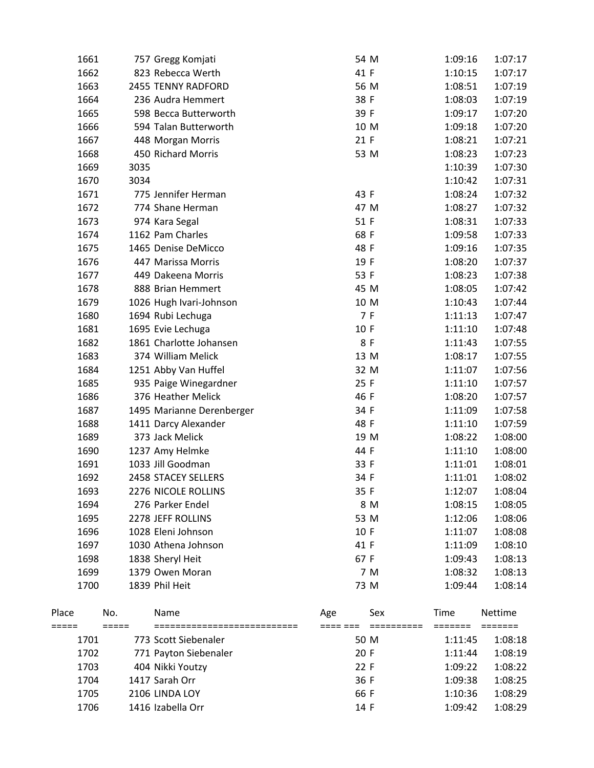|       | 1703 |         | 404 Nikki Youtzy                                    | 22 F             | 1:09:22 | 1:08:22 |
|-------|------|---------|-----------------------------------------------------|------------------|---------|---------|
|       | 1702 |         | 771 Payton Siebenaler                               | 20 F             | 1:11:44 | 1:08:19 |
| ===== | 1701 | $=====$ | ===========================<br>773 Scott Siebenaler | ==== ===<br>50 M | 1:11:45 | 1:08:18 |
| Place |      | No.     | Name                                                | Sex<br>Age       | Time    | Nettime |
|       | 1700 |         | 1839 Phil Heit                                      | 73 M             | 1:09:44 | 1:08:14 |
|       | 1699 |         | 1379 Owen Moran                                     | 7 M              | 1:08:32 | 1:08:13 |
|       | 1698 |         | 1838 Sheryl Heit                                    | 67 F             | 1:09:43 | 1:08:13 |
|       | 1697 |         | 1030 Athena Johnson                                 | 41 F             | 1:11:09 | 1:08:10 |
|       | 1696 |         | 1028 Eleni Johnson                                  | 10 F             | 1:11:07 | 1:08:08 |
|       | 1695 |         | 2278 JEFF ROLLINS                                   | 53 M             | 1:12:06 | 1:08:06 |
|       | 1694 |         | 276 Parker Endel                                    | 8 M              | 1:08:15 | 1:08:05 |
|       | 1693 |         | 2276 NICOLE ROLLINS                                 | 35 F             | 1:12:07 | 1:08:04 |
|       | 1692 |         | 2458 STACEY SELLERS                                 | 34 F             | 1:11:01 | 1:08:02 |
|       | 1691 |         | 1033 Jill Goodman                                   | 33 F             | 1:11:01 | 1:08:01 |
|       | 1690 |         | 1237 Amy Helmke                                     | 44 F             | 1:11:10 | 1:08:00 |
|       | 1689 |         | 373 Jack Melick                                     | 19 M             | 1:08:22 | 1:08:00 |
|       | 1688 |         | 1411 Darcy Alexander                                | 48 F             | 1:11:10 | 1:07:59 |
|       | 1687 |         | 1495 Marianne Derenberger                           | 34 F             | 1:11:09 | 1:07:58 |
|       | 1686 |         | 376 Heather Melick                                  | 46 F             | 1:08:20 | 1:07:57 |
|       | 1685 |         | 935 Paige Winegardner                               | 25 F             | 1:11:10 | 1:07:57 |
|       | 1684 |         | 1251 Abby Van Huffel                                | 32 M             | 1:11:07 | 1:07:56 |
|       | 1683 |         | 374 William Melick                                  | 13 M             | 1:08:17 | 1:07:55 |
|       | 1682 |         | 1861 Charlotte Johansen                             | 8F               | 1:11:43 | 1:07:55 |
|       | 1681 |         | 1695 Evie Lechuga                                   | 10 F             | 1:11:10 | 1:07:48 |
|       | 1680 |         | 1694 Rubi Lechuga                                   | 7 F              | 1:11:13 | 1:07:47 |
|       | 1679 |         | 1026 Hugh Ivari-Johnson                             | 10 M             | 1:10:43 | 1:07:44 |
|       | 1678 |         | 888 Brian Hemmert                                   | 45 M             | 1:08:05 | 1:07:42 |
|       | 1677 |         | 449 Dakeena Morris                                  | 53 F             | 1:08:23 | 1:07:38 |
|       | 1676 |         | 447 Marissa Morris                                  | 19 F             | 1:08:20 | 1:07:37 |
|       | 1675 |         | 1465 Denise DeMicco                                 | 48 F             | 1:09:16 | 1:07:35 |
|       | 1674 |         | 1162 Pam Charles                                    | 68 F             | 1:09:58 | 1:07:33 |
|       | 1673 |         | 974 Kara Segal                                      | 51 F             | 1:08:31 | 1:07:33 |
|       | 1672 |         | 774 Shane Herman                                    | 47 M             | 1:08:27 | 1:07:32 |
|       | 1671 |         | 775 Jennifer Herman                                 | 43 F             | 1:08:24 | 1:07:32 |
|       | 1670 | 3034    |                                                     |                  | 1:10:42 | 1:07:31 |
|       | 1669 | 3035    |                                                     |                  | 1:10:39 | 1:07:30 |
|       | 1668 |         | 450 Richard Morris                                  | 53 M             | 1:08:23 | 1:07:23 |
|       | 1667 |         | 448 Morgan Morris                                   | 21 F             | 1:08:21 | 1:07:21 |
|       | 1666 |         | 594 Talan Butterworth                               | 10 M             | 1:09:18 | 1:07:20 |
|       | 1665 |         | 598 Becca Butterworth                               | 39 F             | 1:09:17 | 1:07:20 |
|       | 1664 |         | 236 Audra Hemmert                                   | 38 F             | 1:08:03 | 1:07:19 |
|       | 1663 |         | 2455 TENNY RADFORD                                  | 56 M             | 1:08:51 | 1:07:19 |
|       | 1662 |         | 823 Rebecca Werth                                   | 41 F             | 1:10:15 | 1:07:17 |
|       | 1661 |         | 757 Gregg Komjati                                   | 54 M             | 1:09:16 | 1:07:17 |
|       |      |         |                                                     |                  |         |         |

1704 1417 Sarah Orr 36 F 1:09:38 1:08:25 1705 2106 LINDA LOY 66 F 1:10:36 1:08:29 1706 1416 Izabella Orr 1706 1416 Izabella Orr 1706 14 F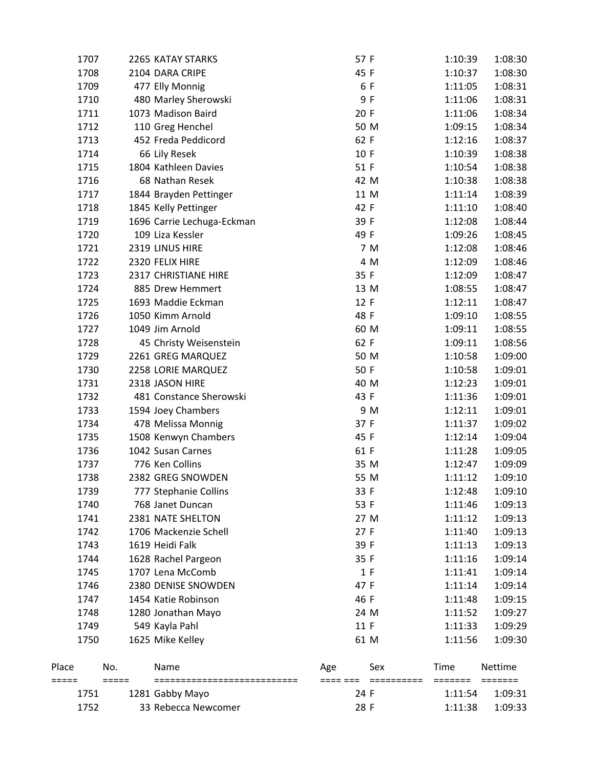|                | 1752 |     | 33 Rebecca Newcomer        | 28 F |     | 1:11:38         | 1:09:33 |
|----------------|------|-----|----------------------------|------|-----|-----------------|---------|
|                | 1751 |     | 1281 Gabby Mayo            | 24 F |     | 1:11:54         | 1:09:31 |
| Place<br>===== |      | No. | Name                       | Age  | Sex | Time<br>======= | Nettime |
|                | 1750 |     | 1625 Mike Kelley           | 61 M |     | 1:11:56         | 1:09:30 |
|                | 1749 |     | 549 Kayla Pahl             | 11 F |     | 1:11:33         | 1:09:29 |
|                | 1748 |     | 1280 Jonathan Mayo         | 24 M |     | 1:11:52         | 1:09:27 |
|                | 1747 |     | 1454 Katie Robinson        | 46 F |     | 1:11:48         | 1:09:15 |
|                | 1746 |     | 2380 DENISE SNOWDEN        | 47 F |     | 1:11:14         | 1:09:14 |
|                | 1745 |     | 1707 Lena McComb           |      | 1 F | 1:11:41         | 1:09:14 |
|                | 1744 |     | 1628 Rachel Pargeon        | 35 F |     | 1:11:16         | 1:09:14 |
|                | 1743 |     | 1619 Heidi Falk            | 39 F |     | 1:11:13         | 1:09:13 |
|                | 1742 |     | 1706 Mackenzie Schell      | 27 F |     | 1:11:40         | 1:09:13 |
|                | 1741 |     | 2381 NATE SHELTON          | 27 M |     | 1:11:12         | 1:09:13 |
|                | 1740 |     | 768 Janet Duncan           | 53 F |     | 1:11:46         | 1:09:13 |
|                | 1739 |     | 777 Stephanie Collins      | 33 F |     | 1:12:48         | 1:09:10 |
|                | 1738 |     | 2382 GREG SNOWDEN          | 55 M |     | 1:11:12         | 1:09:10 |
|                | 1737 |     | 776 Ken Collins            | 35 M |     | 1:12:47         | 1:09:09 |
|                | 1736 |     | 1042 Susan Carnes          | 61 F |     | 1:11:28         | 1:09:05 |
|                | 1735 |     | 1508 Kenwyn Chambers       | 45 F |     | 1:12:14         | 1:09:04 |
|                | 1734 |     | 478 Melissa Monnig         | 37 F |     | 1:11:37         | 1:09:02 |
|                | 1733 |     | 1594 Joey Chambers         |      | 9 M | 1:12:11         | 1:09:01 |
|                | 1732 |     | 481 Constance Sherowski    | 43 F |     | 1:11:36         | 1:09:01 |
|                | 1731 |     | 2318 JASON HIRE            | 40 M |     | 1:12:23         | 1:09:01 |
|                | 1730 |     | 2258 LORIE MARQUEZ         | 50 F |     | 1:10:58         | 1:09:01 |
|                | 1729 |     | 2261 GREG MARQUEZ          | 50 M |     | 1:10:58         | 1:09:00 |
|                | 1728 |     | 45 Christy Weisenstein     | 62 F |     | 1:09:11         | 1:08:56 |
|                | 1727 |     | 1049 Jim Arnold            | 60 M |     | 1:09:11         | 1:08:55 |
|                | 1726 |     | 1050 Kimm Arnold           | 48 F |     | 1:09:10         | 1:08:55 |
|                | 1725 |     | 1693 Maddie Eckman         | 12 F |     | 1:12:11         | 1:08:47 |
|                | 1724 |     | 885 Drew Hemmert           | 13 M |     | 1:08:55         | 1:08:47 |
|                | 1723 |     | 2317 CHRISTIANE HIRE       | 35 F |     | 1:12:09         | 1:08:47 |
|                | 1722 |     | 2320 FELIX HIRE            |      | 4 M | 1:12:09         | 1:08:46 |
|                | 1721 |     | 2319 LINUS HIRE            |      | 7 M | 1:12:08         | 1:08:46 |
|                | 1720 |     | 109 Liza Kessler           | 49 F |     | 1:09:26         | 1:08:45 |
|                | 1719 |     | 1696 Carrie Lechuga-Eckman | 39 F |     | 1:12:08         | 1:08:44 |
|                | 1718 |     | 1845 Kelly Pettinger       | 42 F |     | 1:11:10         | 1:08:40 |
|                | 1717 |     | 1844 Brayden Pettinger     | 11 M |     | 1:11:14         | 1:08:39 |
|                | 1716 |     | 68 Nathan Resek            | 42 M |     | 1:10:38         | 1:08:38 |
|                | 1715 |     | 1804 Kathleen Davies       | 51 F |     | 1:10:54         | 1:08:38 |
|                | 1714 |     | 66 Lily Resek              | 10 F |     | 1:10:39         | 1:08:38 |
|                | 1713 |     | 452 Freda Peddicord        | 62 F |     | 1:12:16         | 1:08:37 |
|                | 1712 |     | 110 Greg Henchel           | 50 M |     | 1:09:15         | 1:08:34 |
|                | 1711 |     | 1073 Madison Baird         | 20 F |     | 1:11:06         | 1:08:34 |
|                | 1710 |     | 480 Marley Sherowski       |      | 9 F | 1:11:06         | 1:08:31 |
|                | 1709 |     | 477 Elly Monnig            | 6 F  |     | 1:11:05         | 1:08:31 |
|                | 1708 |     | 2104 DARA CRIPE            | 45 F |     | 1:10:37         | 1:08:30 |
|                | 1707 |     | 2265 KATAY STARKS          | 57 F |     | 1:10:39         | 1:08:30 |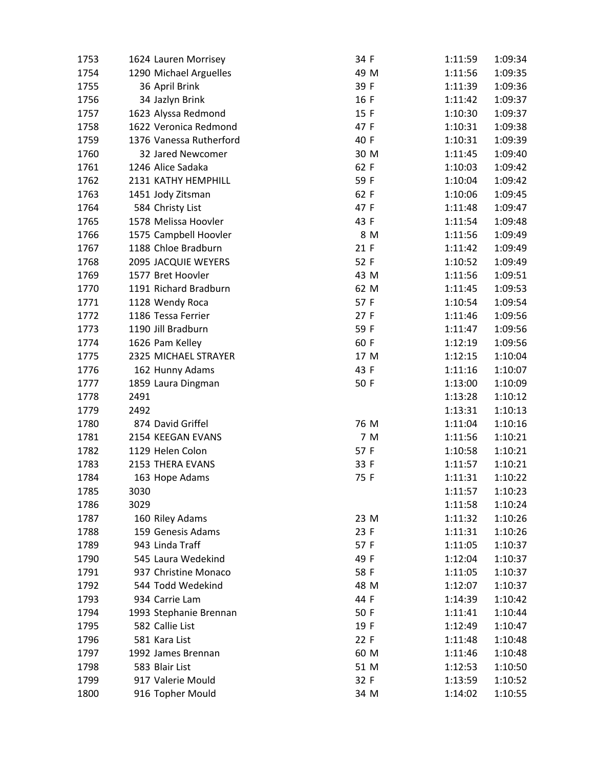| 1753 | 1624 Lauren Morrisey    | 34 F | 1:11:59 | 1:09:34 |
|------|-------------------------|------|---------|---------|
| 1754 | 1290 Michael Arguelles  | 49 M | 1:11:56 | 1:09:35 |
| 1755 | 36 April Brink          | 39 F | 1:11:39 | 1:09:36 |
| 1756 | 34 Jazlyn Brink         | 16 F | 1:11:42 | 1:09:37 |
| 1757 | 1623 Alyssa Redmond     | 15 F | 1:10:30 | 1:09:37 |
| 1758 | 1622 Veronica Redmond   | 47 F | 1:10:31 | 1:09:38 |
| 1759 | 1376 Vanessa Rutherford | 40 F | 1:10:31 | 1:09:39 |
| 1760 | 32 Jared Newcomer       | 30 M | 1:11:45 | 1:09:40 |
| 1761 | 1246 Alice Sadaka       | 62 F | 1:10:03 | 1:09:42 |
| 1762 | 2131 KATHY HEMPHILL     | 59 F | 1:10:04 | 1:09:42 |
| 1763 | 1451 Jody Zitsman       | 62 F | 1:10:06 | 1:09:45 |
| 1764 | 584 Christy List        | 47 F | 1:11:48 | 1:09:47 |
| 1765 | 1578 Melissa Hoovler    | 43 F | 1:11:54 | 1:09:48 |
| 1766 | 1575 Campbell Hoovler   | 8 M  | 1:11:56 | 1:09:49 |
| 1767 | 1188 Chloe Bradburn     | 21 F | 1:11:42 | 1:09:49 |
| 1768 | 2095 JACQUIE WEYERS     | 52 F | 1:10:52 | 1:09:49 |
| 1769 | 1577 Bret Hoovler       | 43 M | 1:11:56 | 1:09:51 |
| 1770 | 1191 Richard Bradburn   | 62 M | 1:11:45 | 1:09:53 |
| 1771 | 1128 Wendy Roca         | 57 F | 1:10:54 | 1:09:54 |
| 1772 | 1186 Tessa Ferrier      | 27F  | 1:11:46 | 1:09:56 |
| 1773 | 1190 Jill Bradburn      | 59 F | 1:11:47 | 1:09:56 |
| 1774 | 1626 Pam Kelley         | 60 F | 1:12:19 | 1:09:56 |
| 1775 | 2325 MICHAEL STRAYER    | 17 M | 1:12:15 | 1:10:04 |
| 1776 | 162 Hunny Adams         | 43 F | 1:11:16 | 1:10:07 |
| 1777 | 1859 Laura Dingman      | 50 F | 1:13:00 | 1:10:09 |
| 1778 | 2491                    |      | 1:13:28 | 1:10:12 |
| 1779 | 2492                    |      | 1:13:31 | 1:10:13 |
| 1780 | 874 David Griffel       | 76 M | 1:11:04 | 1:10:16 |
| 1781 | 2154 KEEGAN EVANS       | 7 M  | 1:11:56 | 1:10:21 |
| 1782 | 1129 Helen Colon        | 57 F | 1:10:58 | 1:10:21 |
| 1783 | 2153 THERA EVANS        | 33 F | 1:11:57 | 1:10:21 |
| 1784 | 163 Hope Adams          | 75 F | 1:11:31 | 1:10:22 |
| 1785 | 3030                    |      | 1:11:57 | 1:10:23 |
| 1786 | 3029                    |      | 1:11:58 | 1:10:24 |
| 1787 | 160 Riley Adams         | 23 M | 1:11:32 | 1:10:26 |
| 1788 | 159 Genesis Adams       | 23 F | 1:11:31 | 1:10:26 |
| 1789 | 943 Linda Traff         | 57 F | 1:11:05 | 1:10:37 |
| 1790 | 545 Laura Wedekind      | 49 F | 1:12:04 | 1:10:37 |
| 1791 | 937 Christine Monaco    | 58 F | 1:11:05 | 1:10:37 |
| 1792 | 544 Todd Wedekind       | 48 M | 1:12:07 | 1:10:37 |
| 1793 | 934 Carrie Lam          | 44 F | 1:14:39 | 1:10:42 |
| 1794 | 1993 Stephanie Brennan  | 50 F | 1:11:41 | 1:10:44 |
| 1795 | 582 Callie List         | 19 F | 1:12:49 | 1:10:47 |
| 1796 | 581 Kara List           | 22 F | 1:11:48 | 1:10:48 |
| 1797 | 1992 James Brennan      | 60 M | 1:11:46 | 1:10:48 |
| 1798 | 583 Blair List          | 51 M | 1:12:53 | 1:10:50 |
| 1799 | 917 Valerie Mould       | 32 F | 1:13:59 | 1:10:52 |
| 1800 | 916 Topher Mould        | 34 M | 1:14:02 | 1:10:55 |
|      |                         |      |         |         |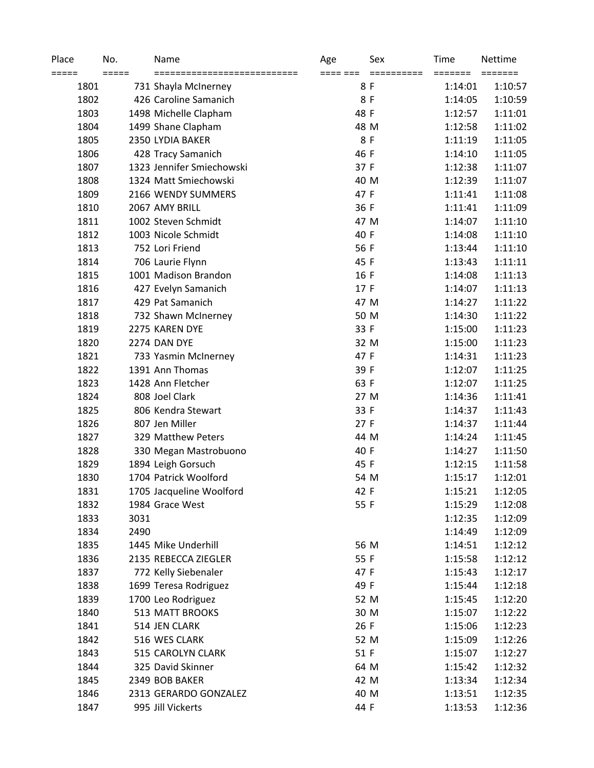| Place<br>===== | No.<br>===== | Name<br>=========================== | Age<br>==== === | Sex<br>========== | Time<br>======= | Nettime<br>======= |
|----------------|--------------|-------------------------------------|-----------------|-------------------|-----------------|--------------------|
| 1801           |              | 731 Shayla McInerney                |                 | 8 F               | 1:14:01         | 1:10:57            |
| 1802           |              | 426 Caroline Samanich               |                 | 8F                | 1:14:05         | 1:10:59            |
| 1803           |              | 1498 Michelle Clapham               | 48 F            |                   | 1:12:57         | 1:11:01            |
| 1804           |              | 1499 Shane Clapham                  |                 | 48 M              | 1:12:58         | 1:11:02            |
| 1805           |              | 2350 LYDIA BAKER                    |                 | 8F                | 1:11:19         | 1:11:05            |
| 1806           |              | 428 Tracy Samanich                  | 46 F            |                   | 1:14:10         | 1:11:05            |
| 1807           |              | 1323 Jennifer Smiechowski           | 37 F            |                   | 1:12:38         | 1:11:07            |
| 1808           |              | 1324 Matt Smiechowski               |                 | 40 M              | 1:12:39         | 1:11:07            |
| 1809           |              | 2166 WENDY SUMMERS                  | 47 F            |                   | 1:11:41         | 1:11:08            |
| 1810           |              | 2067 AMY BRILL                      | 36 F            |                   | 1:11:41         | 1:11:09            |
| 1811           |              | 1002 Steven Schmidt                 |                 | 47 M              | 1:14:07         | 1:11:10            |
| 1812           |              | 1003 Nicole Schmidt                 | 40 F            |                   | 1:14:08         | 1:11:10            |
| 1813           |              | 752 Lori Friend                     | 56 F            |                   | 1:13:44         | 1:11:10            |
| 1814           |              | 706 Laurie Flynn                    | 45 F            |                   | 1:13:43         | 1:11:11            |
| 1815           |              | 1001 Madison Brandon                | 16 F            |                   | 1:14:08         | 1:11:13            |
| 1816           |              | 427 Evelyn Samanich                 | 17 F            |                   | 1:14:07         | 1:11:13            |
| 1817           |              | 429 Pat Samanich                    |                 | 47 M              | 1:14:27         | 1:11:22            |
| 1818           |              | 732 Shawn McInerney                 |                 | 50 M              | 1:14:30         | 1:11:22            |
| 1819           |              | 2275 KAREN DYE                      | 33 F            |                   | 1:15:00         | 1:11:23            |
| 1820           |              | 2274 DAN DYE                        |                 | 32 M              | 1:15:00         | 1:11:23            |
| 1821           |              | 733 Yasmin McInerney                | 47 F            |                   | 1:14:31         | 1:11:23            |
| 1822           |              | 1391 Ann Thomas                     | 39 F            |                   | 1:12:07         | 1:11:25            |
| 1823           |              | 1428 Ann Fletcher                   | 63 F            |                   | 1:12:07         | 1:11:25            |
| 1824           |              | 808 Joel Clark                      |                 | 27 M              | 1:14:36         | 1:11:41            |
| 1825           |              | 806 Kendra Stewart                  | 33 F            |                   | 1:14:37         | 1:11:43            |
| 1826           |              | 807 Jen Miller                      | 27 F            |                   | 1:14:37         | 1:11:44            |
| 1827           |              | 329 Matthew Peters                  |                 | 44 M              | 1:14:24         | 1:11:45            |
| 1828           |              | 330 Megan Mastrobuono               | 40 F            |                   | 1:14:27         | 1:11:50            |
| 1829           |              | 1894 Leigh Gorsuch                  | 45 F            |                   | 1:12:15         | 1:11:58            |
| 1830           |              | 1704 Patrick Woolford               |                 | 54 M              | 1:15:17         | 1:12:01            |
| 1831           |              | 1705 Jacqueline Woolford            | 42 F            |                   | 1:15:21         | 1:12:05            |
| 1832           |              | 1984 Grace West                     | 55 F            |                   | 1:15:29         | 1:12:08            |
| 1833           | 3031         |                                     |                 |                   | 1:12:35         | 1:12:09            |
| 1834           | 2490         |                                     |                 |                   | 1:14:49         | 1:12:09            |
| 1835           |              | 1445 Mike Underhill                 |                 | 56 M              | 1:14:51         | 1:12:12            |
| 1836           |              | 2135 REBECCA ZIEGLER                | 55 F            |                   | 1:15:58         | 1:12:12            |
| 1837           |              | 772 Kelly Siebenaler                | 47 F            |                   | 1:15:43         | 1:12:17            |
| 1838           |              | 1699 Teresa Rodriguez               | 49 F            |                   | 1:15:44         | 1:12:18            |
| 1839           |              | 1700 Leo Rodriguez                  |                 | 52 M              | 1:15:45         | 1:12:20            |
| 1840           |              | 513 MATT BROOKS                     |                 | 30 M              | 1:15:07         | 1:12:22            |
| 1841           |              | 514 JEN CLARK                       | 26 F            |                   | 1:15:06         | 1:12:23            |
| 1842           |              | 516 WES CLARK                       |                 | 52 M              | 1:15:09         | 1:12:26            |
| 1843           |              | 515 CAROLYN CLARK                   | 51 F            |                   | 1:15:07         | 1:12:27            |
| 1844           |              | 325 David Skinner                   |                 | 64 M              | 1:15:42         | 1:12:32            |
| 1845           |              | 2349 BOB BAKER                      |                 | 42 M              | 1:13:34         | 1:12:34            |
| 1846           |              | 2313 GERARDO GONZALEZ               |                 | 40 M              | 1:13:51         | 1:12:35            |
| 1847           |              | 995 Jill Vickerts                   | 44 F            |                   | 1:13:53         | 1:12:36            |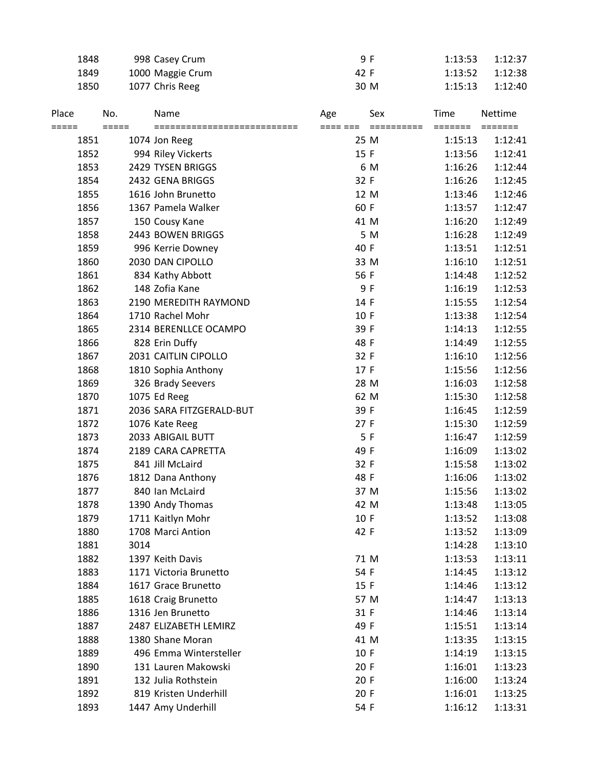|                | 1848 |                            | 998 Casey Crum                       |                 | 9 F                          | 1:13:53         | 1:12:37                   |
|----------------|------|----------------------------|--------------------------------------|-----------------|------------------------------|-----------------|---------------------------|
|                | 1849 |                            | 1000 Maggie Crum                     |                 | 42 F                         | 1:13:52         | 1:12:38                   |
|                | 1850 |                            | 1077 Chris Reeg                      |                 | 30 M                         | 1:15:13         | 1:12:40                   |
| Place<br>===== |      | No.<br>$=$ $=$ $=$ $=$ $=$ | Name<br>============================ | Age<br>==== === | Sex<br>$=$ = = = = = = = = = | Time<br>======= | <b>Nettime</b><br>======= |
|                | 1851 |                            | 1074 Jon Reeg                        |                 | 25 M                         | 1:15:13         | 1:12:41                   |
|                | 1852 |                            | 994 Riley Vickerts                   |                 | 15 F                         | 1:13:56         | 1:12:41                   |
|                | 1853 |                            | 2429 TYSEN BRIGGS                    |                 | 6 M                          | 1:16:26         | 1:12:44                   |
|                | 1854 |                            | 2432 GENA BRIGGS                     |                 | 32 F                         | 1:16:26         | 1:12:45                   |
|                | 1855 |                            | 1616 John Brunetto                   |                 | 12 M                         | 1:13:46         | 1:12:46                   |
|                | 1856 |                            | 1367 Pamela Walker                   |                 | 60 F                         | 1:13:57         | 1:12:47                   |
|                | 1857 |                            | 150 Cousy Kane                       |                 | 41 M                         | 1:16:20         | 1:12:49                   |
|                | 1858 |                            | 2443 BOWEN BRIGGS                    |                 | 5 M                          | 1:16:28         | 1:12:49                   |
|                | 1859 |                            | 996 Kerrie Downey                    |                 | 40 F                         | 1:13:51         | 1:12:51                   |
|                | 1860 |                            | 2030 DAN CIPOLLO                     |                 | 33 M                         | 1:16:10         | 1:12:51                   |
|                | 1861 |                            | 834 Kathy Abbott                     |                 | 56 F                         | 1:14:48         | 1:12:52                   |
|                | 1862 |                            | 148 Zofia Kane                       |                 | 9 F                          | 1:16:19         | 1:12:53                   |
|                | 1863 |                            | 2190 MEREDITH RAYMOND                |                 | 14 F                         | 1:15:55         | 1:12:54                   |
|                | 1864 |                            | 1710 Rachel Mohr                     |                 | 10 F                         | 1:13:38         | 1:12:54                   |
|                | 1865 |                            | 2314 BERENLLCE OCAMPO                |                 | 39 F                         | 1:14:13         | 1:12:55                   |
|                | 1866 |                            | 828 Erin Duffy                       |                 | 48 F                         | 1:14:49         | 1:12:55                   |
|                | 1867 |                            | 2031 CAITLIN CIPOLLO                 |                 | 32 F                         | 1:16:10         | 1:12:56                   |
|                | 1868 |                            | 1810 Sophia Anthony                  |                 | 17 F                         | 1:15:56         | 1:12:56                   |
|                | 1869 |                            | 326 Brady Seevers                    |                 | 28 M                         | 1:16:03         | 1:12:58                   |
|                | 1870 |                            | 1075 Ed Reeg                         |                 | 62 M                         | 1:15:30         | 1:12:58                   |
|                | 1871 |                            | 2036 SARA FITZGERALD-BUT             |                 | 39 F                         | 1:16:45         | 1:12:59                   |
|                | 1872 |                            | 1076 Kate Reeg                       |                 | 27 F                         | 1:15:30         | 1:12:59                   |
|                | 1873 |                            | 2033 ABIGAIL BUTT                    |                 | 5F                           | 1:16:47         | 1:12:59                   |
|                | 1874 |                            | 2189 CARA CAPRETTA                   |                 | 49 F                         | 1:16:09         | 1:13:02                   |
|                | 1875 |                            | 841 Jill McLaird                     |                 | 32 F                         | 1:15:58         | 1:13:02                   |
|                | 1876 |                            | 1812 Dana Anthony                    |                 | 48 F                         | 1:16:06         | 1:13:02                   |
|                | 1877 |                            | 840 Ian McLaird                      |                 | 37 M                         | 1:15:56         | 1:13:02                   |
|                | 1878 |                            | 1390 Andy Thomas                     |                 | 42 M                         | 1:13:48         | 1:13:05                   |
|                | 1879 |                            | 1711 Kaitlyn Mohr                    |                 | 10 F                         | 1:13:52         | 1:13:08                   |
|                | 1880 |                            | 1708 Marci Antion                    |                 | 42 F                         | 1:13:52         | 1:13:09                   |
|                | 1881 | 3014                       |                                      |                 |                              | 1:14:28         | 1:13:10                   |
|                | 1882 |                            | 1397 Keith Davis                     |                 | 71 M                         | 1:13:53         | 1:13:11                   |
|                | 1883 |                            | 1171 Victoria Brunetto               |                 | 54 F                         | 1:14:45         | 1:13:12                   |
|                | 1884 |                            | 1617 Grace Brunetto                  |                 | 15 F                         | 1:14:46         | 1:13:12                   |
|                | 1885 |                            | 1618 Craig Brunetto                  |                 | 57 M                         | 1:14:47         | 1:13:13                   |
|                | 1886 |                            | 1316 Jen Brunetto                    |                 | 31 F                         | 1:14:46         | 1:13:14                   |
|                | 1887 |                            | 2487 ELIZABETH LEMIRZ                |                 | 49 F                         | 1:15:51         | 1:13:14                   |
|                | 1888 |                            | 1380 Shane Moran                     |                 | 41 M                         | 1:13:35         | 1:13:15                   |
|                | 1889 |                            | 496 Emma Wintersteller               |                 | 10 F                         | 1:14:19         | 1:13:15                   |
|                | 1890 |                            | 131 Lauren Makowski                  |                 | 20 F                         | 1:16:01         | 1:13:23                   |
|                | 1891 |                            | 132 Julia Rothstein                  |                 | 20 F                         | 1:16:00         | 1:13:24                   |
|                | 1892 |                            | 819 Kristen Underhill                |                 | 20 F                         | 1:16:01         | 1:13:25                   |
|                | 1893 |                            | 1447 Amy Underhill                   |                 | 54 F                         | 1:16:12         | 1:13:31                   |
|                |      |                            |                                      |                 |                              |                 |                           |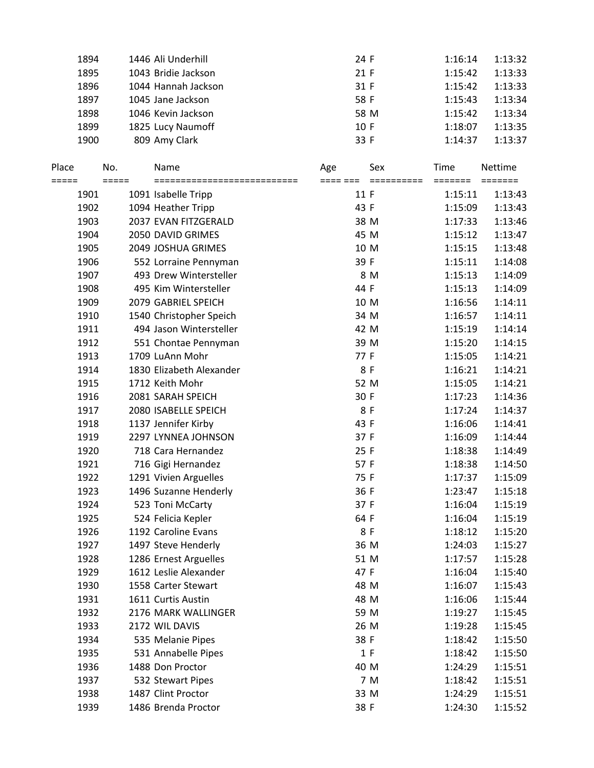| 1894 | 1446 Ali Underhill  | 24 F | 1:16:14 | 1:13:32 |
|------|---------------------|------|---------|---------|
| 1895 | 1043 Bridie Jackson | 21 F | 1:15:42 | 1:13:33 |
| 1896 | 1044 Hannah Jackson | 31 F | 1:15:42 | 1:13:33 |
| 1897 | 1045 Jane Jackson   | 58 F | 1:15:43 | 1:13:34 |
| 1898 | 1046 Kevin Jackson  | 58 M | 1:15:42 | 1:13:34 |
| 1899 | 1825 Lucy Naumoff   | 10 F | 1:18:07 | 1:13:35 |
| 1900 | 809 Amy Clark       | 33 F | 1:14:37 | 1:13:37 |

| Place<br>===== | No.<br>$=====$ | Name<br>-------------------------- | Age<br>==== === | Sex<br>========== | Time<br>======= | <b>Nettime</b><br>======= |
|----------------|----------------|------------------------------------|-----------------|-------------------|-----------------|---------------------------|
| 1901           |                | 1091 Isabelle Tripp                | 11 F            |                   | 1:15:11         | 1:13:43                   |
| 1902           |                | 1094 Heather Tripp                 | 43 F            |                   | 1:15:09         | 1:13:43                   |
| 1903           |                | 2037 EVAN FITZGERALD               |                 | 38 M              | 1:17:33         | 1:13:46                   |
| 1904           |                | 2050 DAVID GRIMES                  |                 | 45 M              | 1:15:12         | 1:13:47                   |
| 1905           |                | 2049 JOSHUA GRIMES                 |                 | 10 M              | 1:15:15         | 1:13:48                   |
| 1906           |                | 552 Lorraine Pennyman              | 39 F            |                   | 1:15:11         | 1:14:08                   |
| 1907           |                | 493 Drew Wintersteller             |                 | 8 M               | 1:15:13         | 1:14:09                   |
| 1908           |                | 495 Kim Wintersteller              | 44 F            |                   | 1:15:13         | 1:14:09                   |
| 1909           |                | 2079 GABRIEL SPEICH                |                 | 10 M              | 1:16:56         | 1:14:11                   |
| 1910           |                | 1540 Christopher Speich            |                 | 34 M              | 1:16:57         | 1:14:11                   |
| 1911           |                | 494 Jason Wintersteller            |                 | 42 M              | 1:15:19         | 1:14:14                   |
| 1912           |                | 551 Chontae Pennyman               |                 | 39 M              | 1:15:20         | 1:14:15                   |
| 1913           |                | 1709 LuAnn Mohr                    | 77 F            |                   | 1:15:05         | 1:14:21                   |
| 1914           |                | 1830 Elizabeth Alexander           |                 | 8 F               | 1:16:21         | 1:14:21                   |
| 1915           |                | 1712 Keith Mohr                    |                 | 52 M              | 1:15:05         | 1:14:21                   |
| 1916           |                | 2081 SARAH SPEICH                  | 30 F            |                   | 1:17:23         | 1:14:36                   |
| 1917           |                | 2080 ISABELLE SPEICH               |                 | 8F                | 1:17:24         | 1:14:37                   |
| 1918           |                | 1137 Jennifer Kirby                | 43 F            |                   | 1:16:06         | 1:14:41                   |
| 1919           |                | 2297 LYNNEA JOHNSON                | 37 F            |                   | 1:16:09         | 1:14:44                   |
| 1920           |                | 718 Cara Hernandez                 | 25 F            |                   | 1:18:38         | 1:14:49                   |
| 1921           |                | 716 Gigi Hernandez                 | 57 F            |                   | 1:18:38         | 1:14:50                   |
| 1922           |                | 1291 Vivien Arguelles              | 75 F            |                   | 1:17:37         | 1:15:09                   |
| 1923           |                | 1496 Suzanne Henderly              | 36 F            |                   | 1:23:47         | 1:15:18                   |
| 1924           |                | 523 Toni McCarty                   | 37 F            |                   | 1:16:04         | 1:15:19                   |
| 1925           |                | 524 Felicia Kepler                 | 64 F            |                   | 1:16:04         | 1:15:19                   |
| 1926           |                | 1192 Caroline Evans                |                 | 8 F               | 1:18:12         | 1:15:20                   |
| 1927           |                | 1497 Steve Henderly                |                 | 36 M              | 1:24:03         | 1:15:27                   |
| 1928           |                | 1286 Ernest Arguelles              |                 | 51 M              | 1:17:57         | 1:15:28                   |
| 1929           |                | 1612 Leslie Alexander              | 47 F            |                   | 1:16:04         | 1:15:40                   |
| 1930           |                | 1558 Carter Stewart                |                 | 48 M              | 1:16:07         | 1:15:43                   |
| 1931           |                | 1611 Curtis Austin                 |                 | 48 M              | 1:16:06         | 1:15:44                   |
| 1932           |                | 2176 MARK WALLINGER                |                 | 59 M              | 1:19:27         | 1:15:45                   |
| 1933           |                | 2172 WIL DAVIS                     |                 | 26 M              | 1:19:28         | 1:15:45                   |
| 1934           |                | 535 Melanie Pipes                  | 38 F            |                   | 1:18:42         | 1:15:50                   |
| 1935           |                | 531 Annabelle Pipes                |                 | 1 F               | 1:18:42         | 1:15:50                   |
| 1936           |                | 1488 Don Proctor                   |                 | 40 M              | 1:24:29         | 1:15:51                   |
| 1937           |                | 532 Stewart Pipes                  |                 | 7 M               | 1:18:42         | 1:15:51                   |
| 1938           |                | 1487 Clint Proctor                 |                 | 33 M              | 1:24:29         | 1:15:51                   |
| 1939           |                | 1486 Brenda Proctor                | 38 F            |                   | 1:24:30         | 1:15:52                   |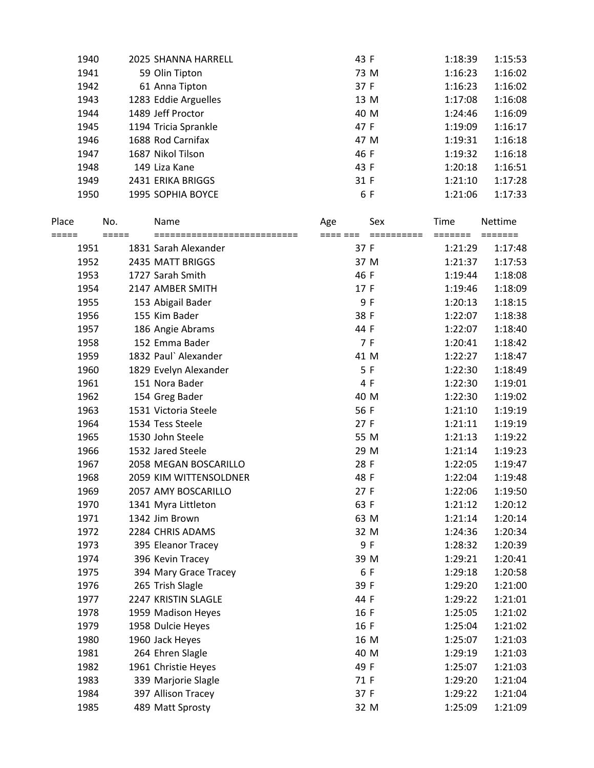| 1940 | 2025 SHANNA HARRELL  | 43 F | 1:18:39 | 1:15:53 |
|------|----------------------|------|---------|---------|
| 1941 | 59 Olin Tipton       | 73 M | 1:16:23 | 1:16:02 |
| 1942 | 61 Anna Tipton       | 37 F | 1:16:23 | 1:16:02 |
| 1943 | 1283 Eddie Arguelles | 13 M | 1:17:08 | 1:16:08 |
| 1944 | 1489 Jeff Proctor    | 40 M | 1:24:46 | 1:16:09 |
| 1945 | 1194 Tricia Sprankle | 47 F | 1:19:09 | 1:16:17 |
| 1946 | 1688 Rod Carnifax    | 47 M | 1:19:31 | 1:16:18 |
| 1947 | 1687 Nikol Tilson    | 46 F | 1:19:32 | 1:16:18 |
| 1948 | 149 Liza Kane        | 43 F | 1:20:18 | 1:16:51 |
| 1949 | 2431 ERIKA BRIGGS    | 31 F | 1:21:10 | 1:17:28 |
| 1950 | 1995 SOPHIA BOYCE    | 6 F  | 1:21:06 | 1:17:33 |
|      |                      |      |         |         |

| Place         | No.     | Name                                                 | Age              | Sex                   | Time    | <b>Nettime</b> |
|---------------|---------|------------------------------------------------------|------------------|-----------------------|---------|----------------|
| =====<br>1951 | $=====$ | ============================<br>1831 Sarah Alexander | ==== ===<br>37 F | $=$ = = = = = = = = = | 1:21:29 | 1:17:48        |
| 1952          |         | 2435 MATT BRIGGS                                     | 37 M             |                       | 1:21:37 | 1:17:53        |
| 1953          |         | 1727 Sarah Smith                                     | 46 F             |                       | 1:19:44 | 1:18:08        |
| 1954          |         | 2147 AMBER SMITH                                     | 17 F             |                       | 1:19:46 | 1:18:09        |
| 1955          |         | 153 Abigail Bader                                    |                  | 9 F                   | 1:20:13 | 1:18:15        |
| 1956          |         | 155 Kim Bader                                        | 38 F             |                       | 1:22:07 | 1:18:38        |
| 1957          |         | 186 Angie Abrams                                     | 44 F             |                       | 1:22:07 | 1:18:40        |
| 1958          |         | 152 Emma Bader                                       |                  | 7 F                   | 1:20:41 | 1:18:42        |
| 1959          |         | 1832 Paul` Alexander                                 | 41 M             |                       | 1:22:27 | 1:18:47        |
| 1960          |         | 1829 Evelyn Alexander                                |                  | 5F                    | 1:22:30 | 1:18:49        |
| 1961          |         | 151 Nora Bader                                       |                  | 4 F                   | 1:22:30 | 1:19:01        |
| 1962          |         | 154 Greg Bader                                       | 40 M             |                       | 1:22:30 | 1:19:02        |
| 1963          |         | 1531 Victoria Steele                                 | 56 F             |                       | 1:21:10 | 1:19:19        |
| 1964          |         | 1534 Tess Steele                                     | 27F              |                       | 1:21:11 | 1:19:19        |
| 1965          |         | 1530 John Steele                                     | 55 M             |                       | 1:21:13 | 1:19:22        |
| 1966          |         | 1532 Jared Steele                                    | 29 M             |                       | 1:21:14 | 1:19:23        |
| 1967          |         | 2058 MEGAN BOSCARILLO                                | 28 F             |                       | 1:22:05 | 1:19:47        |
| 1968          |         | 2059 KIM WITTENSOLDNER                               | 48 F             |                       | 1:22:04 | 1:19:48        |
| 1969          |         | 2057 AMY BOSCARILLO                                  | 27F              |                       | 1:22:06 | 1:19:50        |
| 1970          |         | 1341 Myra Littleton                                  | 63 F             |                       | 1:21:12 | 1:20:12        |
| 1971          |         | 1342 Jim Brown                                       | 63 M             |                       | 1:21:14 | 1:20:14        |
| 1972          |         | 2284 CHRIS ADAMS                                     |                  | 32 M                  | 1:24:36 | 1:20:34        |
| 1973          |         | 395 Eleanor Tracey                                   |                  | 9 F                   | 1:28:32 | 1:20:39        |
| 1974          |         | 396 Kevin Tracey                                     | 39 M             |                       | 1:29:21 | 1:20:41        |
| 1975          |         | 394 Mary Grace Tracey                                |                  | 6 F                   | 1:29:18 | 1:20:58        |
| 1976          |         | 265 Trish Slagle                                     | 39 F             |                       | 1:29:20 | 1:21:00        |
| 1977          |         | 2247 KRISTIN SLAGLE                                  | 44 F             |                       | 1:29:22 | 1:21:01        |
| 1978          |         | 1959 Madison Heyes                                   | 16 F             |                       | 1:25:05 | 1:21:02        |
| 1979          |         | 1958 Dulcie Heyes                                    | 16 F             |                       | 1:25:04 | 1:21:02        |
| 1980          |         | 1960 Jack Heyes                                      |                  | 16 M                  | 1:25:07 | 1:21:03        |
| 1981          |         | 264 Ehren Slagle                                     | 40 M             |                       | 1:29:19 | 1:21:03        |
| 1982          |         | 1961 Christie Heyes                                  | 49 F             |                       | 1:25:07 | 1:21:03        |
| 1983          |         | 339 Marjorie Slagle                                  | 71 F             |                       | 1:29:20 | 1:21:04        |
| 1984          |         | 397 Allison Tracey                                   | 37 F             |                       | 1:29:22 | 1:21:04        |
| 1985          |         | 489 Matt Sprosty                                     |                  | 32 M                  | 1:25:09 | 1:21:09        |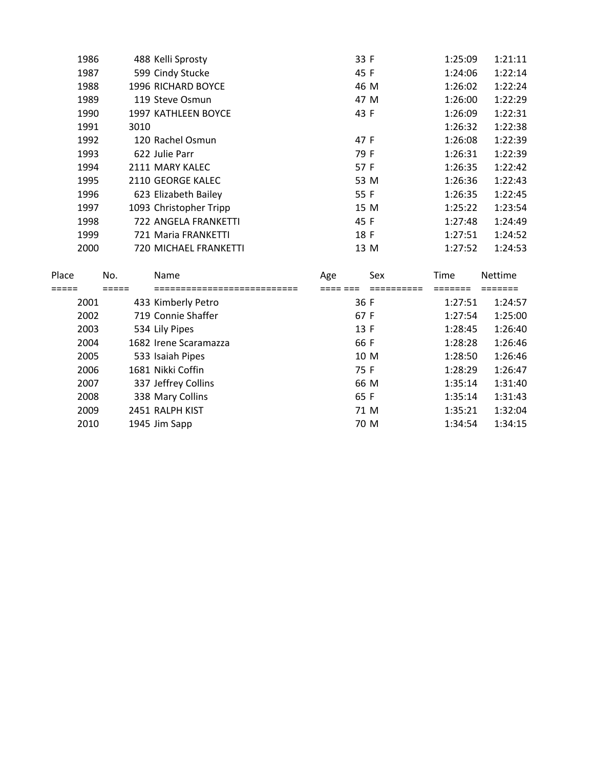| 1986 | 488 Kelli Sprosty      | 33 F | 1:25:09 | 1:21:11 |
|------|------------------------|------|---------|---------|
| 1987 | 599 Cindy Stucke       | 45 F | 1:24:06 | 1:22:14 |
| 1988 | 1996 RICHARD BOYCE     | 46 M | 1:26:02 | 1:22:24 |
| 1989 | 119 Steve Osmun        | 47 M | 1:26:00 | 1:22:29 |
| 1990 | 1997 KATHLEEN BOYCE    | 43 F | 1:26:09 | 1:22:31 |
| 1991 | 3010                   |      | 1:26:32 | 1:22:38 |
| 1992 | 120 Rachel Osmun       | 47 F | 1:26:08 | 1:22:39 |
| 1993 | 622 Julie Parr         | 79 F | 1:26:31 | 1:22:39 |
| 1994 | 2111 MARY KALEC        | 57 F | 1:26:35 | 1:22:42 |
| 1995 | 2110 GEORGE KALEC      | 53 M | 1:26:36 | 1:22:43 |
| 1996 | 623 Elizabeth Bailey   | 55 F | 1:26:35 | 1:22:45 |
| 1997 | 1093 Christopher Tripp | 15 M | 1:25:22 | 1:23:54 |
| 1998 | 722 ANGELA FRANKETTI   | 45 F | 1:27:48 | 1:24:49 |
| 1999 | 721 Maria FRANKETTI    | 18 F | 1:27:51 | 1:24:52 |
| 2000 | 720 MICHAEL FRANKETTI  | 13 M | 1:27:52 | 1:24:53 |
|      |                        |      |         |         |

| Place | No. | <b>Name</b>           | Age  | Sex | <b>Time</b> | <b>Nettime</b> |
|-------|-----|-----------------------|------|-----|-------------|----------------|
|       |     |                       |      |     |             |                |
| 2001  |     | 433 Kimberly Petro    | 36 F |     | 1:27:51     | 1:24:57        |
| 2002  |     | 719 Connie Shaffer    | 67 F |     | 1:27:54     | 1:25:00        |
| 2003  |     | 534 Lily Pipes        | 13F  |     | 1:28:45     | 1:26:40        |
| 2004  |     | 1682 Irene Scaramazza | 66 F |     | 1:28:28     | 1:26:46        |
| 2005  |     | 533 Isaiah Pipes      | 10 M |     | 1:28:50     | 1:26:46        |
| 2006  |     | 1681 Nikki Coffin     | 75 F |     | 1:28:29     | 1:26:47        |
| 2007  |     | 337 Jeffrey Collins   | 66 M |     | 1:35:14     | 1:31:40        |
| 2008  |     | 338 Mary Collins      | 65 F |     | 1:35:14     | 1:31:43        |
| 2009  |     | 2451 RALPH KIST       | 71 M |     | 1:35:21     | 1:32:04        |
| 2010  |     | 1945 Jim Sapp         | 70 M |     | 1:34:54     | 1:34:15        |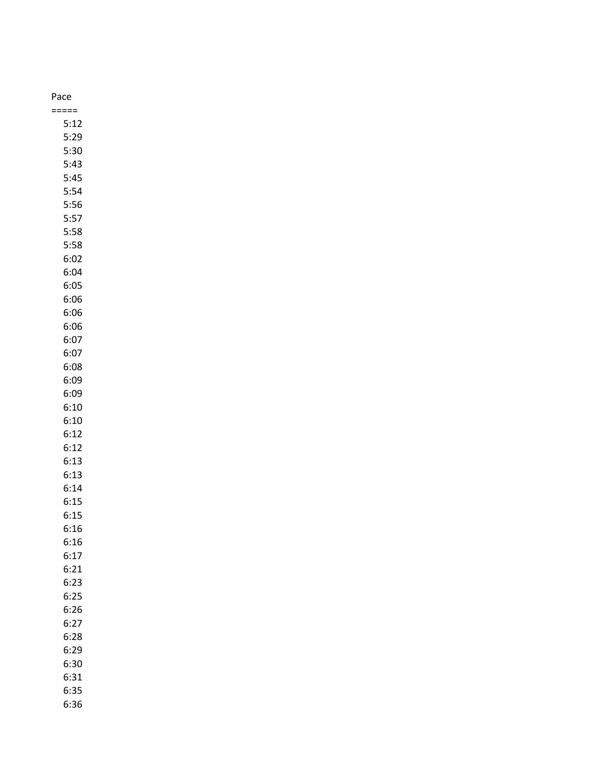| Pace |
|------|
|      |
| 5:12 |
| 5:29 |
| 5:30 |
| 5:43 |
| 5:45 |
| 5:54 |
| 5:56 |
| 5:57 |
| 5:58 |
| 5:58 |
|      |
| 6:02 |
| 6:04 |
| 6:05 |
| 6:06 |
| 6:06 |
| 6:06 |
| 6:07 |
| 6:07 |
| 6:08 |
| 6:09 |
| 6:09 |
| 6:10 |
| 6:10 |
| 6:12 |
| 6:12 |
| 6:13 |
| 6:13 |
| 6:14 |
| 6:15 |
| 6:15 |
| 6:16 |
| 6:16 |
| 6:17 |
| 6:21 |
| 6:23 |
|      |
| 6:25 |
| 6:26 |
| 6:27 |
| 6:28 |
| 6:29 |
| 6:30 |
| 6:31 |
| 6:35 |
| 6:36 |

# Pa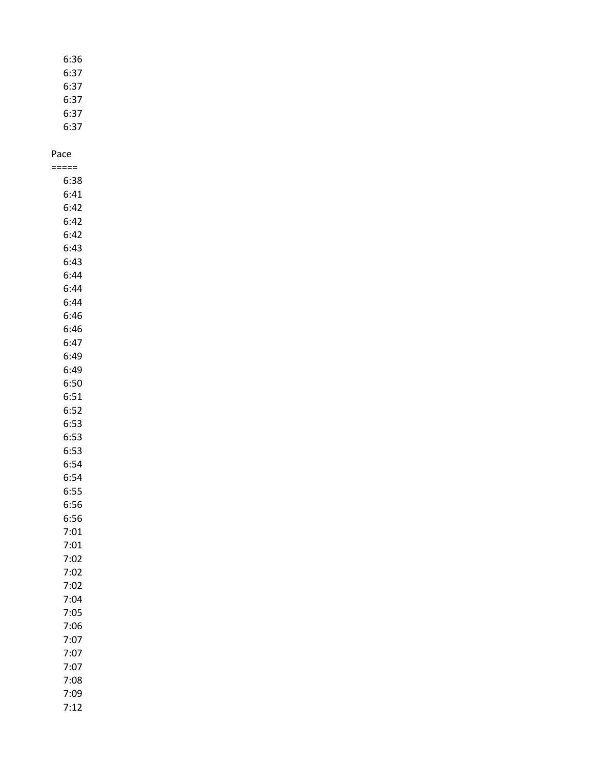| 6:36 |
|------|
| 6:37 |
| 6:37 |
| 6:37 |
| 6:37 |

6:37

#### Pace

| ====         |
|--------------|
| 6:38         |
| 6:41         |
| 6:42         |
| 6:42         |
| 6:42         |
| 6:43         |
| 6:43         |
| 6:44         |
| 6:44         |
| 6:44         |
| 6:46         |
| 6:46         |
| 6:47         |
| 6:49         |
| 6:49         |
| 6:50         |
| 6:51         |
| 6:52         |
| 6:53         |
| 6:53         |
| 6:53         |
| 6:54         |
| 6:54         |
| 6:55         |
| 6:56         |
| 6:56         |
| 7:01         |
| 7:01<br>7:02 |
| 7:02         |
| 7:02         |
| /:04         |
| 7:05         |
| 7:06         |
| 7:07         |
| 7:07         |
| 7:07         |
| 7:08         |
| 7:09         |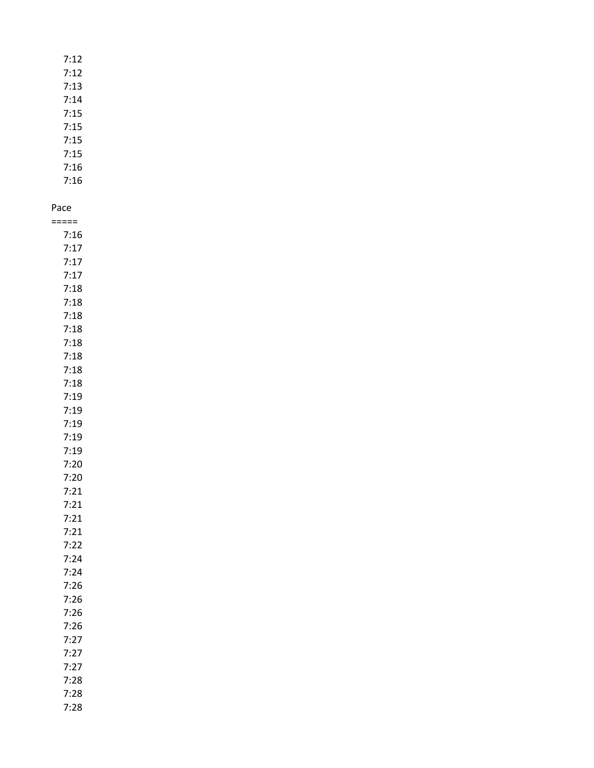| 7:12 |
|------|
| 7:12 |
| 7:13 |
| 7:14 |
| 7:15 |
| 7:15 |
| 7:15 |
| 7:15 |
| 7:16 |
| 7:16 |

===== 7:16 7:17 7:17 7:17 7:18 7:18 7:18 7:18 7:18 7:18 7:18 7:18 7:19 7:19 7:19 7:19 7:19 7:20 7:20 7:21 7:21 7:21 7:21 7:22 7:24 7:24 7:26 7:26 7:26 7:26 7:27 7:27 7:27 7:28 7:28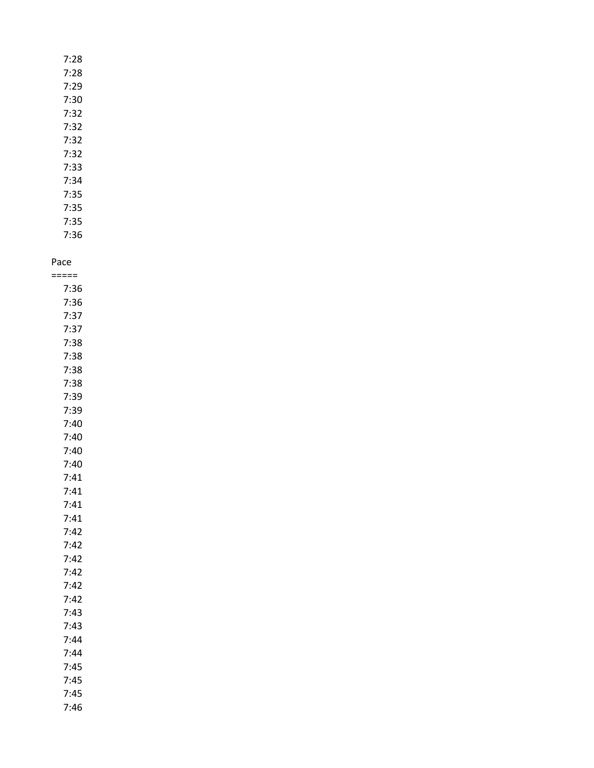| 7:28 |
|------|
| 7:28 |
| 7:29 |
| 7:30 |
| 7:32 |
| 7:32 |
| 7:32 |
| 7:32 |
| 7:33 |
| 7:34 |
| 7:35 |

7:35 7:35 7:36

Pace =====

| 7:36 |
|------|
| 7:36 |
| 7:37 |
| 7:37 |
| 7:38 |
| 7:38 |
| 7:38 |
| 7:38 |
| 7:39 |
| 7:39 |
| 7:40 |
| 7:40 |
| 7:40 |
| 7:40 |
| 7:41 |
| 7:41 |
| 7:41 |
| 7:41 |
| 7:42 |
| 7:42 |
| 7:42 |
| 7:42 |
| 7:42 |
| 7:42 |
| 7:43 |
| 7:43 |
| 7:44 |
| 7:44 |
| 7:45 |
| 7:45 |
| 7:45 |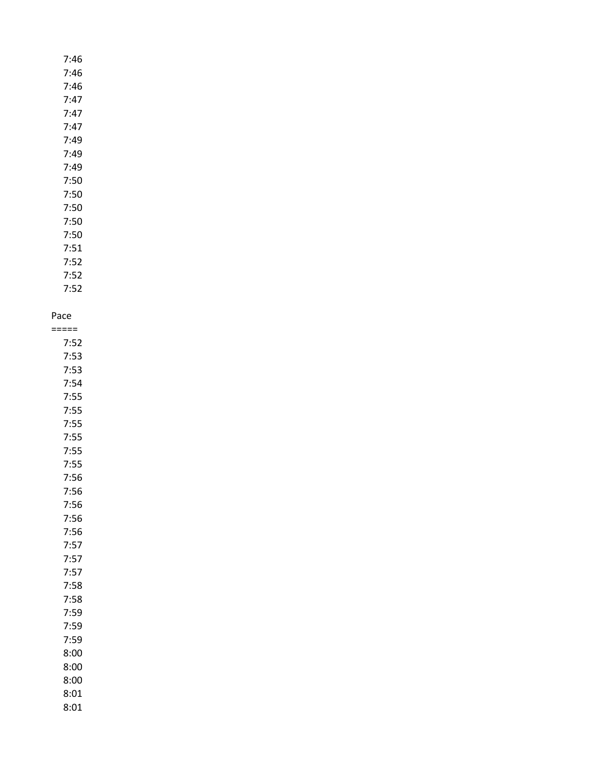| 7:46 |
|------|
| 7:46 |
| 7:46 |
| 7:47 |
| 7:47 |
| 7:47 |
| 7:49 |
| 7:49 |
| 7:49 |
| 7:50 |
| 7:50 |
| 7:50 |
| 7:50 |
| 7:50 |
| 7:51 |

7:52 7:52 7:52

## Pace

===== 7:52 7:53 7:53 7:54 7:55 7:55 7:55 7:55 7:55 7:55 7:56 7:56 7:56 7:56 7:56 7:57 7:57 7:57 7:58 7:58 7:59 7:59 7:59 8:00 8:00 8:00 8:01 8:01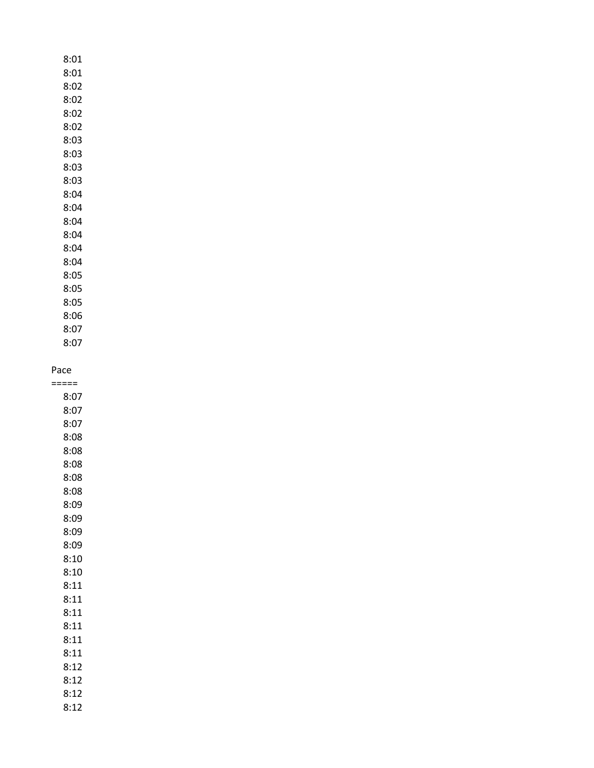8:01 8:01 8:02 8:02 8:02 8:02 8:03 8:03 8:03 8:03 8:04 8:04 8:04 8:04 8:04 8:04 8:05 8:05 8:05 8:06 8:07

#### Pace

8:07

===== 8:07 8:07 8:07 8:08 8:08 8:08 8:08 8:08 8:09 8:09 8:09 8:09 8:10 8:10 8:11 8:11 8:11 8:11 8:11 8:11 8:12 8:12 8:12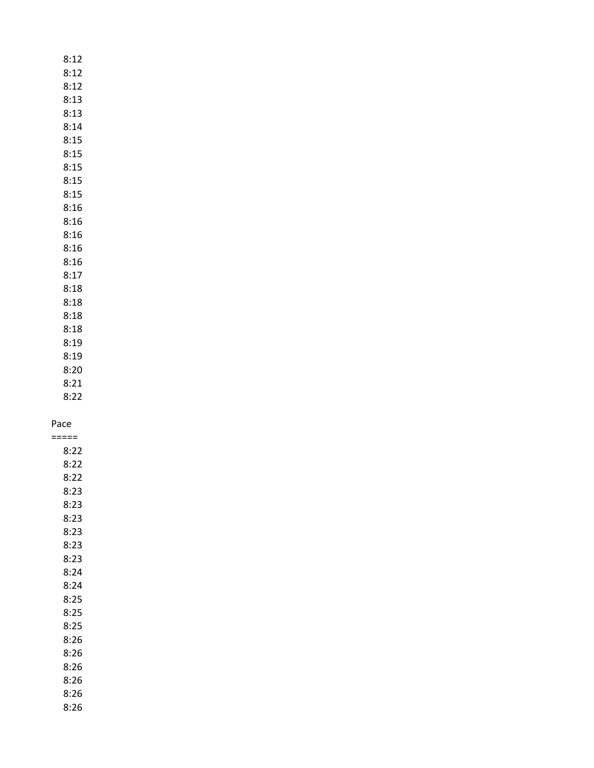8:12 8:12 8:12 8:13 8:13 8:14 8:15 8:15 8:15 8:15 8:15 8:16 8:16 8:16 8:16 8:16 8:17 8:18 8:18 8:18 8:18 8:19

8:19 8:20

8:21 8:22

Pace

===== 8:22 8:22 8:22 8:23 8:23 8:23 8:23 8:23 8:23 8:24 8:24 8:25 8:25 8:25 8:26 8:26 8:26 8:26 8:26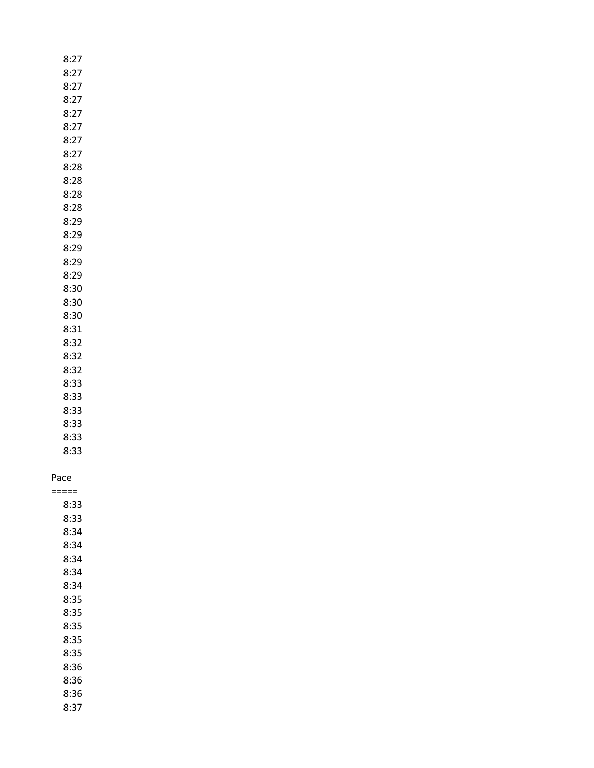| 8:27  |
|-------|
| 8:27  |
| 8:27  |
| 8:27  |
| 8:27  |
| 8:27  |
| 8:27  |
| 8:27  |
| 8:28  |
| 8:28  |
| 8:28  |
| 8:28  |
| 8:29  |
| 8:29  |
| 8:29  |
| 8:29  |
| 8:29  |
| 8:30  |
| 8:30  |
| 8:30  |
| 8:31  |
| 8:32  |
| 8:32  |
| 8:32  |
| 8:33  |
| 8:33  |
| 8:33  |
| 8:33  |
| 8:33  |
| 8:33  |
|       |
| Pace  |
| ===== |

### Pac

| 8:33 |  |
|------|--|
| 8:33 |  |
| 8:34 |  |
| 8:34 |  |
| 8:34 |  |
| 8:34 |  |
| 8:34 |  |
| 8:35 |  |
| 8:35 |  |
| 8:35 |  |
| 8:35 |  |
| 8:35 |  |
| 8:36 |  |
| 8:36 |  |
| 8:36 |  |
| 8:37 |  |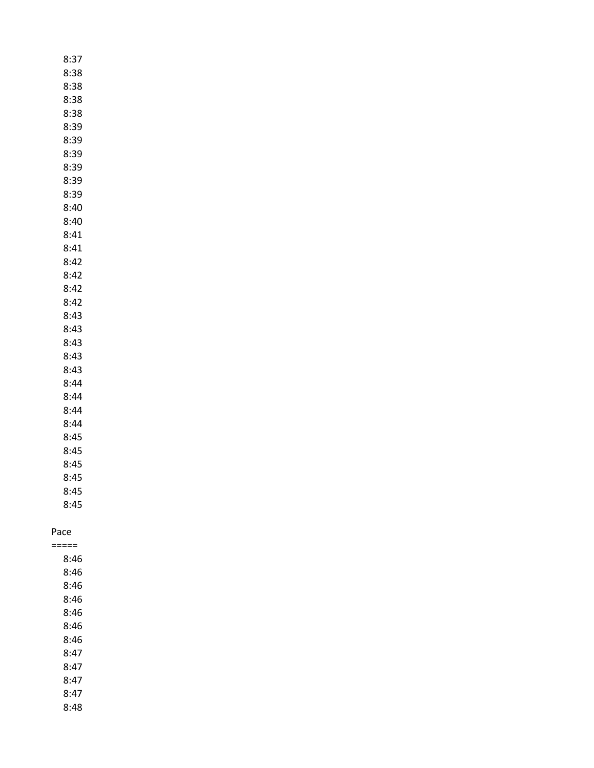| 8:37 |
|------|
| 8:38 |
| 8:38 |
| 8:38 |
| 8:38 |
| 8:39 |
| 8:39 |
| 8:39 |
| 8:39 |
| 8:39 |
| 8:39 |
| 8:40 |
| 8:40 |
| 8:41 |
| 8:41 |
| 8:42 |
| 8:42 |
| 8:42 |
| 8:42 |
| 8:43 |
| 8:43 |
| 8:43 |
| 8:43 |
| 8:43 |
| 8:44 |
| 8:44 |
| 8:44 |
| 8:44 |
| 8:45 |
| 8:45 |
| 8:45 |
| 8:45 |
| 8:45 |
| 8:45 |

### Pace =====

8:46 8:46 8:46 8:46 8:46 8:46 8:46 8:47 8:47 8:47 8:47 8:48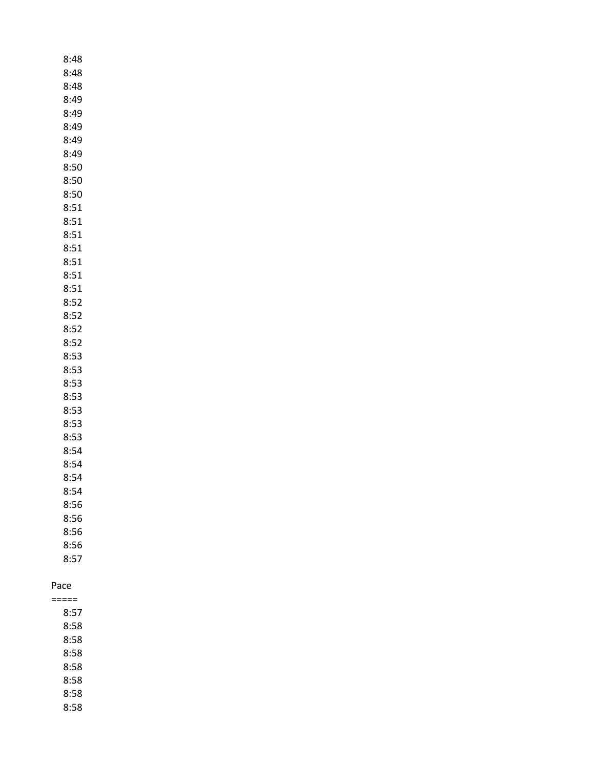| 8:48 |
|------|
| 8:48 |
| 8:48 |
| 8:49 |
| 8:49 |
| 8:49 |
| 8:49 |
| 8:49 |
| 8:50 |
| 8:50 |
| 8:50 |
| 8:51 |
| 8:51 |
| 8:51 |
| 8:51 |
| 8:51 |
| 8:51 |
| 8:51 |
| 8:52 |
| 8:52 |
| 8:52 |
| 8:52 |
| 8:53 |
| 8:53 |
| 8:53 |
| 8:53 |
| 8:53 |
| 8:53 |
| 8:53 |
| 8:54 |
| 8:54 |
| 8:54 |
| 8:54 |
| 8:56 |
| 8:56 |
| 8:56 |
| 8:56 |
| 8:57 |
|      |
|      |

===== 8:57 8:58 8:58 8:58 8:58 8:58 8:58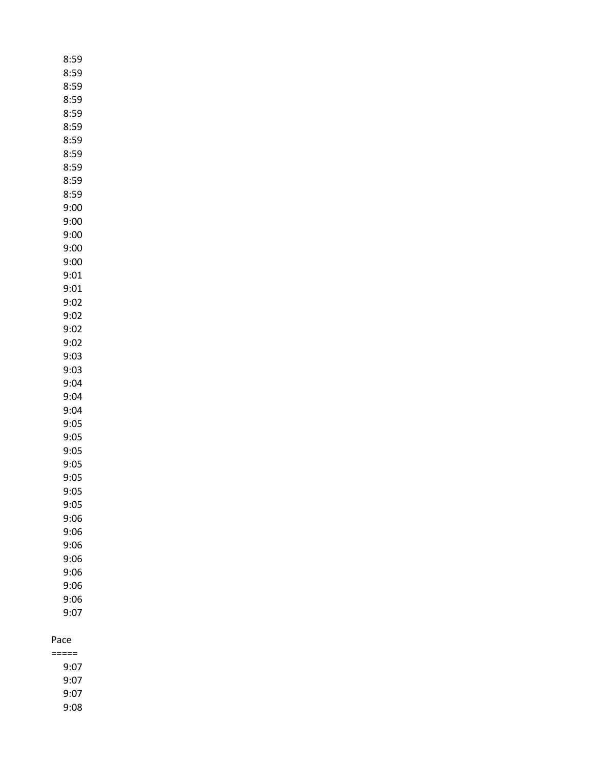| 8:59         |
|--------------|
| 8:59         |
| 8:59         |
| 8:59         |
| 8:59         |
| 8:59         |
| 8:59         |
| 8:59         |
| 8:59         |
| 8:59         |
| 8:59         |
| 9:00         |
| 9:00         |
| 9:00         |
| 9:00         |
| 9:00         |
| 9:01         |
| 9:01         |
| 9:02         |
| 9:02         |
| 9:02         |
| 9:02         |
| 9:03         |
| 9:03         |
| 9:04         |
| 9:04         |
| 9:04         |
| 9:05         |
| 9:05         |
| 9:05         |
| 9:05         |
| 9:05<br>9:05 |
| 9:05         |
| 9:06         |
| 9:06         |
| 9:06         |
| 9:06         |
| 9:06         |
| 9:06         |
| 9:06         |
| 9:07         |
|              |

===== 9:07 9:07 9:07 9:08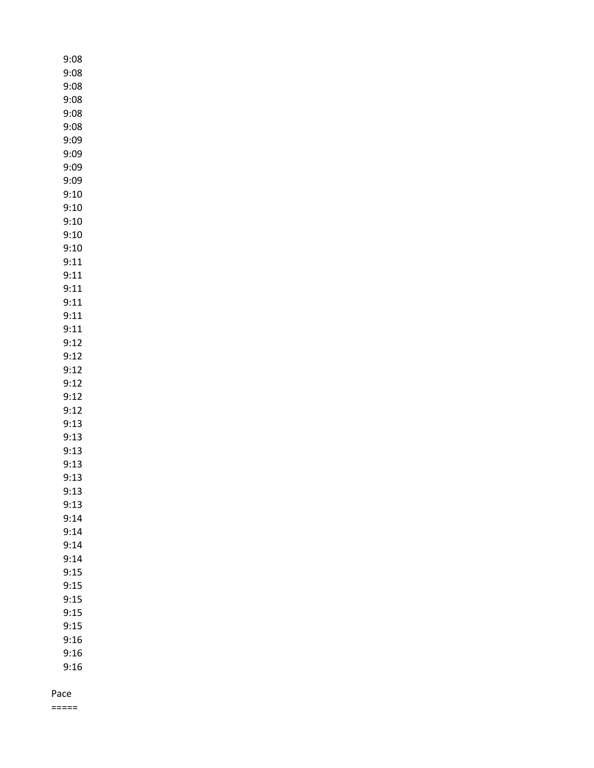| 9:08 |
|------|
| 9:08 |
| 9:08 |
| 9:08 |
| 9:08 |
| 9:08 |
| 9:09 |
| 9:09 |
| 9:09 |
| 9:09 |
| 9:10 |
| 9:10 |
| 9:10 |
| 9:10 |
| 9:10 |
| 9:11 |
| 9:11 |
| 9:11 |
| 9:11 |
| 9:11 |
| 9:11 |
| 9:12 |
| 9:12 |
| 9:12 |
| 9:12 |
|      |
| 9:12 |
| 9:12 |
| 9:13 |
| 9:13 |
| 9:13 |
| 9:13 |
| 9:13 |
| 9:13 |
| 9:13 |
| 9:14 |
| 9:14 |
| 9:14 |
| 9:14 |
| 9:15 |
| 9:15 |
| 9:15 |
| 9:15 |
| 9:15 |
| 9:16 |
| 9:16 |
| 9:16 |
|      |

=====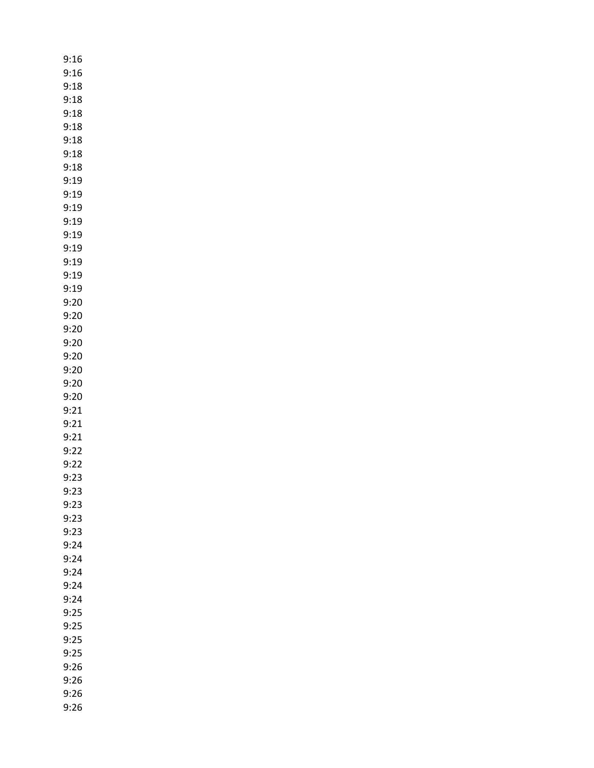| 9:16 |
|------|
| 9:16 |
| 9:18 |
| 9:18 |
| 9:18 |
| 9:18 |
| 9:18 |
| 9:18 |
| 9:18 |
| 9:19 |
| 9:19 |
| 9:19 |
| 9:19 |
| 9:19 |
| 9:19 |
| 9:19 |
| 9:19 |
| 9:19 |
| 9:20 |
| 9:20 |
| 9:20 |
| 9:20 |
| 9:20 |
| 9:20 |
| 9:20 |
| 9:20 |
| 9:21 |
| 9:21 |
| 9:21 |
| 9:22 |
| 9:22 |
| 9:23 |
| 9:23 |
| 9:23 |
| 9:23 |
| 9:23 |
| 9:24 |
| 9:24 |
| 9:24 |
| 9:24 |
| 9:24 |
| 9:25 |
| 9:25 |
| 9:25 |
| 9:25 |
| 9:26 |
| 9:26 |
| 9:26 |
| 9:26 |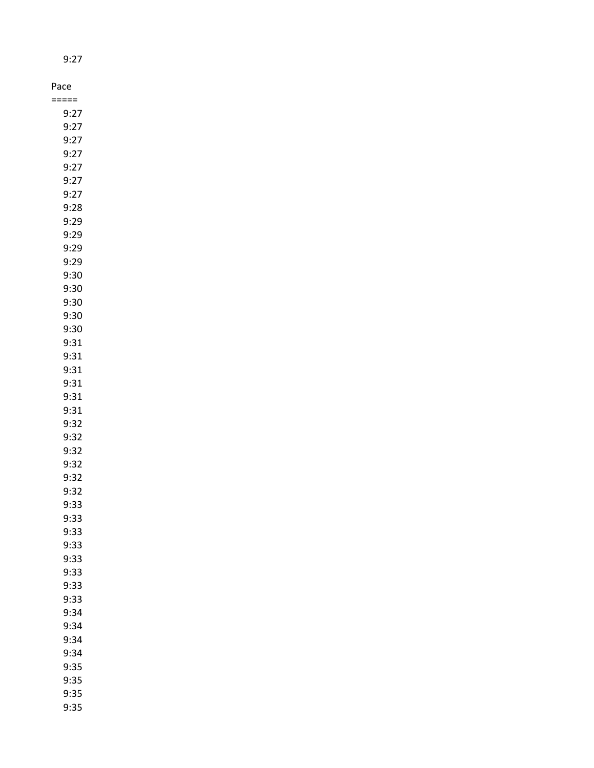| Pace         |  |
|--------------|--|
| =====        |  |
| 9:27         |  |
| 9:27         |  |
| 9:27         |  |
| 9:27         |  |
| 9:27         |  |
| 9:27         |  |
| 9:27         |  |
| 9:28         |  |
| 9:29         |  |
| 9:29         |  |
| 9:29         |  |
| 9:29         |  |
| 9:30         |  |
| 9:30         |  |
| 9:30         |  |
| 9:30         |  |
| 9:30         |  |
| 9:31         |  |
| 9:31         |  |
| 9:31         |  |
| 9:31         |  |
| 9:31         |  |
| 9:31         |  |
| 9:32         |  |
| 9:32         |  |
| 9:32         |  |
| 9:32         |  |
| 9:32         |  |
| 9:32         |  |
| 9:33         |  |
| 9:33<br>9:33 |  |
| 9:33         |  |
| 9:33         |  |
| 9:33         |  |
| 9:33         |  |
| 9:33         |  |
| 9:34         |  |
| 9:34         |  |
| 9:34         |  |
| 9:34         |  |
| 9:35         |  |
| 9:35         |  |
| 9:35         |  |

9:27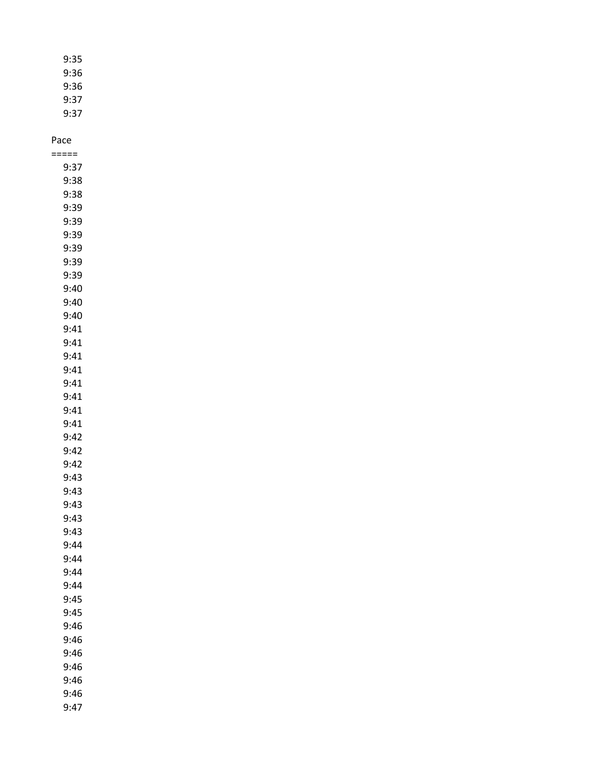| 9:35 |
|------|
| 9:36 |
| 9:36 |
| 9:37 |
| 9:37 |

### Pace =====

| 9:37 |
|------|
| 9:38 |
| 9:38 |
| 9:39 |
| 9:39 |
| 9:39 |
| 9:39 |
| 9:39 |
| 9:39 |
| 9:40 |
| 9:40 |
| 9:40 |
| 9:41 |
| 9:41 |
| 9:41 |
| 9:41 |
| 9:41 |
| 9:41 |
| 9:41 |
| 9:41 |
| 9:42 |
| 9:42 |
| 9:42 |
| 9:43 |
| 9:43 |
| 9:43 |
| 9:43 |
| 9:43 |
| 9:44 |
| 9:44 |
| 9:44 |
| 9:44 |
| 9:45 |
| 9:45 |
| 9:46 |
| 9:46 |
| 9:46 |
| 9:46 |
| 9:46 |
| 9:46 |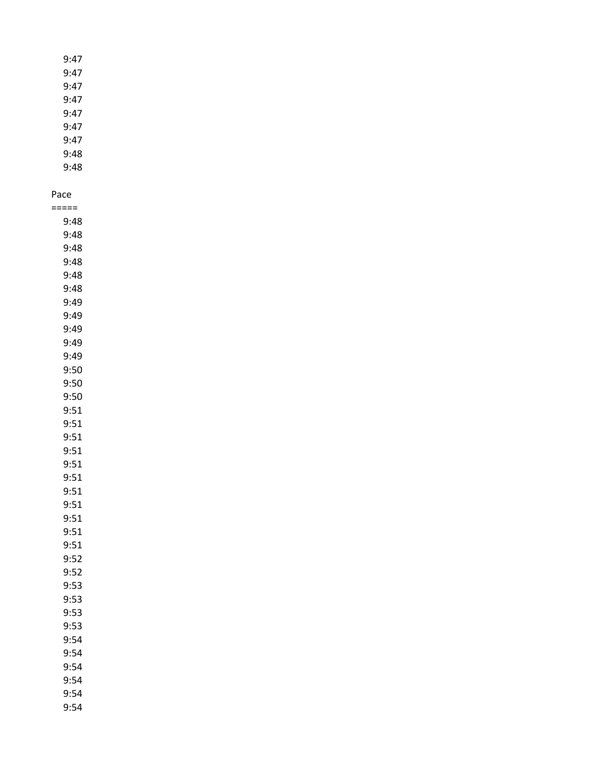9:47 9:47 9:47 9:47 9:47 9:47 9:47 9:48 9:48

#### Pace

| ===== |  |
|-------|--|
| 9:48  |  |
| 9:48  |  |
| 9:48  |  |
| 9:48  |  |
| 9:48  |  |
| 9:48  |  |
| 9:49  |  |
| 9:49  |  |
| 9:49  |  |
| 9:49  |  |
| 9:49  |  |
| 9:50  |  |
| 9:50  |  |
| 9:50  |  |
| 9:51  |  |
| 9:51  |  |
| 9:51  |  |
| 9:51  |  |
| 9:51  |  |
| 9:51  |  |
| 9:51  |  |
| 9:51  |  |
| 9:51  |  |
| 9:51  |  |
| 9:51  |  |
| 9:52  |  |
| 9:52  |  |
| 9:53  |  |
| 9:53  |  |
| 9:53  |  |
| 9:53  |  |
| 9:54  |  |
| 9:54  |  |
| 9:54  |  |
| 9:54  |  |
| 9:54  |  |
| 9:54  |  |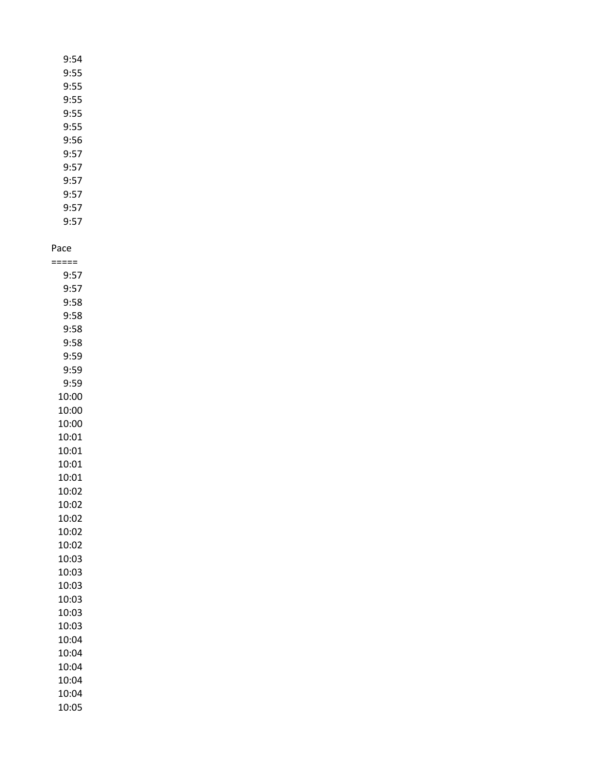| 9:54 |
|------|
| 9:55 |
| 9:55 |
| 9:55 |
| 9:55 |
| 9:55 |
| 9:56 |
| 9:57 |
| 9:57 |
| 9:57 |
|      |

9:57 9:57 9:57

Pace

===== 9:57 9:57 9:58 9:58 9:58 9:58 9:59 9:59 9:59 10:00 10:00 10:00 10:01 10:01 10:01 10:01 10:02 10:02 10:02 10:02 10:02 10:03 10:03 10:03 10:03 10:03 10:03 10:04 10:04 10:04 10:04 10:04 10:05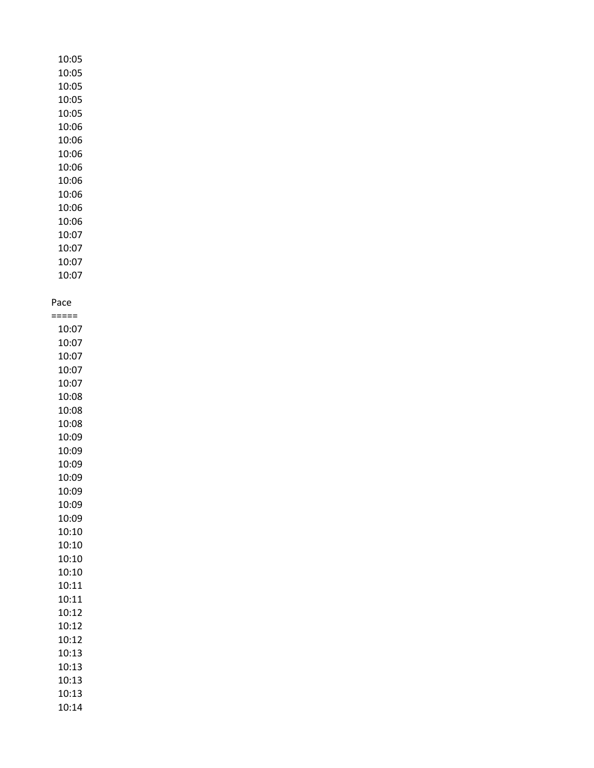# 10:05 10:05 10:05 10:05 10:05 10:06 10:06 10:06 10:06 10:06 10:06 10:06 10:06 10:07 10:07 10:07 10:07

### Pace =====

10:07 10:07 10:07 10:07 10:07 10:08 10:08 10:08 10:09 10:09 10:09 10:09 10:09 10:09 10:09 10:10 10:10 10:10 10:10 10:11 10:11 10:12 10:12 10:12 10:13 10:13 10:13 10:13 10:14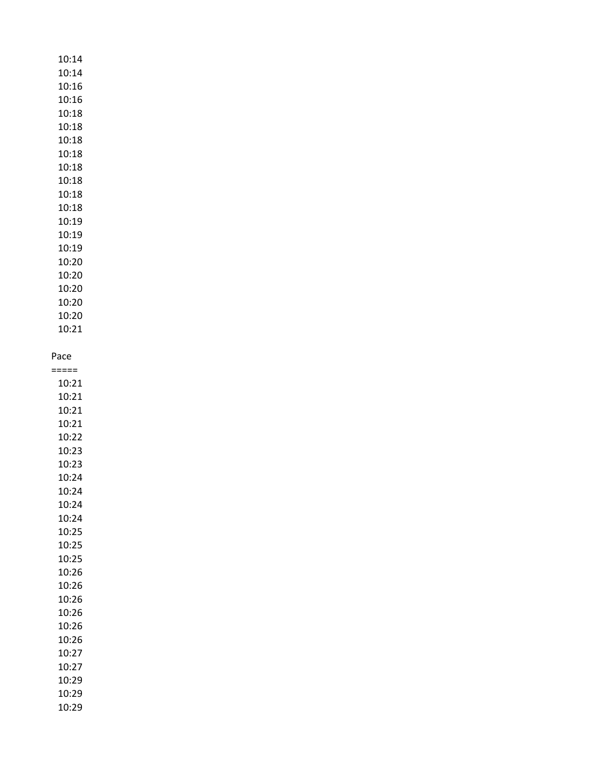10:14 10:14 10:16 10:16 10:18 10:18 10:18 10:18 10:18 10:18 10:18 10:18 10:19 10:19 10:19 10:20 10:20 10:20 10:20 10:20 10:21

#### Pace

===== 10:21 10:21 10:21 10:21 10:22 10:23 10:23 10:24 10:24 10:24 10:24 10:25 10:25 10:25 10:26 10:26 10:26 10:26 10:26 10:26 10:27 10:27 10:29 10:29 10:29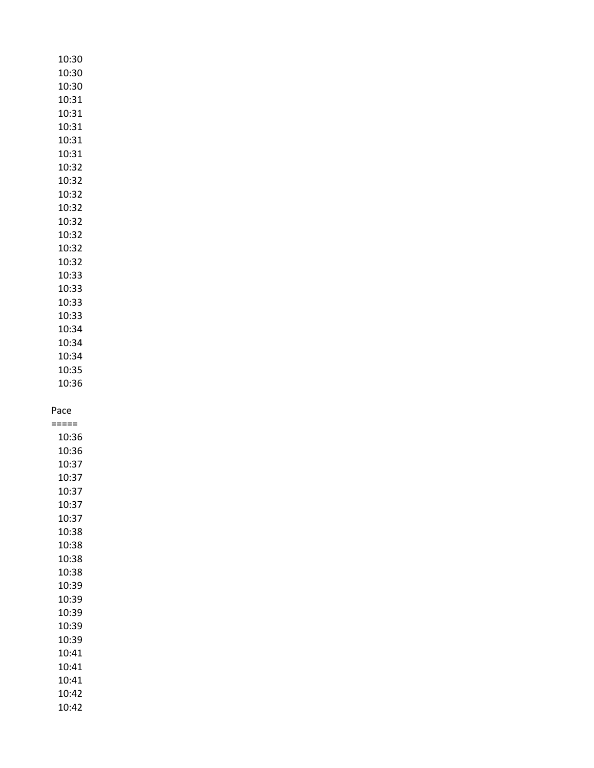| 10:30 |
|-------|
| 10:30 |
| 10:30 |
| 10:31 |
| 10:31 |
| 10:31 |
| 10:31 |
| 10:31 |
| 10:32 |
| 10:32 |
| 10:32 |
| 10:32 |
| 10:32 |
| 10:32 |
| 10:32 |
| 10:32 |
| 10:33 |
| 10:33 |
| 10:33 |
| 10:33 |
| 10:34 |
| 10:34 |
| 10:34 |
| 10:35 |
| 10:36 |
|       |

===== 10:36 10:36 10:37 10:37 10:37 10:37 10:37 10:38 10:38 10:38 10:38 10:39 10:39 10:39 10:39 10:39 10:41 10:41 10:41 10:42 10:42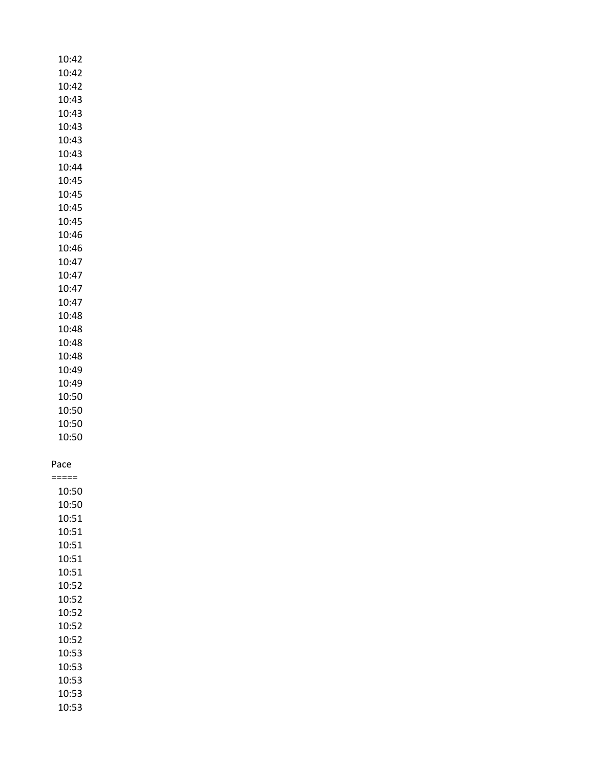| 10:42   |  |
|---------|--|
| 10:42   |  |
| 10:42   |  |
| 10:43   |  |
| 10:43   |  |
|         |  |
| 10:43   |  |
| 10:43   |  |
| 10:43   |  |
| 10:44   |  |
| 10:45   |  |
| 10:45   |  |
| 10:45   |  |
|         |  |
| 10:45   |  |
| 10:46   |  |
| 10:46   |  |
| 10:47   |  |
| 10:47   |  |
| 10:47   |  |
| 10:47   |  |
| 10:48   |  |
|         |  |
| 10:48   |  |
| 10:48   |  |
| 10:48   |  |
| 10:49   |  |
| 10:49   |  |
| 10:50   |  |
| 10:50   |  |
| 10:50   |  |
|         |  |
| 10:50   |  |
|         |  |
| Pace    |  |
| $:====$ |  |
| 10:50   |  |
| 10:50   |  |
| 10:51   |  |
| 10:51   |  |
| 10:51   |  |
| 10:51   |  |
|         |  |
| 10:51   |  |
| 10:52   |  |
| 10:52   |  |
| 10:52   |  |
| 10:52   |  |
| 10:52   |  |
| 10:53   |  |
| 10:53   |  |
|         |  |
| 10:53   |  |
| 10:53   |  |
| 10:53   |  |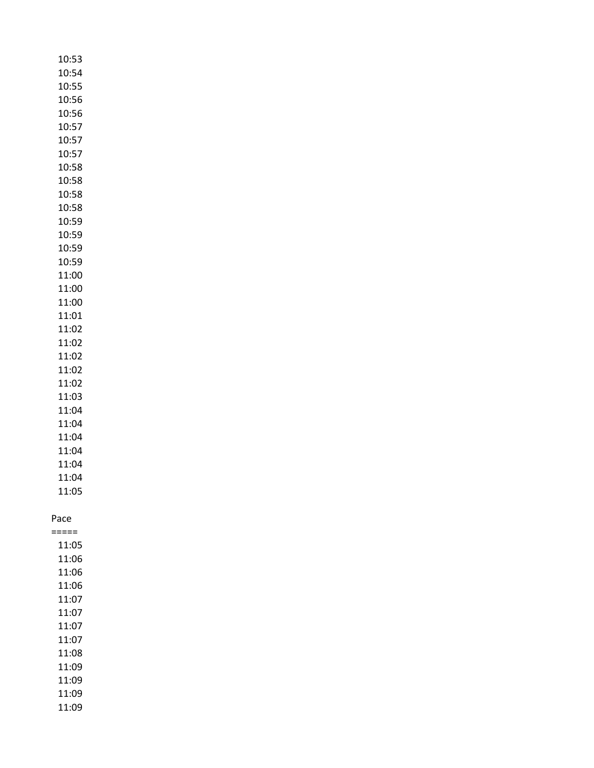| 10:53 |
|-------|
| 10:54 |
| 10:55 |
| 10:56 |
| 10:56 |
| 10:57 |
| 10:57 |
| 10:57 |
| 10:58 |
| 10:58 |
| 10:58 |
| 10:58 |
| 10:59 |
| 10:59 |
| 10:59 |
|       |
| 10:59 |
| 11:00 |
| 11:00 |
| 11:00 |
| 11:01 |
| 11:02 |
| 11:02 |
| 11:02 |
| 11:02 |
| 11:02 |
| 11:03 |
| 11:04 |
| 11:04 |
| 11:04 |
| 11:04 |
| 11:04 |
| 11:04 |
| 11:05 |
|       |
| Pace  |
| ===== |
| 11:05 |
| 11:06 |
| 11:06 |
| 11:06 |
| 11:07 |
| 11:07 |
| 11:07 |
| 11:07 |
| 11:08 |
| 11:09 |
| 11:09 |
| 11:09 |
| 11:09 |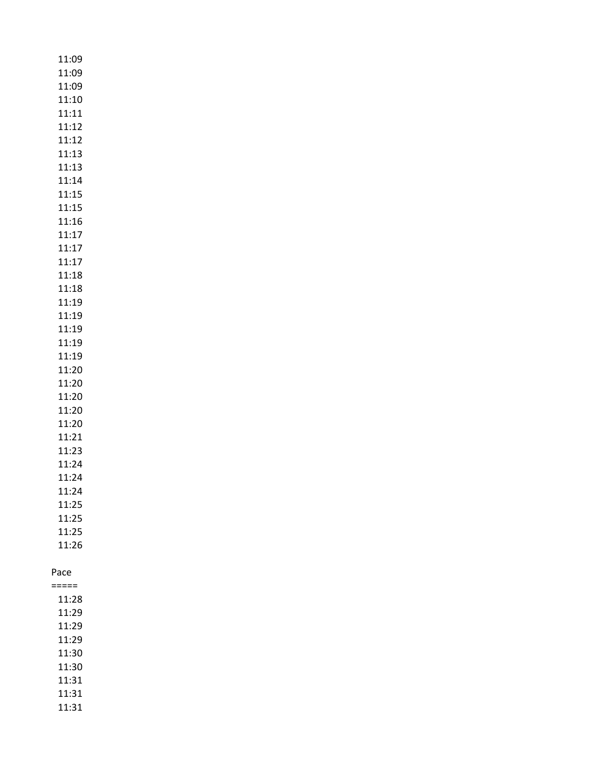| 11:09<br>11:09<br>11:09          |  |
|----------------------------------|--|
| 11:10<br>11:11<br>11:12          |  |
| 11:12<br>11:13<br>11:13          |  |
| 11:14<br>11:15<br>11:15          |  |
| 11:16<br>11:17<br>11:17          |  |
| 11:17<br>11:18<br>11:18<br>11:19 |  |
| 11:19<br>11:19<br>11:19          |  |
| 11:19<br>11:20<br>11:20          |  |
| 11:20<br>11:20<br>11:20          |  |
| 11:21<br>11:23<br>11:24<br>11:24 |  |
| 11:24<br>11:25<br>11:25          |  |
| 11:25<br>11:26                   |  |
| Pace<br>=====                    |  |
| 11:28                            |  |
| 11:29<br>11:29                   |  |
| 11:29                            |  |
| 11:30                            |  |
| 11:30<br>11:31                   |  |
| 11:31<br>11:31                   |  |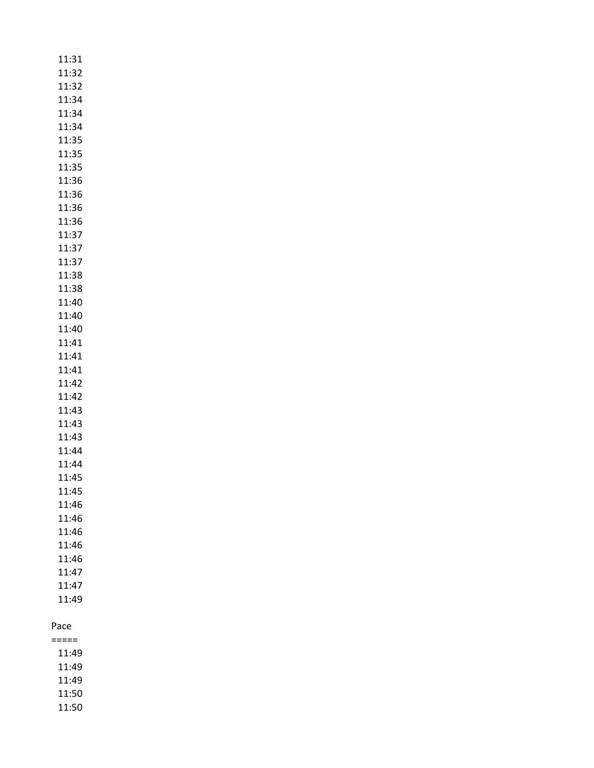| 11:31 |
|-------|
| 11:32 |
| 11:32 |
| 11:34 |
| 11:34 |
| 11:34 |
| 11:35 |
| 11:35 |
| 11:35 |
| 11:36 |
| 11:36 |
| 11:36 |
| 11:36 |
| 11:37 |
| 11:37 |
| 11:37 |
| 11:38 |
| 11:38 |
| 11:40 |
| 11:40 |
| 11:40 |
| 11:41 |
| 11:41 |
| 11:41 |
| 11:42 |
| 11:42 |
| 11:43 |
| 11:43 |
| 11:43 |
| 11:44 |
| 11:44 |
| 11:45 |
| 11:45 |
| 11:46 |
| 11:46 |
| 11:46 |
| 11:46 |
| 11:46 |
| 11:47 |
| 11:47 |
| 11:49 |
| Расе  |

| 11:49 |
|-------|
| 11:49 |
| 11:49 |
| 11:50 |
| 11:50 |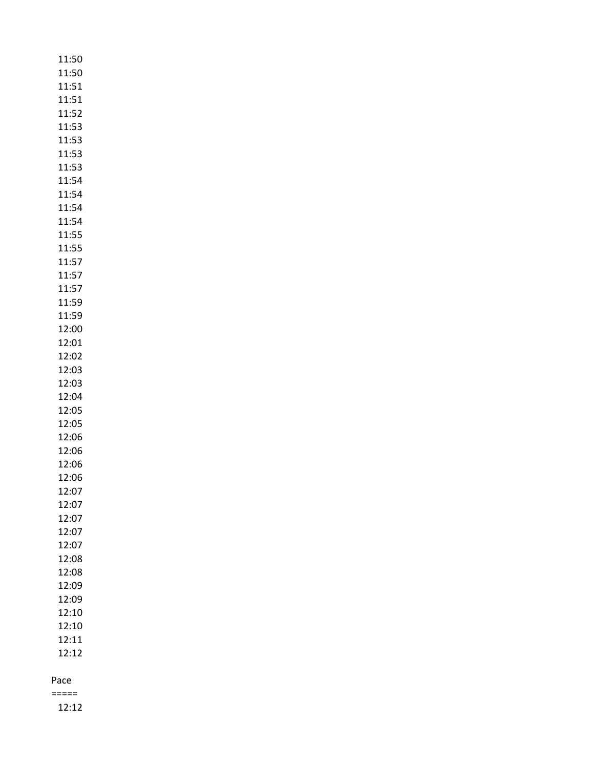| 11:50          |
|----------------|
| 11:50          |
| 11:51          |
| 11:51          |
| 11:52          |
| 11:53          |
| 11:53          |
| 11:53          |
| 11:53          |
| 11:54          |
| 11:54          |
| 11:54          |
| 11:54          |
| 11:55          |
| 11:55          |
| 11:57          |
| 11:57          |
| 11:57          |
| 11:59          |
| 11:59          |
| 12:00          |
| 12:01          |
| 12:02          |
| 12:03          |
| 12:03          |
| 12:04          |
| 12:05          |
| 12:05          |
| 12:06          |
| 12:06          |
| 12:06          |
| 12:06          |
| 12:07          |
| 12:07          |
| 12:07          |
| 12:07          |
| 12:07          |
| 12:08          |
| 12:08          |
| 12:09          |
| 12:09          |
| 12:10<br>12:10 |
| 12:11          |
| 12:12          |
|                |
| Pace           |

=====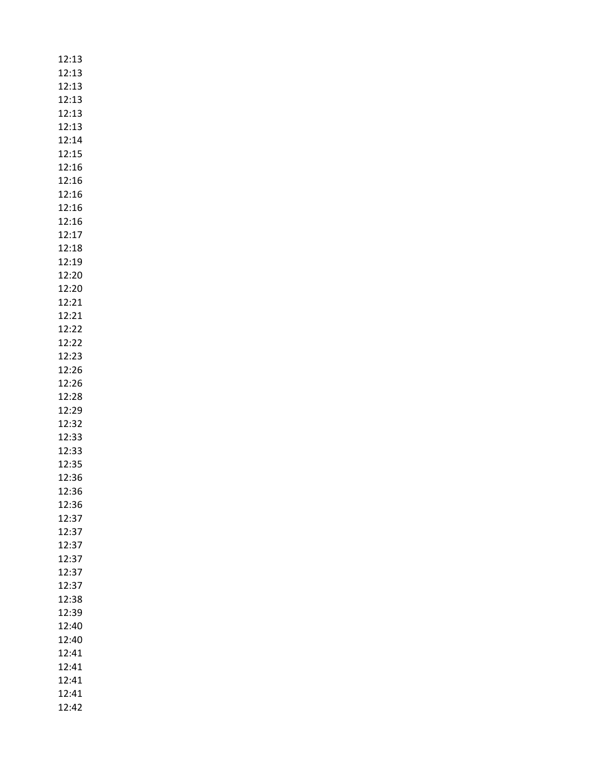| 12:13 |
|-------|
|       |
| 12:13 |
| 12:13 |
| 12:13 |
| 12:13 |
|       |
| 12:13 |
| 12:14 |
| 12:15 |
| 12:16 |
| 12:16 |
| 12:16 |
|       |
| 12:16 |
| 12:16 |
| 12:17 |
| 12:18 |
| 12:19 |
|       |
| 12:20 |
| 12:20 |
| 12:21 |
| 12:21 |
| 12:22 |
| 12:22 |
|       |
| 12:23 |
| 12:26 |
| 12:26 |
| 12:28 |
| 12:29 |
|       |
| 12:32 |
| 12:33 |
| 12:33 |
| 12:35 |
| 12:36 |
| 12:36 |
|       |
| 12:36 |
| 12:37 |
| 12:37 |
| 12:37 |
| 12:37 |
| 12:37 |
|       |
| 12:37 |
| 12:38 |
| 12:39 |
| 12:40 |
| 12:40 |
|       |
| 12:41 |
| 12:41 |
| 12:41 |
| 12:41 |
| 12:42 |
|       |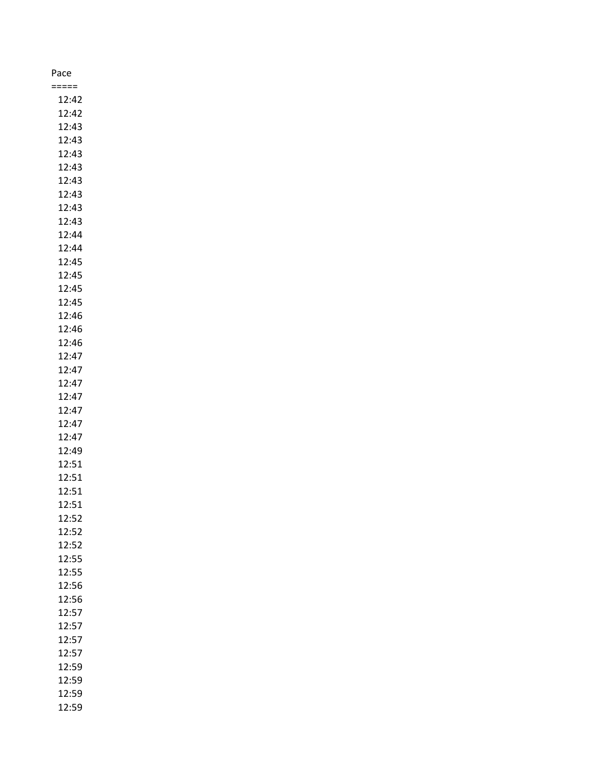| Pace  |  |
|-------|--|
| ≔===  |  |
| 12:42 |  |
| 12:42 |  |
| 12:43 |  |
| 12:43 |  |
| 12:43 |  |
| 12:43 |  |
| 12:43 |  |
| 12:43 |  |
| 12:43 |  |
|       |  |
| 12:43 |  |
| 12:44 |  |
| 12:44 |  |
| 12:45 |  |
| 12:45 |  |
| 12:45 |  |
| 12:45 |  |
| 12:46 |  |
| 12:46 |  |
| 12:46 |  |
| 12:47 |  |
| 12:47 |  |
| 12:47 |  |
| 12:47 |  |
| 12:47 |  |
| 12:47 |  |
| 12:47 |  |
| 12:49 |  |
| 12:51 |  |
| 12:51 |  |
| 12:51 |  |
| 12:51 |  |
| 12:52 |  |
| 12:52 |  |
|       |  |
| 12:52 |  |
| 12:55 |  |
| 12:55 |  |
| 12:56 |  |
| 12:56 |  |
| 12:57 |  |
| 12:57 |  |
| 12:57 |  |
| 12:57 |  |
| 12:59 |  |
| 12:59 |  |
| 12:59 |  |
| 12:59 |  |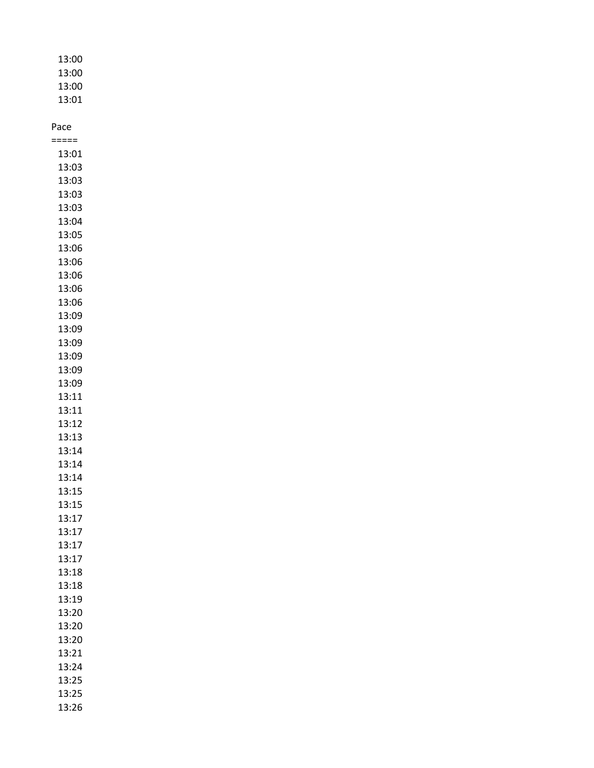| 13:00 |
|-------|
| 13:00 |
| 13:00 |
| 13:01 |

===== 13:01 13:03 13:03 13:03 13:03 13:04 13:05 13:06 13:06 13:06 13:06 13:06 13:09 13:09 13:09 13:09 13:09 13:09 13:11 13:11 13:12 13:13 13:14 13:14 13:14 13:15 13:15 13:17 13:17 13:17 13:17 13:18 13:18 13:19 13:20 13:20 13:20 13:21 13:24 13:25 13:25 13:26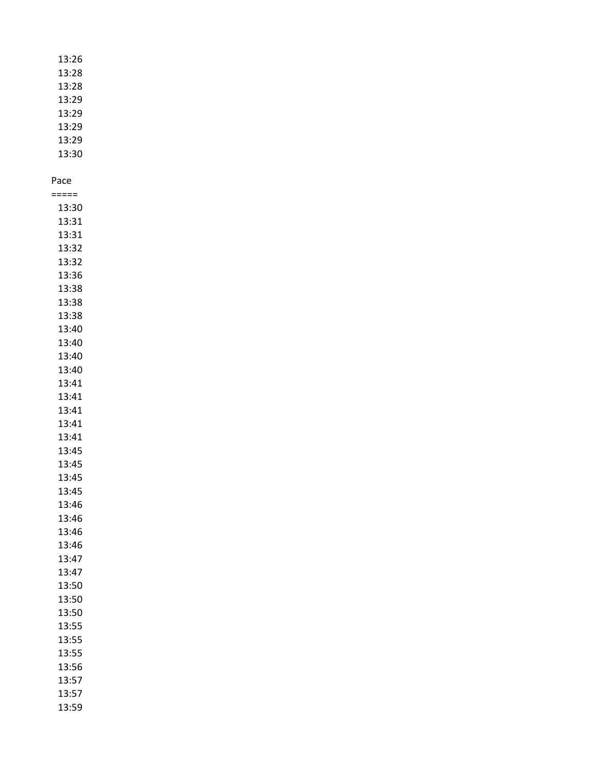| 13:26 |  |
|-------|--|
| 13:28 |  |
| 13:28 |  |
| 13:29 |  |
| 13:29 |  |
| 13:29 |  |
| 13:29 |  |
| 13:30 |  |

| ≔===  |
|-------|
| 13:30 |
| 13:31 |
| 13:31 |
| 13:32 |
| 13:32 |
| 13:36 |
| 13:38 |
| 13:38 |
| 13:38 |
| 13:40 |
| 13:40 |
| 13:40 |
| 13:40 |
| 13:41 |
| 13:41 |
| 13:41 |
| 13:41 |
| 13:41 |
| 13:45 |
| 13:45 |
| 13:45 |
| 13:45 |
| 13:46 |
| 13:46 |
| 13:46 |
| 13:46 |
| 13:47 |
| 13:47 |
| 13:50 |
| 13:50 |
| 13:50 |
| 13:55 |
| 13:55 |
| 13:55 |
| 13:56 |
| 13:57 |
| 13:57 |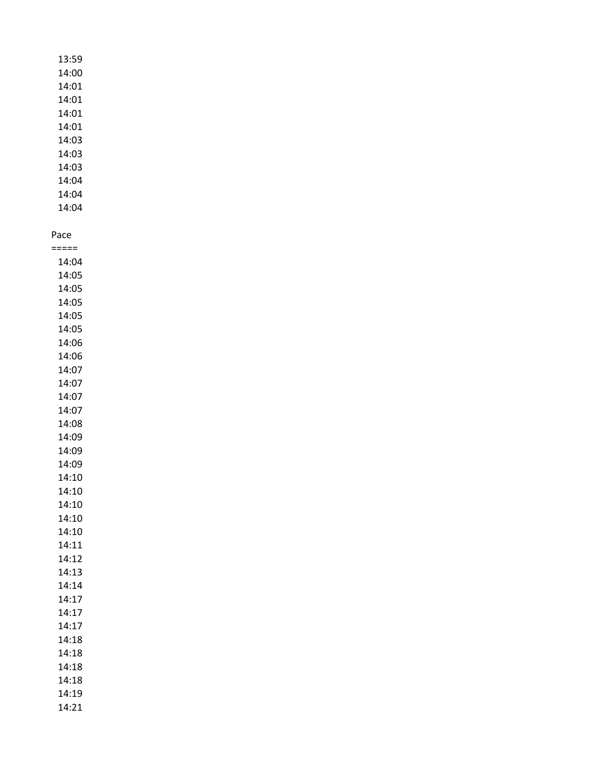| 13:59 |
|-------|
| 14:00 |
| 14:01 |
| 14:01 |
| 14:01 |
| 14:01 |
| 14:03 |
| 14:03 |
| 14:03 |
| 14:04 |
| 14:04 |
| 14:04 |

===== 14:04 14:05 14:05 14:05 14:05 14:05 14:06 14:06 14:07 14:07 14:07 14:07 14:08 14:09 14:09 14:09 14:10 14:10 14:10 14:10 14:10 14:11 14:12 14:13 14:14 14:17 14:17 14:17 14:18 14:18 14:18 14:18 14:19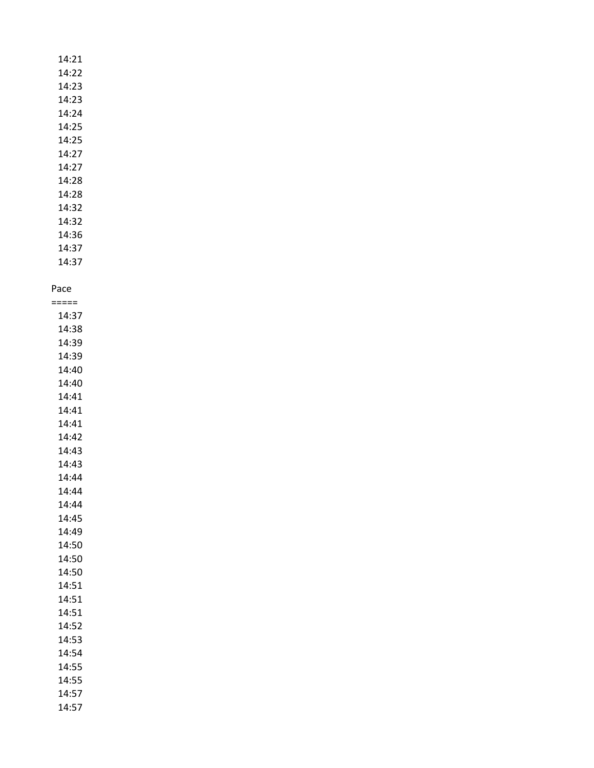14:21 14:22 14:23 14:23 14:24 14:25 14:25 14:27 14:27 14:28 14:28 14:32 14:32

14:36 14:37

14:37

## Pace

===== 14:37 14:38 14:39 14:39 14:40 14:40 14:41 14:41 14:41 14:42 14:43 14:43 14:44 14:44 14:44 14:45 14:49 14:50 14:50 14:50 14:51 14:51 14:51 14:52 14:53 14:54 14:55 14:55 14:57 14:57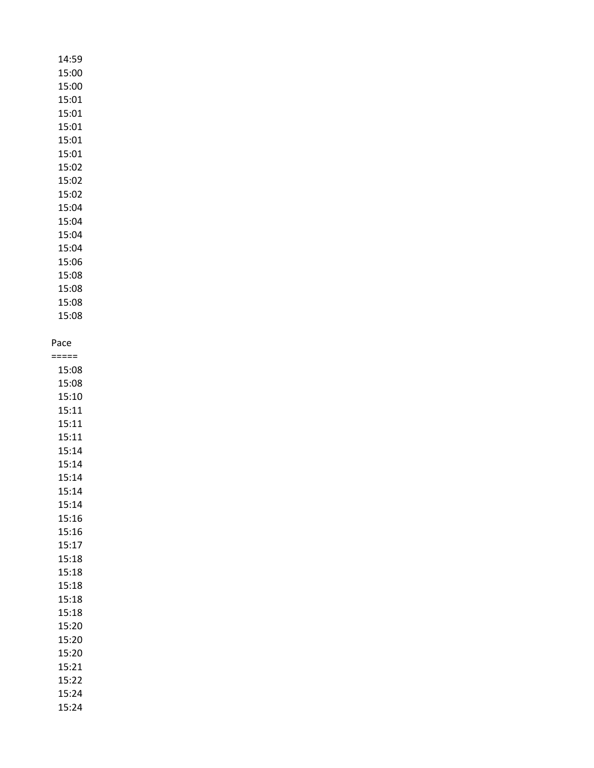## 14:59 15:00 15:00 15:01 15:01 15:01 15:01 15:01 15:02 15:02 15:02 15:04 15:04 15:04 15:04 15:06 15:08 15:08 15:08

Pace

15:08

===== 15:08 15:08 15:10 15:11 15:11 15:11 15:14 15:14 15:14 15:14 15:14 15:16 15:16 15:17 15:18 15:18 15:18 15:18 15:18 15:20 15:20 15:20 15:21 15:22 15:24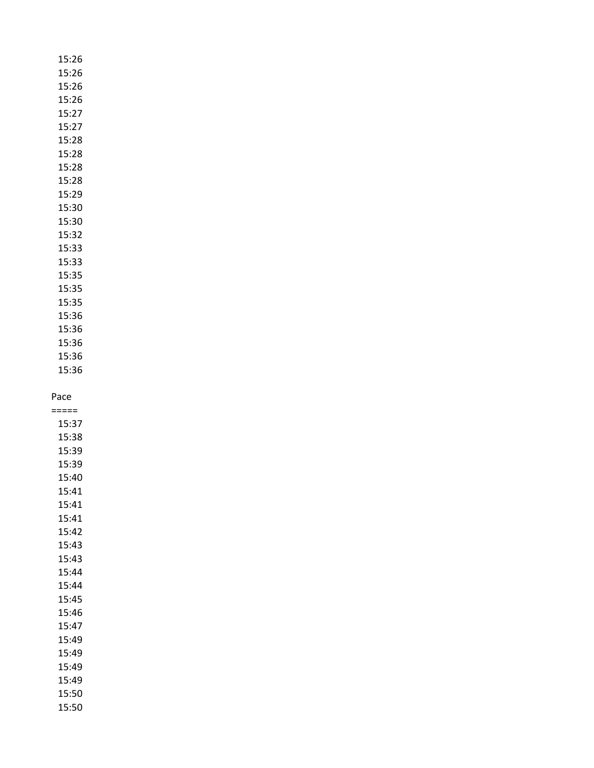| 15:26 |
|-------|
| 15:26 |
| 15:26 |
| 15:26 |
| 15:27 |
| 15:27 |
| 15:28 |
| 15:28 |
| 15:28 |
| 15:28 |
| 15:29 |
| 15:30 |
| 15:30 |
| 15:32 |
| 15:33 |
| 15:33 |
| 15:35 |
| 15:35 |
| 15:35 |
| 15:36 |
| 15:36 |
| 15:36 |
| 15:36 |

15:36

===== 15:37 15:38 15:39 15:39 15:40 15:41 15:41 15:41 15:42 15:43 15:43 15:44 15:44 15:45 15:46 15:47 15:49 15:49 15:49 15:49 15:50 15:50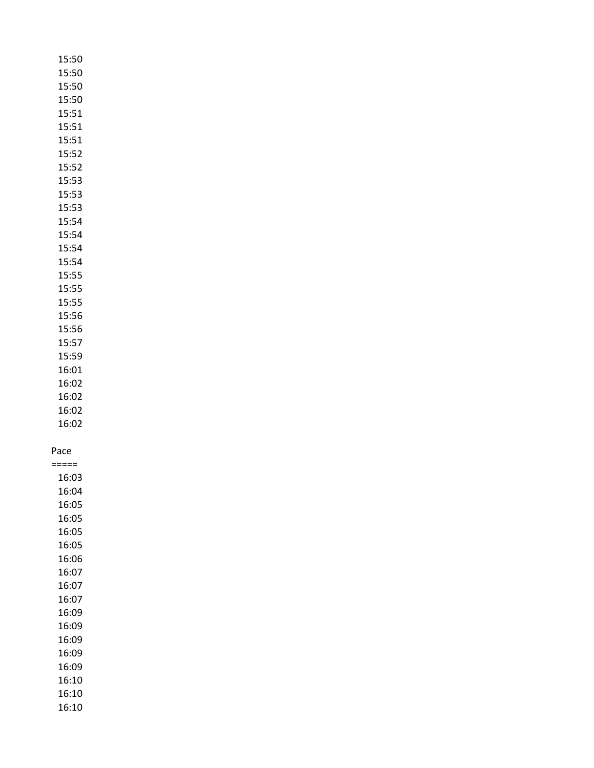| 15:50          |  |
|----------------|--|
| 15:50          |  |
| 15:50          |  |
| 15:50          |  |
| 15:51          |  |
|                |  |
| 15:51          |  |
| 15:51          |  |
| 15:52          |  |
| 15:52          |  |
| 15:53          |  |
| 15:53          |  |
| 15:53          |  |
| 15:54          |  |
|                |  |
| 15:54          |  |
| 15:54          |  |
| 15:54          |  |
| 15:55          |  |
| 15:55          |  |
| 15:55          |  |
| 15:56          |  |
| 15:56          |  |
|                |  |
| 15:57          |  |
| 15:59          |  |
| 16:01          |  |
| 16:02          |  |
| 16:02          |  |
| 16:02          |  |
| 16:02          |  |
|                |  |
|                |  |
| Pace           |  |
| =====          |  |
| 16:03          |  |
| 16:04          |  |
| 16:05          |  |
| 16:05          |  |
| 16:05          |  |
| 16:05          |  |
| 16:06          |  |
|                |  |
| 16:07          |  |
| 16:07          |  |
| 16:07          |  |
| 16:09          |  |
| 16:09          |  |
| 16:09          |  |
| 16:09          |  |
|                |  |
|                |  |
| 16:09          |  |
| 16:10          |  |
| 16:10<br>16:10 |  |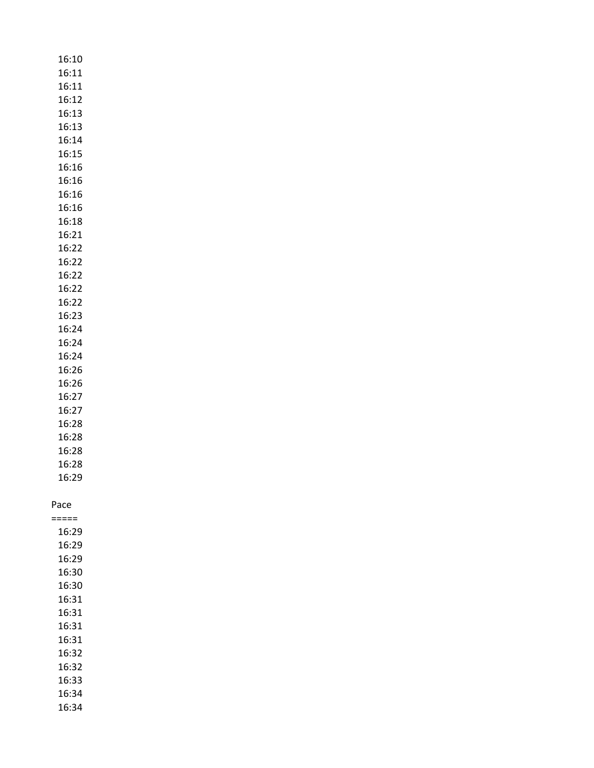|  |      | 16:10          |  |  |
|--|------|----------------|--|--|
|  |      | 16:11          |  |  |
|  |      | 16:11          |  |  |
|  |      | 16:12          |  |  |
|  |      | 16:13          |  |  |
|  |      | 16:13          |  |  |
|  |      | 16:14          |  |  |
|  |      | 16:15          |  |  |
|  |      | 16:16          |  |  |
|  |      | 16:16          |  |  |
|  |      | 16:16          |  |  |
|  |      | 16:16          |  |  |
|  |      | 16:18          |  |  |
|  |      | 16:21          |  |  |
|  |      | 16:22          |  |  |
|  |      | 16:22          |  |  |
|  |      | 16:22          |  |  |
|  |      | 16:22          |  |  |
|  |      | 16:22          |  |  |
|  |      | 16:23          |  |  |
|  |      | 16:24          |  |  |
|  |      | 16:24          |  |  |
|  |      | 16:24          |  |  |
|  |      | 16:26          |  |  |
|  |      | 16:26          |  |  |
|  |      | 16:27          |  |  |
|  |      | 16:27          |  |  |
|  |      | 16:28          |  |  |
|  |      | 16:28          |  |  |
|  |      | 16:28          |  |  |
|  |      | 16:28          |  |  |
|  |      |                |  |  |
|  |      | 16:29          |  |  |
|  |      |                |  |  |
|  | Pace | ====           |  |  |
|  |      |                |  |  |
|  |      | 16:29<br>16:29 |  |  |
|  |      | 16:29          |  |  |
|  |      | 16:30          |  |  |
|  |      | 16:30          |  |  |
|  |      | 16:31          |  |  |
|  |      | 16:31          |  |  |
|  |      | 16:31          |  |  |
|  |      | 16:31          |  |  |
|  |      | 16:32          |  |  |
|  |      | 16:32          |  |  |
|  |      | 16:33          |  |  |
|  |      |                |  |  |
|  |      | 16:34          |  |  |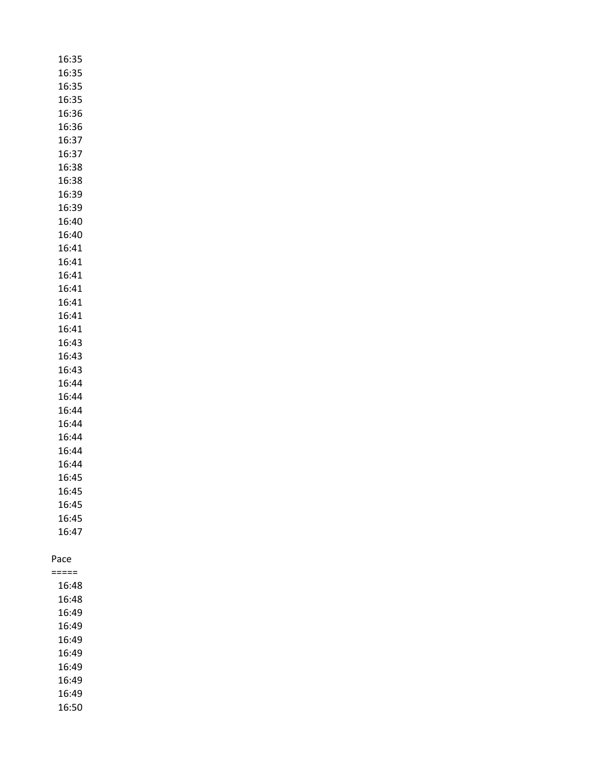| 16:35          |  |
|----------------|--|
| 16:35          |  |
| 16:35          |  |
| 16:35          |  |
| 16:36          |  |
| 16:36          |  |
| 16:37          |  |
| 16:37          |  |
| 16:38          |  |
| 16:38          |  |
| 16:39          |  |
| 16:39          |  |
| 16:40          |  |
| 16:40          |  |
| 16:41          |  |
| 16:41          |  |
| 16:41          |  |
| 16:41          |  |
| 16:41          |  |
| 16:41          |  |
| 16:41          |  |
| 16:43          |  |
| 16:43          |  |
| 16:43          |  |
| 16:44          |  |
| 16:44          |  |
| 16:44          |  |
| 16:44          |  |
| 16:44          |  |
| 16:44          |  |
| 16:44          |  |
| 16:45          |  |
| 16:45          |  |
| 16:45          |  |
| 16:45          |  |
| 16:47          |  |
|                |  |
| Pace           |  |
| ====           |  |
| 16:48          |  |
| 16:48<br>16:49 |  |
| 16:49          |  |
| 16:49          |  |
| 16:49          |  |
| 16:49          |  |
| 16:49          |  |
| 16:49          |  |
| 16:50          |  |
|                |  |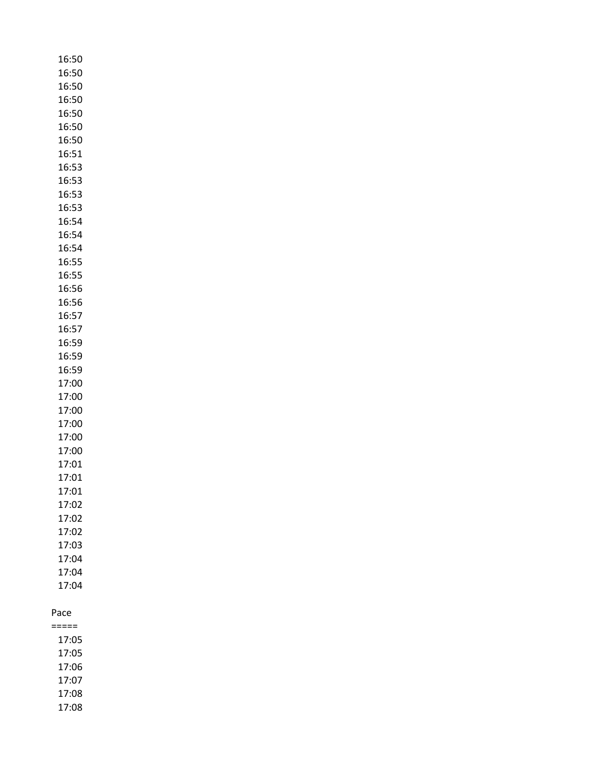| 16:50          |
|----------------|
| 16:50          |
| 16:50          |
| 16:50          |
| 16:50          |
| 16:50          |
| 16:50          |
| 16:51          |
| 16:53          |
| 16:53          |
| 16:53          |
| 16:53          |
| 16:54          |
| 16:54          |
| 16:54          |
| 16:55          |
| 16:55          |
| 16:56          |
| 16:56          |
| 16:57          |
| 16:57          |
| 16:59          |
| 16:59          |
| 16:59          |
| 17:00          |
| 17:00          |
| 17:00          |
| 17:00          |
| 17:00          |
| 17:00          |
| 17:01          |
| 17:01          |
| 1/:01<br>17:02 |
| 17:02          |
| 17:02          |
| 17:03          |
| 17:04          |
| 17:04          |
| 17:04          |
|                |
| Pace           |
| =====          |
| 17:05          |
| 17:05          |

- 17:06 17:07 17:08
- 17:08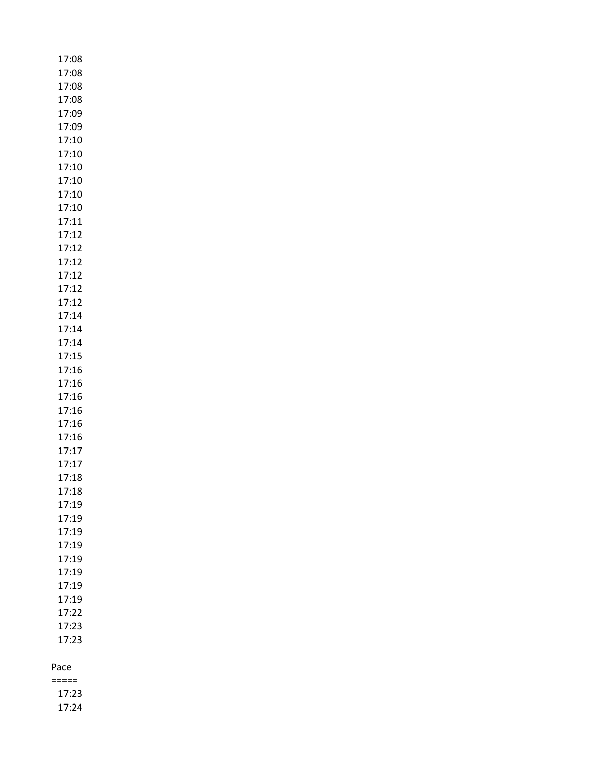| 17:08 |
|-------|
| 17:08 |
| 17:08 |
| 17:08 |
| 17:09 |
| 17:09 |
| 17:10 |
| 17:10 |
| 17:10 |
| 17:10 |
| 17:10 |
| 17:10 |
| 17:11 |
| 17:12 |
| 17:12 |
| 17:12 |
| 17:12 |
| 17:12 |
| 17:12 |
| 17:14 |
| 17:14 |
| 17:14 |
| 17:15 |
| 17:16 |
| 17:16 |
| 17:16 |
| 17:16 |
| 17:16 |
| 17:16 |
| 17:17 |
| 17:17 |
| 17:18 |
| 17:18 |
| 17:19 |
| 17:19 |
| 17:19 |
| 17:19 |
| 17:19 |
| 17:19 |
| 17:19 |
| 17:19 |
| 17:22 |
| 17:23 |
| 17:23 |
|       |
| Pace  |

===== 17:23 17:24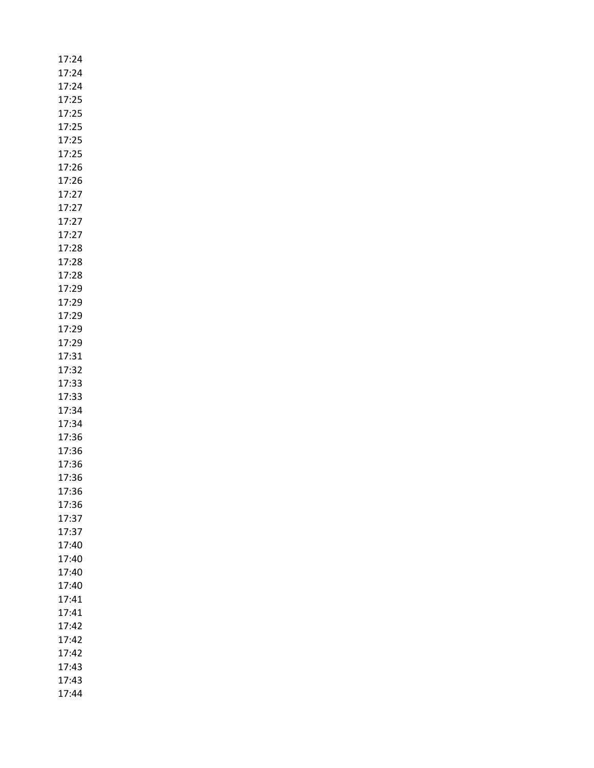| 17:24 |
|-------|
| 17:24 |
| 17:24 |
| 17:25 |
| 17:25 |
| 17:25 |
| 17:25 |
| 17:25 |
| 17:26 |
| 17:26 |
| 17:27 |
| 17:27 |
| 17:27 |
| 17:27 |
| 17:28 |
| 17:28 |
| 17:28 |
| 17:29 |
| 17:29 |
| 17:29 |
| 17:29 |
| 17:29 |
| 17:31 |
| 17:32 |
| 17:33 |
| 17:33 |
| 17:34 |
| 17:34 |
| 17:36 |
| 17:36 |
| 17:36 |
| 17:36 |
| 17:36 |
| 17:36 |
| 17:37 |
| 17:37 |
| 17:40 |
| 17:40 |
| 17:40 |
| 17:40 |
| 17:41 |
| 17:41 |
| 17:42 |
| 17:42 |
| 17:42 |
| 17:43 |
| 17:43 |
| 17:44 |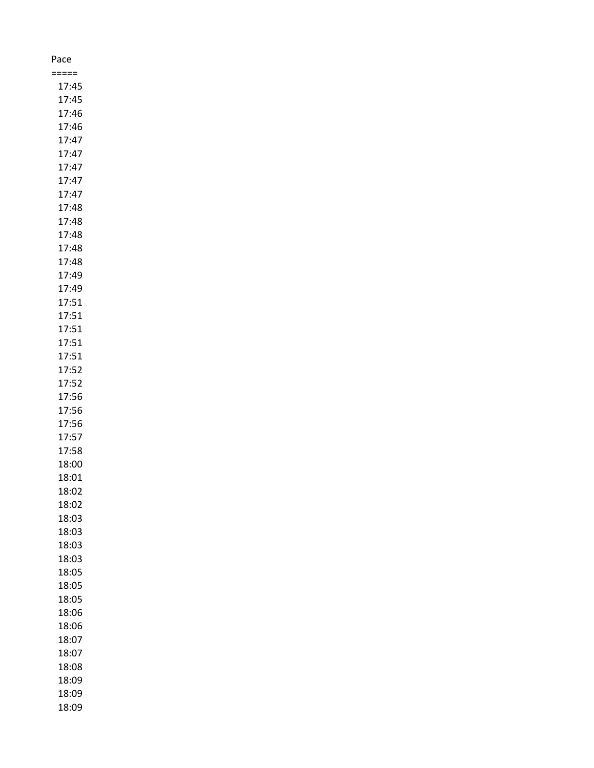| Pace  |  |
|-------|--|
| :==== |  |
| 17:45 |  |
| 17:45 |  |
| 17:46 |  |
| 17:46 |  |
| 17:47 |  |
| 17:47 |  |
| 17:47 |  |
| 17:47 |  |
| 17:47 |  |
| 17:48 |  |
| 17:48 |  |
| 17:48 |  |
| 17:48 |  |
| 17:48 |  |
| 17:49 |  |
| 17:49 |  |
| 17:51 |  |
| 17:51 |  |
| 17:51 |  |
| 17:51 |  |
| 17:51 |  |
| 17:52 |  |
| 17:52 |  |
| 17:56 |  |
| 17:56 |  |
| 17:56 |  |
| 17:57 |  |
| 17:58 |  |
| 18:00 |  |
| 18:01 |  |
| 18:02 |  |
| 18:02 |  |
| 18:03 |  |
| 18:03 |  |
| 18:03 |  |
| 18:03 |  |
| 18:05 |  |
| 18:05 |  |
| 18:05 |  |
| 18:06 |  |
| 18:06 |  |
| 18:07 |  |
| 18:07 |  |
| 18:08 |  |
| 18:09 |  |
| 18:09 |  |
| 18:09 |  |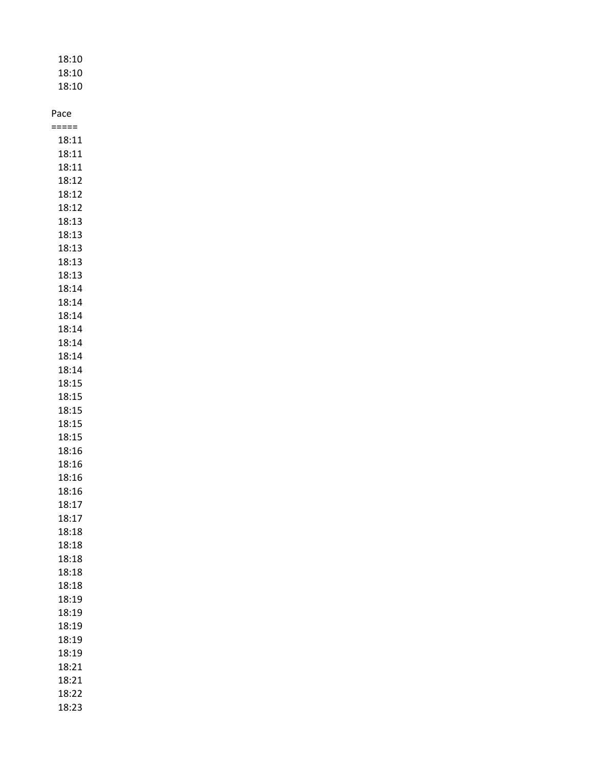| 18:10<br>18:10<br>18:10 |
|-------------------------|
| Pace                    |
| =====                   |
| 18:11                   |
| 18:11                   |
| 18:11                   |
| 18:12                   |
| 18:12                   |
| 18:12                   |
| 18:13                   |
| 18:13                   |
| 18:13                   |
| 18:13                   |
| 18:13                   |
| 18:14                   |
| 18:14                   |
| 18:14                   |
| 18:14                   |
| 18:14                   |
| 18:14                   |
| 18:14                   |
| 18:15                   |
| 18:15                   |
| 18:15                   |
| 18:15                   |
| 18:15                   |
| 18:16                   |
| 18:16                   |

18:16 18:16 18:17 18:17 18:18 18:18 18:18 18:18 18:18 18:19 18:19 18:19 18:19 18:19 18:21 18:21 18:22 18:23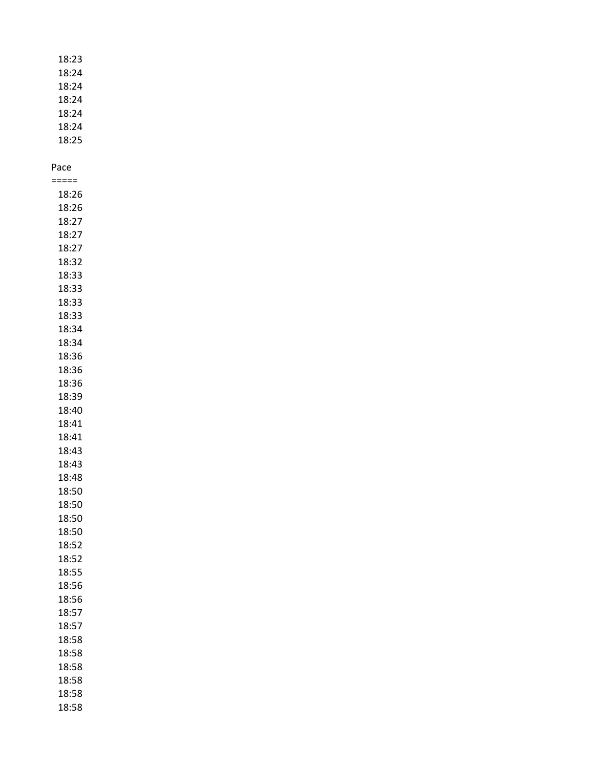| 18:23 |
|-------|
| 18:24 |
| 18:24 |
| 18:24 |
| 18:24 |
| 18:24 |
| 18:25 |

| $:====$             |
|---------------------|
| 18:26               |
| 18:26               |
| 18:27               |
| 18:27               |
| 18:27               |
| 18:32               |
| 18:33               |
| 18:33               |
| 18:33               |
| 18:33               |
| 18:34               |
| 18:34               |
| 18:36               |
| 18:36               |
| 18:36               |
| 18:39               |
| 18:40               |
| 18:41               |
| 18:41               |
| 18:43               |
| 18:43               |
| 18:48               |
| 18:50               |
| 18:50               |
| 18:50               |
| 18:50               |
| 18:52               |
| 18:52               |
| 18:55               |
| 18:56               |
| 18:56               |
| í<br>L8:57<br>18:57 |
| 18:58               |
| 18:58               |
| 18:58               |
| 18:58               |
| 18:58               |
|                     |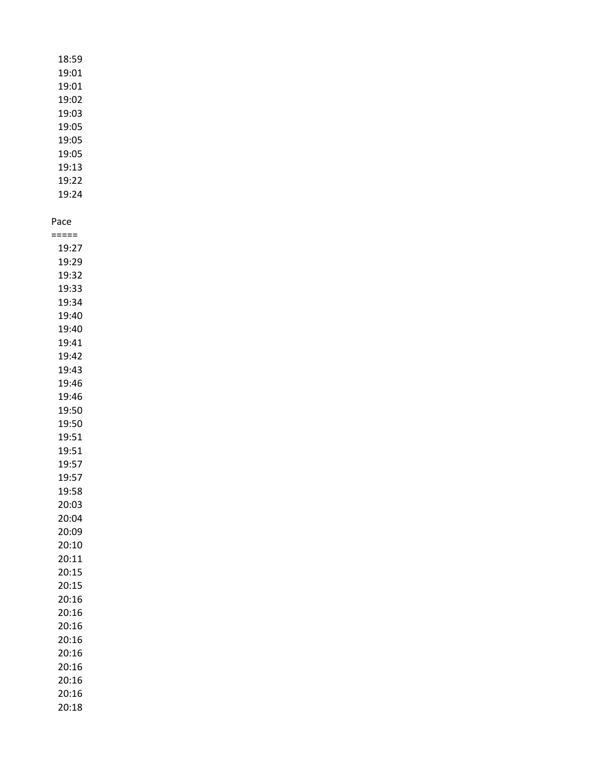| 18:59 |  |
|-------|--|
| 19:01 |  |
|       |  |
| 19:01 |  |
| 19:02 |  |
| 19:03 |  |
| 19:05 |  |
| 19:05 |  |
| 19:05 |  |
| 19:13 |  |
| 19:22 |  |
| 19:24 |  |
|       |  |
| Pace  |  |
| ===== |  |
| 19:27 |  |
| 19:29 |  |
| 19:32 |  |
| 19:33 |  |
|       |  |
| 19:34 |  |
| 19:40 |  |
| 19:40 |  |
| 19:41 |  |
| 19:42 |  |
| 19:43 |  |
| 19:46 |  |
| 19:46 |  |
| 19:50 |  |
| 19:50 |  |
| 19:51 |  |
| 19:51 |  |
| 19:57 |  |
| 19:57 |  |
| 19:58 |  |
| 20:03 |  |
| 20:04 |  |
| 20:09 |  |
| 20:10 |  |
| 20:11 |  |
| 20:15 |  |
| 20:15 |  |
| 20:16 |  |
|       |  |
| 20:16 |  |
| 20:16 |  |
| 20:16 |  |
| 20:16 |  |
| 20:16 |  |
| 20:16 |  |
| 20:16 |  |
| 20:18 |  |